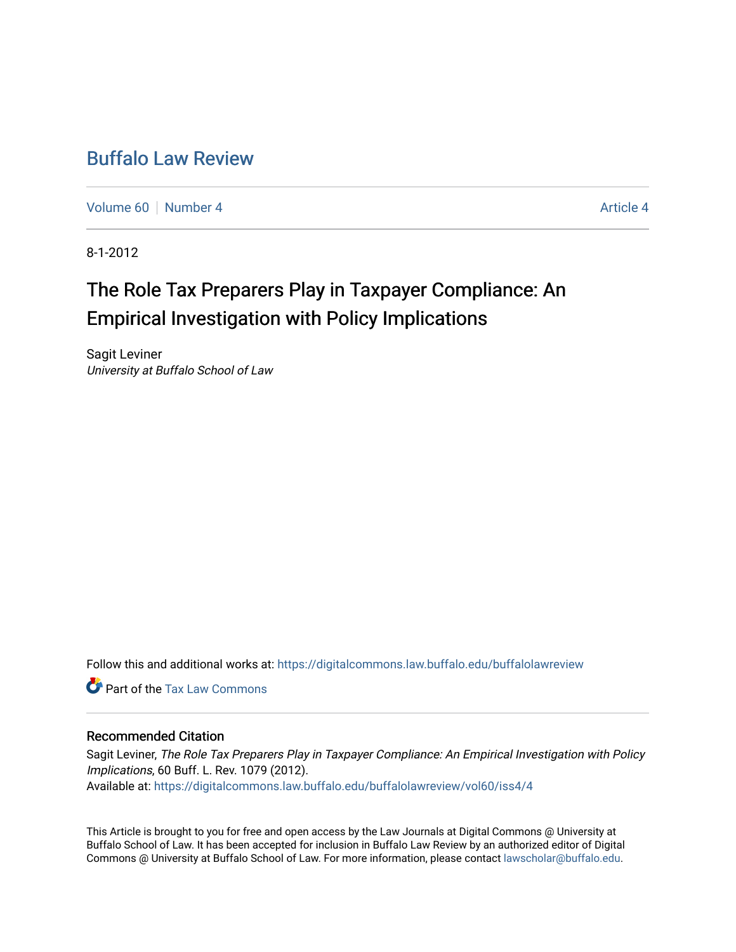## [Buffalo Law Review](https://digitalcommons.law.buffalo.edu/buffalolawreview)

[Volume 60](https://digitalcommons.law.buffalo.edu/buffalolawreview/vol60) [Number 4](https://digitalcommons.law.buffalo.edu/buffalolawreview/vol60/iss4) [Article 4](https://digitalcommons.law.buffalo.edu/buffalolawreview/vol60/iss4/4) Article 4 Article 4 Article 4 Article 4 Article 4 Article 4

8-1-2012

# The Role Tax Preparers Play in Taxpayer Compliance: An Empirical Investigation with Policy Implications

Sagit Leviner University at Buffalo School of Law

Follow this and additional works at: [https://digitalcommons.law.buffalo.edu/buffalolawreview](https://digitalcommons.law.buffalo.edu/buffalolawreview?utm_source=digitalcommons.law.buffalo.edu%2Fbuffalolawreview%2Fvol60%2Fiss4%2F4&utm_medium=PDF&utm_campaign=PDFCoverPages) 

**C** Part of the [Tax Law Commons](http://network.bepress.com/hgg/discipline/898?utm_source=digitalcommons.law.buffalo.edu%2Fbuffalolawreview%2Fvol60%2Fiss4%2F4&utm_medium=PDF&utm_campaign=PDFCoverPages)

### Recommended Citation

Sagit Leviner, The Role Tax Preparers Play in Taxpayer Compliance: An Empirical Investigation with Policy Implications, 60 Buff. L. Rev. 1079 (2012). Available at: [https://digitalcommons.law.buffalo.edu/buffalolawreview/vol60/iss4/4](https://digitalcommons.law.buffalo.edu/buffalolawreview/vol60/iss4/4?utm_source=digitalcommons.law.buffalo.edu%2Fbuffalolawreview%2Fvol60%2Fiss4%2F4&utm_medium=PDF&utm_campaign=PDFCoverPages) 

This Article is brought to you for free and open access by the Law Journals at Digital Commons @ University at Buffalo School of Law. It has been accepted for inclusion in Buffalo Law Review by an authorized editor of Digital Commons @ University at Buffalo School of Law. For more information, please contact [lawscholar@buffalo.edu](mailto:lawscholar@buffalo.edu).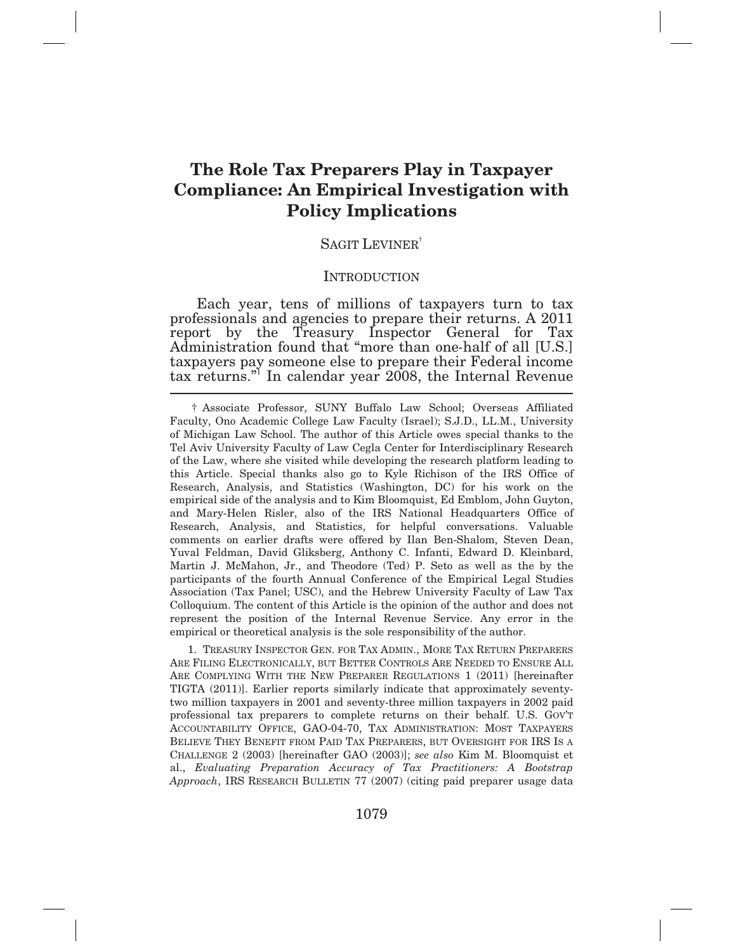## **The Role Tax Preparers Play in Taxpayer Compliance: An Empirical Investigation with Policy Implications**

### SAGIT LEVINER<sup>†</sup>

#### **INTRODUCTION**

 Each year, tens of millions of taxpayers turn to tax professionals and agencies to prepare their returns. A 2011 report by the Treasury Inspector General for Tax Administration found that "more than one*-*half of all [U.S.] taxpayers pay someone else to prepare their Federal income tax returns."<sup>1</sup>In calendar year 2008, the Internal Revenue

 ARE FILING ELECTRONICALLY, BUT BETTER CONTROLS ARE NEEDED TO ENSURE ALL ARE COMPLYING WITH THE NEW PREPARER REGULATIONS 1 (2011) [hereinafter TIGTA (2011)]. Earlier reports similarly indicate that approximately seventy- two million taxpayers in 2001 and seventy-three million taxpayers in 2002 paid professional tax preparers to complete returns on their behalf. U.S. GOV'T ACCOUNTABILITY OFFICE, GAO-04-70, TAX ADMINISTRATION: MOST TAXPAYERS BELIEVE THEY BENEFIT FROM PAID TAX PREPARERS, BUT OVERSIGHT FOR IRS IS A CHALLENGE 2 (2003) [hereinafter GAO (2003)]; *see also* Kim M. Bloomquist et  al., *Evaluating Preparation Accuracy of Tax Practitioners: A Bootstrap Approach*, IRS RESEARCH BULLETIN 77 (2007) (citing paid preparer usage data 1. TREASURY INSPECTOR GEN. FOR TAX ADMIN., MORE TAX RETURN PREPARERS

 Faculty, Ono Academic College Law Faculty (Israel); S.J.D., LL.M., University of Michigan Law School. The author of this Article owes special thanks to the Tel Aviv University Faculty of Law Cegla Center for Interdisciplinary Research of the Law, where she visited while developing the research platform leading to this Article. Special thanks also go to Kyle Richison of the IRS Office of Research, Analysis, and Statistics (Washington, DC) for his work on the empirical side of the analysis and to Kim Bloomquist, Ed Emblom, John Guyton, and Mary-Helen Risler, also of the IRS National Headquarters Office of Research, Analysis, and Statistics, for helpful conversations. Valuable comments on earlier drafts were offered by Ilan Ben-Shalom, Steven Dean, Yuval Feldman, David Gliksberg, Anthony C. Infanti, Edward D. Kleinbard, Martin J. McMahon, Jr., and Theodore (Ted) P. Seto as well as the by the participants of the fourth Annual Conference of the Empirical Legal Studies Association (Tax Panel; USC), and the Hebrew University Faculty of Law Tax Colloquium. The content of this Article is the opinion of the author and does not represent the position of the Internal Revenue Service. Any error in the empirical or theoretical analysis is the sole responsibility of the author. † Associate Professor, SUNY Buffalo Law School; Overseas Affiliated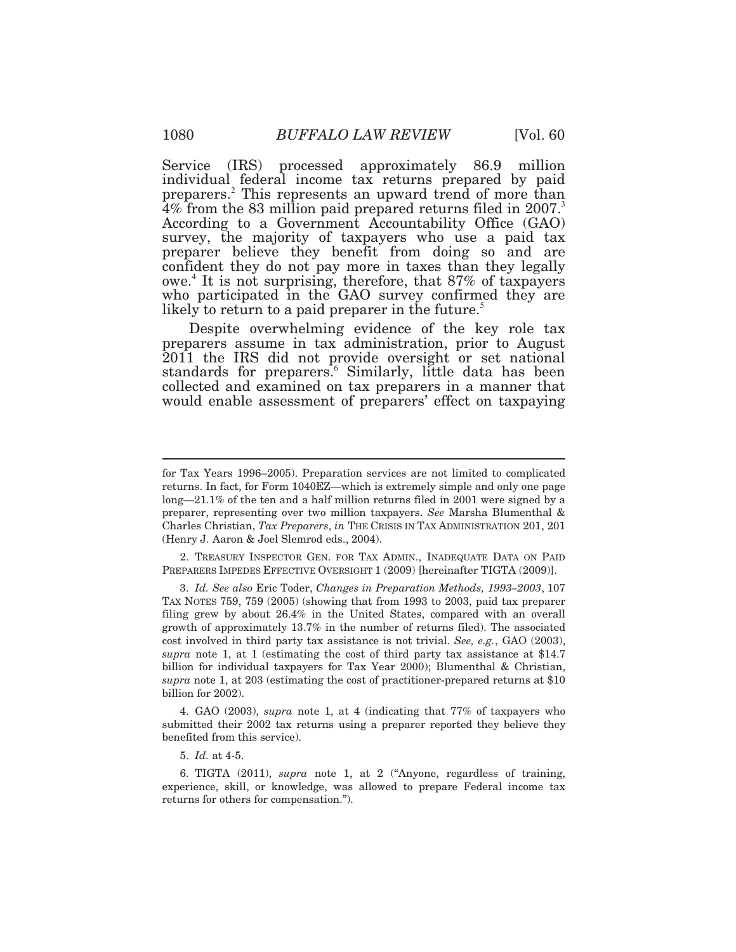Service (IRS) processed approximately 86.9 million individual federal income tax returns prepared by paid preparers.<sup>2</sup> This represents an upward trend of more than  $4\%$  from the 83 million paid prepared returns filed in 2007.<sup>3</sup> According to a Government Accountability Office (GAO) survey, the majority of taxpayers who use a paid tax preparer believe they benefit from doing so and are confident they do not pay more in taxes than they legally owe.<sup>4</sup>It is not surprising, therefore, that 87% of taxpayers who participated in the GAO survey confirmed they are likely to return to a paid preparer in the future.<sup>5</sup>

 Despite overwhelming evidence of the key role tax preparers assume in tax administration, prior to August 2011 the IRS did not provide oversight or set national standards for preparers.<sup>6</sup> Similarly, little data has been collected and examined on tax preparers in a manner that would enable assessment of preparers' effect on taxpaying

 PREPARERS IMPEDES EFFECTIVE OVERSIGHT 1 (2009) [hereinafter TIGTA (2009)]. 2. TREASURY INSPECTOR GEN. FOR TAX ADMIN., INADEQUATE DATA ON PAID

 TAX NOTES 759, 759 (2005) (showing that from 1993 to 2003, paid tax preparer filing grew by about 26.4% in the United States, compared with an overall growth of approximately 13.7% in the number of returns filed). The associated cost involved in third party tax assistance is not trivial. *See, e.g.*, GAO (2003), *supra* note 1, at 1 (estimating the cost of third party tax assistance at \$14.7 billion for individual taxpayers for Tax Year 2000); Blumenthal & Christian,  *supra* note 1, at 203 (estimating the cost of practitioner-prepared returns at \$10 billion for 2002). 3. *Id. See also* Eric Toder, *Changes in Preparation Methods, 1993–2003*, 107

 submitted their 2002 tax returns using a preparer reported they believe they benefited from this service). 4. GAO (2003), *supra* note 1, at 4 (indicating that 77% of taxpayers who

5. *Id.* at 4-5.

 experience, skill, or knowledge, was allowed to prepare Federal income tax returns for others for compensation."). 6. TIGTA (2011), *supra* note 1, at 2 ("Anyone, regardless of training,

 for Tax Years 1996–2005). Preparation services are not limited to complicated returns. In fact, for Form 1040EZ—which is extremely simple and only one page long—21.1% of the ten and a half million returns filed in 2001 were signed by a preparer, representing over two million taxpayers. *See* Marsha Blumenthal & Charles Christian, *Tax Preparers*, *in* THE CRISIS IN TAX ADMINISTRATION 201, 201 (Henry J. Aaron & Joel Slemrod eds., 2004).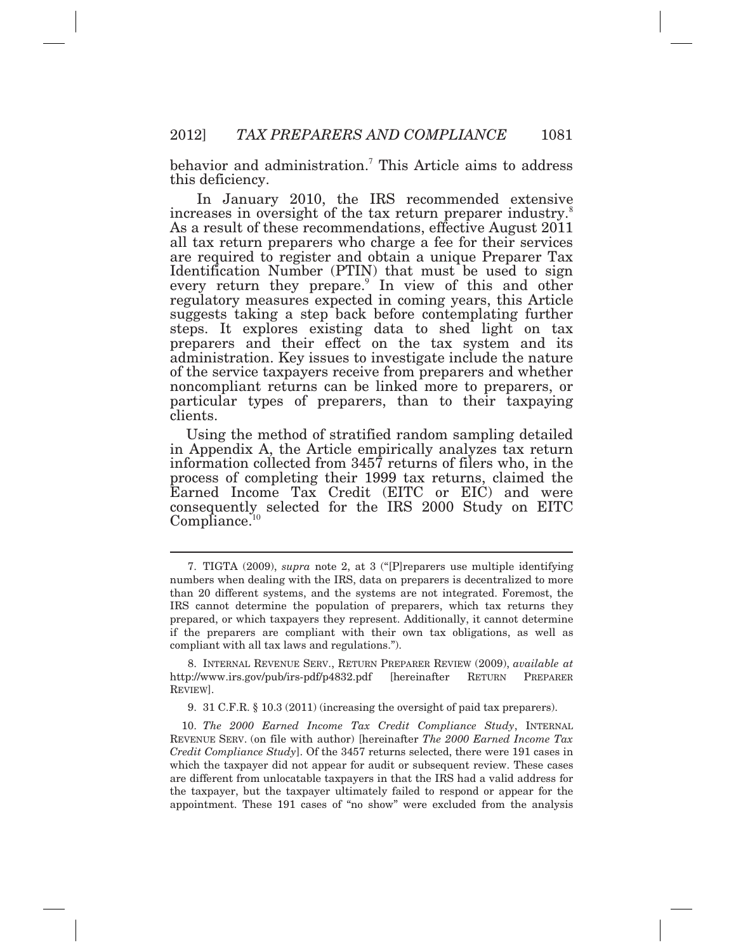behavior and administration.<sup>7</sup> This Article aims to address this deficiency.

 In January 2010, the IRS recommended extensive are required to register and obtain a unique Preparer Tax suggests taking a step back before contemplating further preparers and their effect on the tax system and its increases in oversight of the tax return preparer industry.<sup>8</sup> As a result of these recommendations, effective August 2011 all tax return preparers who charge a fee for their services Identification Number (PTIN) that must be used to sign every return they prepare.<sup>9</sup> In view of this and other regulatory measures expected in coming years, this Article steps. It explores existing data to shed light on tax administration. Key issues to investigate include the nature of the service taxpayers receive from preparers and whether noncompliant returns can be linked more to preparers, or particular types of preparers, than to their taxpaying clients.

 Using the method of stratified random sampling detailed in Appendix A, the Article empirically analyzes tax return information collected from 3457 returns of filers who, in the process of completing their 1999 tax returns, claimed the Earned Income Tax Credit (EITC or EIC) and were consequently selected for the IRS 2000 Study on EITC  $Compliance.<sup>10</sup>$  $Compliance.<sup>10</sup>$ 

 $\overline{a}$ 

9. 31 C.F.R. § 10.3 (2011) (increasing the oversight of paid tax preparers).

 REVENUE SERV. (on file with author) [hereinafter *The 2000 Earned Income Tax Credit Compliance Study*]. Of the 3457 returns selected, there were 191 cases in which the taxpayer did not appear for audit or subsequent review. These cases are different from unlocatable taxpayers in that the IRS had a valid address for the taxpayer, but the taxpayer ultimately failed to respond or appear for the appointment. These 191 cases of "no show" were excluded from the analysis 10. *The 2000 Earned Income Tax Credit Compliance Study*, INTERNAL

 numbers when dealing with the IRS, data on preparers is decentralized to more than 20 different systems, and the systems are not integrated. Foremost, the IRS cannot determine the population of preparers, which tax returns they prepared, or which taxpayers they represent. Additionally, it cannot determine if the preparers are compliant with their own tax obligations, as well as compliant with all tax laws and regulations."). 7. TIGTA (2009), *supra* note 2, at 3 ("[P]reparers use multiple identifying

<sup>8.</sup> INTERNAL REVENUE SERV., RETURN PREPARER REVIEW (2009), *available at*  <http://www.irs.gov/pub/irs-pdf/p4832.pdf> [hereinafter RETURN PREPARER REVIEW].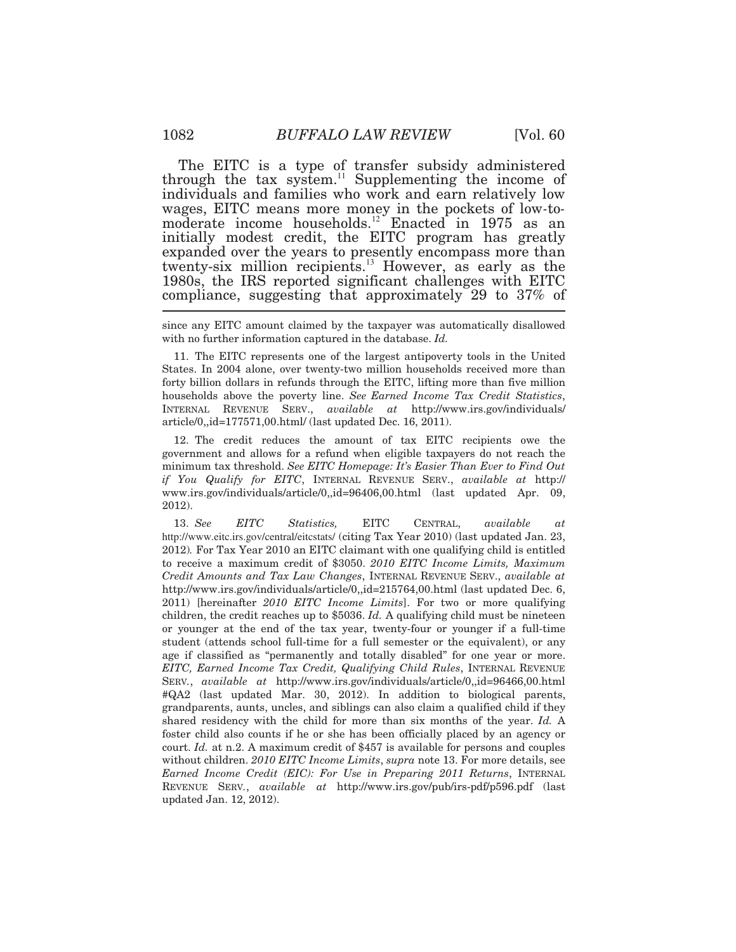The EITC is a type of transfer subsidy administered through the tax [system.](https://system.11)<sup>11</sup> Supplementing the income of individuals and families who work and earn relatively low initially modest credit, the EITC program has greatly expanded over the years to presently encompass more than twenty-six million [recipients.](https://recipients.13)<sup>13</sup> However, as early as the 1980s, the IRS reported significant challenges with EITC compliance, suggesting that approximately 29 to 37% of wages, EITC means more money in the pockets of low*-*tomoderate income [households.](https://households.12)<sup>12</sup> Enacted in 1975 as an

 since any EITC amount claimed by the taxpayer was automatically disallowed with no further information captured in the database. *Id.* 

 States. In 2004 alone, over twenty-two million households received more than forty billion dollars in refunds through the EITC, lifting more than five million households above the poverty line. *See Earned Income Tax Credit Statistics*,  INTERNAL REVENUE SERV., *available at* <http://www.irs.gov/individuals>/ article/0,,id=177571,00.html/ (last updated Dec. 16, 2011). 11. The EITC represents one of the largest antipoverty tools in the United

 government and allows for a refund when eligible taxpayers do not reach the minimum tax threshold. *See EITC Homepage: It's Easier Than Ever to Find Out if You Qualify for EITC*, INTERNAL REVENUE SERV., *available at* http:// www.irs.gov/individuals/article/0,,id=96406,00.html (last updated Apr. 09, 12. The credit reduces the amount of tax EITC recipients owe the 2012).

 <http://www.eitc.irs.gov/central/eitcstats>/ (citing Tax Year 2010) (last updated Jan. 23, 2012)*.* For Tax Year 2010 an EITC claimant with one qualifying child is entitled to receive a maximum credit of \$3050. *2010 EITC Income Limits, Maximum Credit Amounts and Tax Law Changes*, INTERNAL REVENUE SERV., *available at*  <http://www.irs.gov/individuals/article/0,,id=215764,00.html> (last updated Dec. 6,  2011) [hereinafter *2010 EITC Income Limits*]. For two or more qualifying children, the credit reaches up to \$5036. *Id.* A qualifying child must be nineteen or younger at the end of the tax year, twenty-four or younger if a full-time student (attends school full-time for a full semester or the equivalent), or any age if classified as "permanently and totally disabled" for one year or more.  *EITC, Earned Income Tax Credit, Qualifying Child Rules*, INTERNAL REVENUE #QA2 (last updated Mar. 30, 2012). In addition to biological parents, grandparents, aunts, uncles, and siblings can also claim a qualified child if they shared residency with the child for more than six months of the year. *Id.* A foster child also counts if he or she has been officially placed by an agency or court. *Id.* at n.2. A maximum credit of \$457 is available for persons and couples without children. *2010 EITC Income Limits*, *supra* note 13. For more details, see  *Earned Income Credit (EIC): For Use in Preparing 2011 Returns*, INTERNAL REVENUE SERV*.*, *available at* <http://www.irs.gov/pub/irs-pdf/p596.pdf> (last updated Jan. 12, 2012). 13. *See EITC Statistics,* EITC CENTRAL, *available at*  SERV*.*, *available at* <http://www.irs.gov/individuals/article/0,,id=96466,00.html>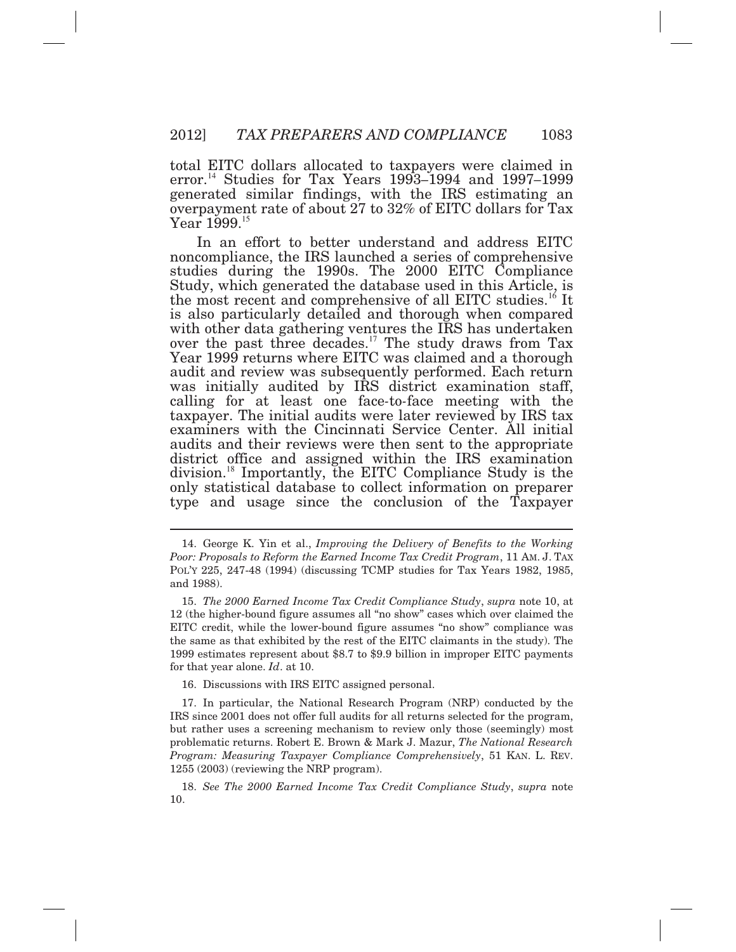total EITC dollars allocated to taxpayers were claimed in [error.](https://error.14)<sup>14</sup>Studies for Tax Years 1993*–*1994 and 1997*–*1999 generated similar findings, with the IRS estimating an overpayment rate of about 27 to 32% of EITC dollars for Tax Year 1999.<sup>15</sup>

 In an effort to better understand and address EITC Study, which generated the database used in this Article, is over the past three [decades.](https://decades.17)<sup>17</sup> The study draws from Tax Year 1999 returns where EITC was claimed and a thorough audit and review was subsequently performed. Each return examiners with the Cincinnati Service Center. All initial district office and assigned within the IRS examination noncompliance, the IRS launched a series of comprehensive studies during the 1990s. The 2000 EITC Compliance the most recent and comprehensive of all EITC [studies.](https://studies.16)<sup>16</sup> It is also particularly detailed and thorough when compared with other data gathering ventures the IRS has undertaken was initially audited by IRS district examination staff, calling for at least one face*-*to*-*face meeting with the taxpayer. The initial audits were later reviewed by IRS tax audits and their reviews were then sent to the appropriate [division.](https://division.18)<sup>18</sup>Importantly, the EITC Compliance Study is the only statistical database to collect information on preparer type and usage since the conclusion of the Taxpayer

16. Discussions with IRS EITC assigned personal.

 *Poor: Proposals to Reform the Earned Income Tax Credit Program*, 11 AM. J. TAX POL'Y 225, 247-48 (1994) (discussing TCMP studies for Tax Years 1982, 1985, and 1988). 14. George K. Yin et al., *Improving the Delivery of Benefits to the Working* 

 12 (the higher-bound figure assumes all "no show" cases which over claimed the EITC credit, while the lower-bound figure assumes "no show" compliance was the same as that exhibited by the rest of the EITC claimants in the study). The 1999 estimates represent about \$8.7 to \$9.9 billion in improper EITC payments for that year alone. *Id*. at 10. 15. *The 2000 Earned Income Tax Credit Compliance Study*, *supra* note 10, at

 IRS since 2001 does not offer full audits for all returns selected for the program, but rather uses a screening mechanism to review only those (seemingly) most problematic returns. Robert E. Brown & Mark J. Mazur, *The National Research Program: Measuring Taxpayer Compliance Comprehensively*, 51 KAN. L. REV. 1255 (2003) (reviewing the NRP program). 17. In particular, the National Research Program (NRP) conducted by the

<sup>18.</sup> *See The 2000 Earned Income Tax Credit Compliance Study*, *supra* note 10.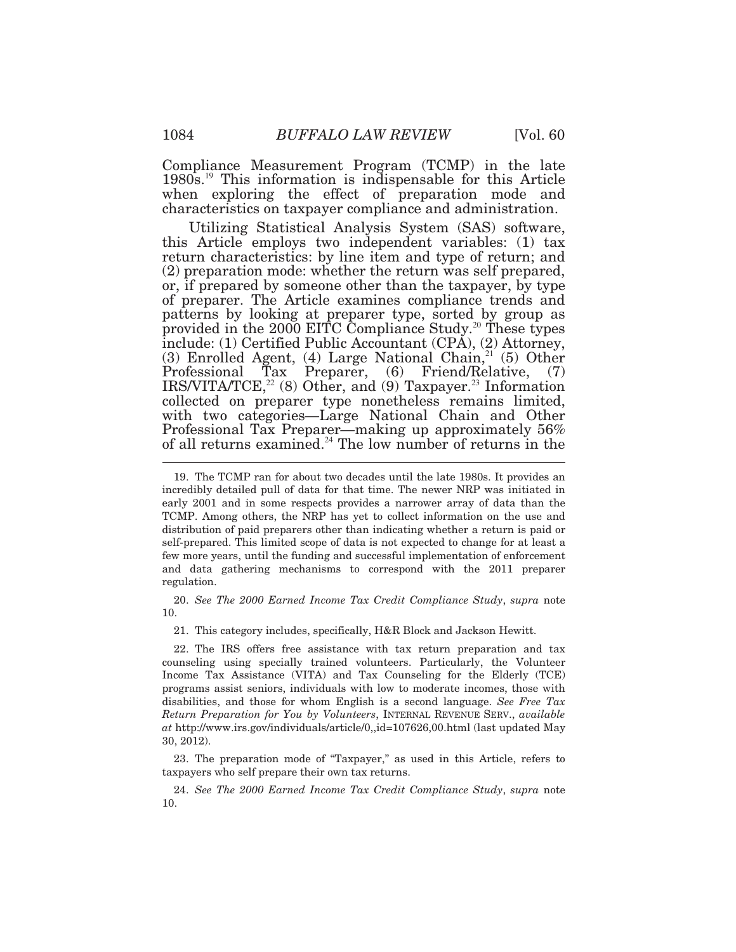Compliance Measurement Program (TCMP) in the late  $1980s$ <sup>19</sup> This information is indispensable for this Article when exploring the effect of preparation mode and characteristics on taxpayer compliance and administration.

 Utilizing Statistical Analysis System (SAS) software, of preparer. The Article examines compliance trends and provided in the  $2000$  EITC Compliance [Study.](https://Study.20)<sup>20</sup> These types include: (1) Certified Public Accountant (CPA), (2) Attorney, this Article employs two independent variables: (1) tax return characteristics: by line item and type of return; and (2) preparation mode: whether the return was self prepared, or, if prepared by someone other than the taxpayer, by type patterns by looking at preparer type, sorted by group as (3) Enrolled Agent, (4) Large National Chain, $21(5)$  Other Professional Tax Preparer, (6) Friend/Relative, (7) IRS/VITA/TCE, $^{22}$  (8) Other, and (9) [Taxpayer.](https://Taxpayer.23)<sup>23</sup> Information collected on preparer type nonetheless remains limited, with two categories*—*Large National Chain and Other Professional Tax Preparer*—*making up approximately 56% of all returns [examined.](https://examined.24)<sup>24</sup> The low number of returns in the

10.

21. This category includes, specifically, H&R Block and Jackson Hewitt.

 22. The IRS offers free assistance with tax return preparation and tax counseling using specially trained volunteers. Particularly, the Volunteer Income Tax Assistance (VITA) and Tax Counseling for the Elderly (TCE) programs assist seniors, individuals with low to moderate incomes, those with disabilities, and those for whom English is a second language. *See Free Tax Return Preparation for You by Volunteers*, INTERNAL REVENUE SERV., *available at* <http://www.irs.gov/individuals/article/0,,id=107626,00.html> (last updated May 30, 2012).

 taxpayers who self prepare their own tax returns. 23. The preparation mode of "Taxpayer," as used in this Article, refers to

24. *See The 2000 Earned Income Tax Credit Compliance Study*, *supra* note 10.

 incredibly detailed pull of data for that time. The newer NRP was initiated in early 2001 and in some respects provides a narrower array of data than the TCMP. Among others, the NRP has yet to collect information on the use and distribution of paid preparers other than indicating whether a return is paid or self-prepared. This limited scope of data is not expected to change for at least a few more years, until the funding and successful implementation of enforcement and data gathering mechanisms to correspond with the 2011 preparer regulation.  regulation. 20. *See The 2000 Earned Income Tax Credit Compliance Study*, *supra* note 19. The TCMP ran for about two decades until the late 1980s. It provides an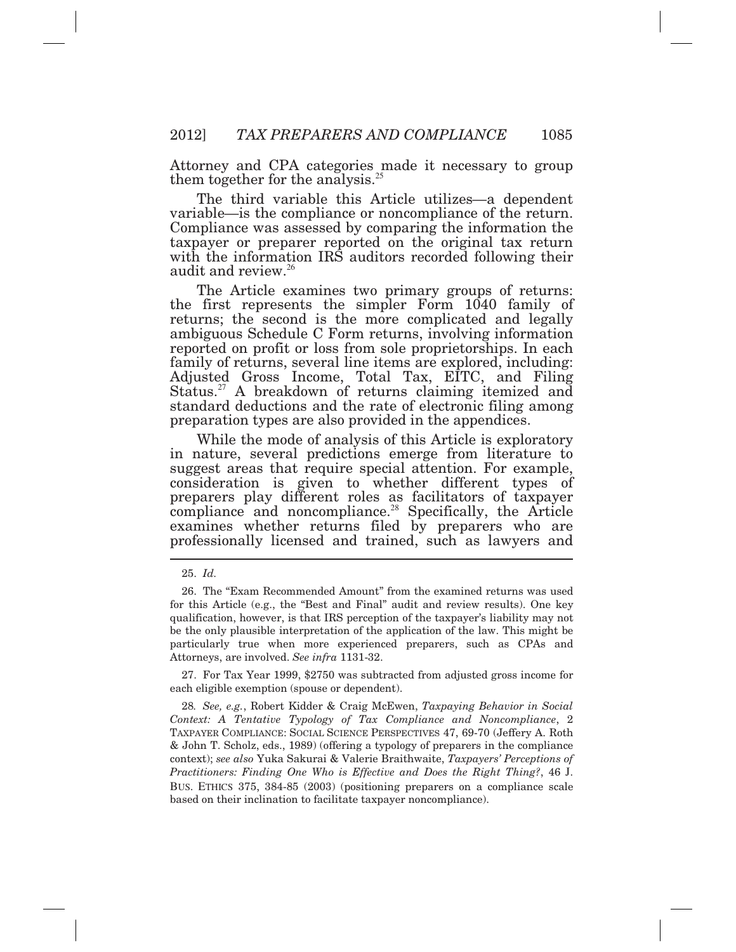Attorney and CPA categories made it necessary to group them together for the [analysis.](https://analysis.25)<sup>25</sup>

 The third variable this Article utilizes*—*a dependent Compliance was assessed by comparing the information the variable*—*is the compliance or noncompliance of the return. taxpayer or preparer reported on the original tax return with the information IRS auditors recorded following their audit and [review.](https://review.26)<sup>26</sup>

 The Article examines two primary groups of returns: the first represents the simpler Form 1040 family of returns; the second is the more complicated and legally ambiguous Schedule C Form returns, involving information reported on profit or loss from sole proprietorships. In each family of returns, several line items are explored, including: Adjusted Gross Income, Total Tax, EITC, and Filing standard deductions and the rate of electronic filing among preparation types are also provided in the appendices. [Status.](https://Status.27)<sup>27</sup> A breakdown of returns claiming itemized and

 While the mode of analysis of this Article is exploratory in nature, several predictions emerge from literature to suggest areas that require special attention. For example, consideration is given to whether different types of Ī examines whether returns filed by preparers who are professionally licensed and trained, such as lawyers and preparers play different roles as facilitators of taxpayer compliance and [noncompliance.](https://noncompliance.28)<sup>28</sup> Specifically, the Article

 each eligible exemption (spouse or dependent). 27. For Tax Year 1999, \$2750 was subtracted from adjusted gross income for

<sup>25.</sup> *Id.* 

 for this Article (e.g., the "Best and Final" audit and review results). One key qualification, however, is that IRS perception of the taxpayer's liability may not be the only plausible interpretation of the application of the law. This might be particularly true when more experienced preparers, such as CPAs and Attorneys, are involved. *See infra* 1131-32. 26. The "Exam Recommended Amount" from the examined returns was used

 *Context: A Tentative Typology of Tax Compliance and Noncompliance*, 2 TAXPAYER COMPLIANCE: SOCIAL SCIENCE PERSPECTIVES 47, 69-70 (Jeffery A. Roth & John T. Scholz, eds., 1989) (offering a typology of preparers in the compliance context); *see also* Yuka Sakurai & Valerie Braithwaite, *Taxpayers' Perceptions of Practitioners: Finding One Who is Effective and Does the Right Thing?*, 46 J. BUS. ETHICS 375, 384-85 (2003) (positioning preparers on a compliance scale based on their inclination to facilitate taxpayer noncompliance). 28*. See, e.g.*, Robert Kidder & Craig McEwen, *Taxpaying Behavior in Social*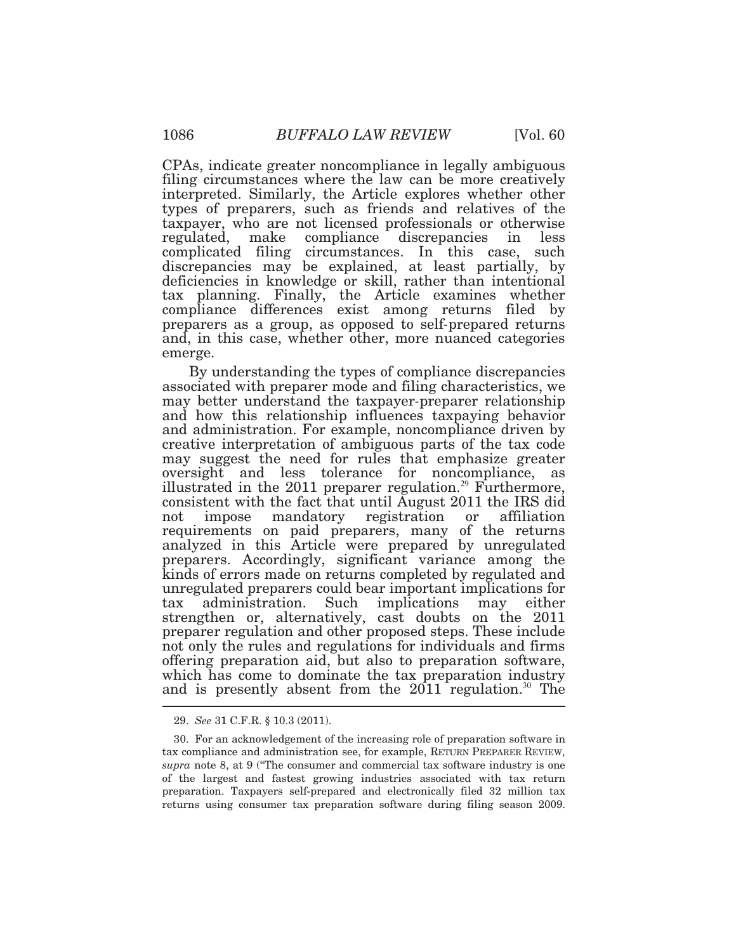CPAs, indicate greater noncompliance in legally ambiguous filing circumstances where the law can be more creatively interpreted. Similarly, the Article explores whether other types of preparers, such as friends and relatives of the taxpayer, who are not licensed professionals or otherwise regulated, make deficiencies in knowledge or skill, rather than intentional tax planning. Finally, the Article examines whether compliance differences exist among returns filed by preparers as a group, as opposed to self*-*prepared returns and, in this case, whether other, more nuanced categories emerge. compliance discrepancies in less complicated filing circumstances. In this case, such discrepancies may be explained, at least partially, by

emerge.<br>By understanding the types of compliance discrepancies oversight and less tolerance for noncompliance, as consistent with the fact that until August 2011 the IRS did strengthen or, alternatively, cast doubts on the 2011 preparer regulation and other proposed steps. These include not only the rules and regulations for individuals and firms offering preparation aid, but also to preparation software, and is presently absent from the  $2011$  [regulation.](https://regulation.30)<sup>30</sup> The associated with preparer mode and filing characteristics, we may better understand the taxpayer*-*preparer relationship and how this relationship influences taxpaying behavior and administration. For example, noncompliance driven by creative interpretation of ambiguous parts of the tax code may suggest the need for rules that emphasize greater illustrated in the 2011 preparer [regulation.](https://regulation.29)<sup>29</sup> Furthermore, not impose mandatory registration or affiliation requirements on paid preparers, many of the returns analyzed in this Article were prepared by unregulated preparers. Accordingly, significant variance among the kinds of errors made on returns completed by regulated and unregulated preparers could bear important implications for tax administration. Such implications may either which has come to dominate the tax preparation industry

<sup>29.</sup> *See* 31 C.F.R. § 10.3 (2011).

 tax compliance and administration see, for example, RETURN PREPARER REVIEW, *supra* note 8, at 9 ("The consumer and commercial tax software industry is one of the largest and fastest growing industries associated with tax return preparation. Taxpayers self-prepared and electronically filed 32 million tax returns using consumer tax preparation software during filing season 2009. 30. For an acknowledgement of the increasing role of preparation software in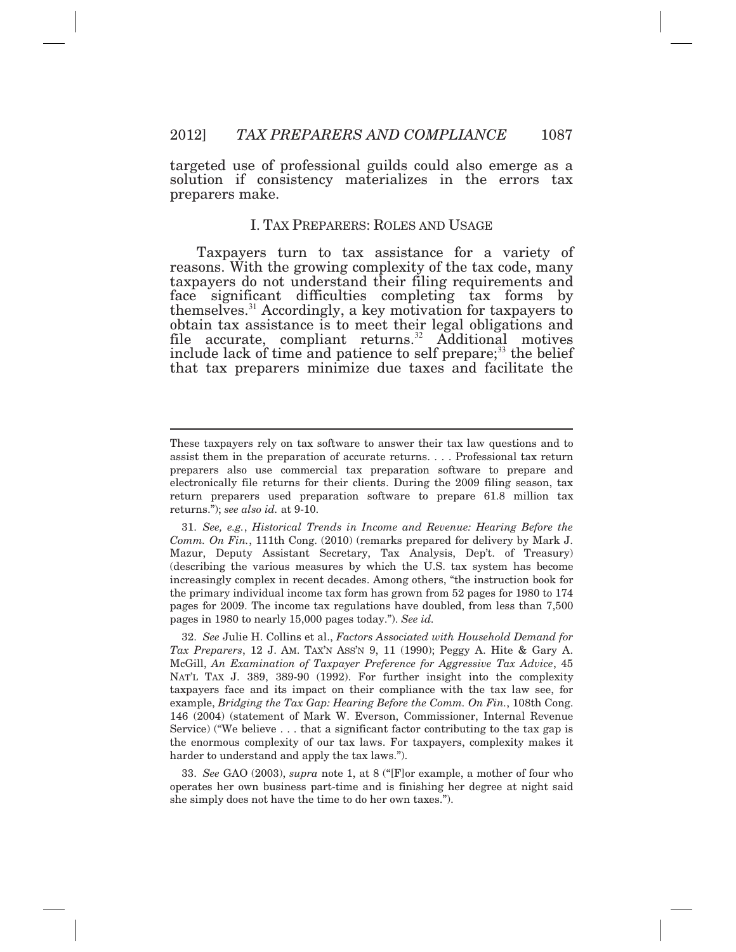targeted use of professional guilds could also emerge as a solution if consistency materializes in the errors tax preparers make.

#### I. TAX PREPARERS: ROLES AND USAGE

 Taxpayers turn to tax assistance for a variety of reasons. With the growing complexity of the tax code, many taxpayers do not understand their filing requirements and face significant difficulties completing tax forms by [themselves.](https://themselves.31)<sup>31</sup> Accordingly, a key motivation for taxpayers to obtain tax assistance is to meet their legal obligations and file accurate, compliant [returns.](https://returns.32)<sup>32</sup> Additional motives include lack of time and patience to self prepare;<sup>33</sup> the belief that tax preparers minimize due taxes and facilitate the

 $\overline{a}$ 

 operates her own business part-time and is finishing her degree at night said she simply does not have the time to do her own taxes."). 33. *See* GAO (2003), *supra* note 1, at 8 ("[F]or example, a mother of four who

 These taxpayers rely on tax software to answer their tax law questions and to assist them in the preparation of accurate returns. . . . Professional tax return preparers also use commercial tax preparation software to prepare and electronically file returns for their clients. During the 2009 filing season, tax return preparers used preparation software to prepare 61.8 million tax returns."); *see also id.* at 9-10.

 *Comm. On Fin.*, 111th Cong. (2010) (remarks prepared for delivery by Mark J. Mazur, Deputy Assistant Secretary, Tax Analysis, Dep't. of Treasury) (describing the various measures by which the U.S. tax system has become increasingly complex in recent decades. Among others, "the instruction book for the primary individual income tax form has grown from 52 pages for 1980 to 174 pages for 2009. The income tax regulations have doubled, from less than 7,500 pages in 1980 to nearly 15,000 pages today."). *See id.*  31. *See, e.g.*, *Historical Trends in Income and Revenue: Hearing Before the* 

 *Tax Preparers*, 12 J. AM. TAX'N ASS'N 9, 11 (1990); Peggy A. Hite & Gary A.  McGill, *An Examination of Taxpayer Preference for Aggressive Tax Advice*, 45 NAT'L TAX J. 389, 389-90 (1992). For further insight into the complexity taxpayers face and its impact on their compliance with the tax law see, for  example, *Bridging the Tax Gap: Hearing Before the Comm. On Fin.*, 108th Cong. 146 (2004) (statement of Mark W. Everson, Commissioner, Internal Revenue Service) ("We believe . . . that a significant factor contributing to the tax gap is the enormous complexity of our tax laws. For taxpayers, complexity makes it harder to understand and apply the tax laws."). 32. *See* Julie H. Collins et al., *Factors Associated with Household Demand for*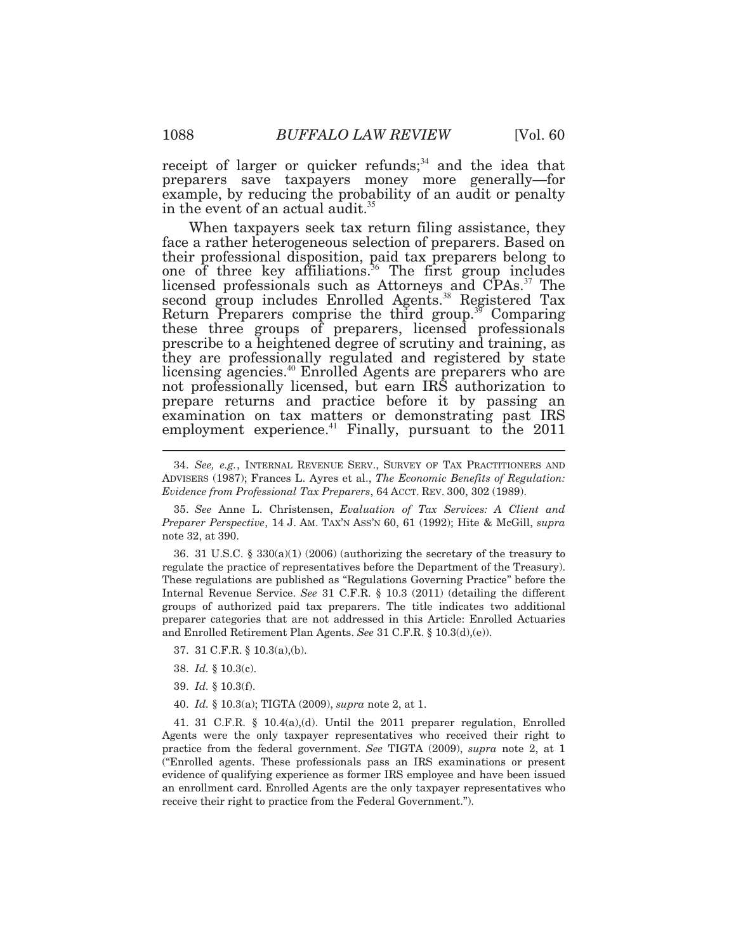receipt of larger or quicker refunds; $34$  and the idea that preparers save taxpayers money more generally—for example, by reducing the probability of an audit or penalty in the event of an actual [audit.](https://audit.35)<sup>35</sup>

 When taxpayers seek tax return filing assistance, they face a rather heterogeneous selection of preparers. Based on their professional disposition, paid tax preparers belong to one of three key [affiliations.](https://affiliations.36)<sup>36</sup> The first group includes licensed professionals such as Attorneys and CPAs.<sup>37</sup> The second group includes Enrolled [Agents.](https://Agents.38)<sup>38</sup> Registered Tax Return Preparers comprise the third [group.](https://group.39)<sup>39</sup> Comparing these three groups of preparers, licensed professionals prescribe to a heightened degree of scrutiny and training, as they are professionally regulated and registered by state licensing [agencies.](https://agencies.40)<sup>40</sup> Enrolled Agents are preparers who are not professionally licensed, but earn IRS authorization to prepare returns and practice before it by passing an examination on tax matters or demonstrating past IRS employment [experience.](https://experience.41)<sup>41</sup> Finally, pursuant to the  $2011$ 

 regulate the practice of representatives before the Department of the Treasury). These regulations are published as "Regulations Governing Practice" before the Internal Revenue Service. *See* 31 C.F.R. § 10.3 (2011) (detailing the different groups of authorized paid tax preparers. The title indicates two additional preparer categories that are not addressed in this Article: Enrolled Actuaries and Enrolled Retirement Plan Agents. *See* 31 C.F.R. § 10.3(d),(e)). 36. 31 U.S.C. § 330(a)(1) (2006) (authorizing the secretary of the treasury to

- 37. 31 C.F.R. § 10.3(a),(b).
- 38. *Id.* § 10.3(c).
- 39. *Id.* § 10.3(f).
- 40. *Id.* § 10.3(a); TIGTA (2009), *supra* note 2, at 1.

 Agents were the only taxpayer representatives who received their right to practice from the federal government. *See* TIGTA (2009), *supra* note 2, at 1 ("Enrolled agents. These professionals pass an IRS examinations or present evidence of qualifying experience as former IRS employee and have been issued an enrollment card. Enrolled Agents are the only taxpayer representatives who receive their right to practice from the Federal Government."). 41. 31 C.F.R. § 10.4(a),(d). Until the 2011 preparer regulation, Enrolled

 ADVISERS (1987); Frances L. Ayres et al., *The Economic Benefits of Regulation: Evidence from Professional Tax Preparers*, 64 ACCT. REV. 300, 302 (1989). 34. *See, e.g.*, INTERNAL REVENUE SERV., SURVEY OF TAX PRACTITIONERS AND

 *Preparer Perspective*, 14 J. AM. TAX'N ASS'N 60, 61 (1992); Hite & McGill, *supra*  note 32, at 390. 35. *See* Anne L. Christensen, *Evaluation of Tax Services: A Client and*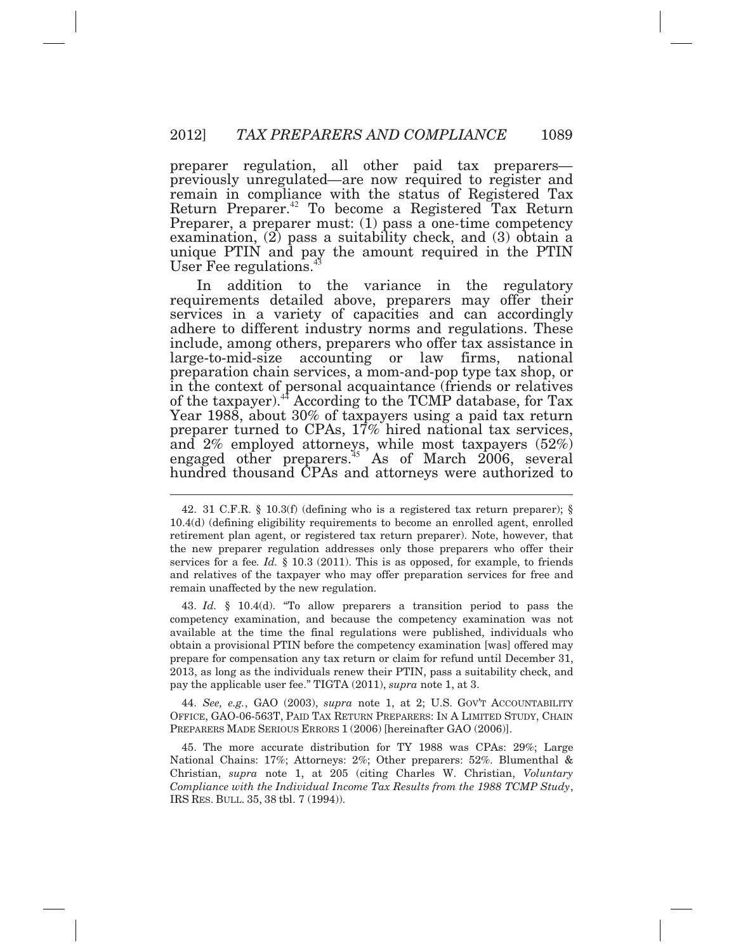preparer regulation, all other paid tax preparers*—*  previously unregulated*—*are now required to register and remain in compliance with the status of Registered Tax Return [Preparer.](https://Preparer.42)<sup>42</sup> To become a Registered Tax Return Preparer, a preparer must: (1) pass a one*-*time competency examination, (2) pass a suitability check, and (3) obtain a unique PTIN and pay the amount required in the PTIN User Fee [regulations.](https://regulations.43)<sup>43</sup>

In adhere to different industry norms and regulations. These include, among others, preparers who offer tax assistance in  $\overline{a}$ addition to the variance in the regulatory requirements detailed above, preparers may offer their services in a variety of capacities and can accordingly large-to-mid-size accounting or law firms, national preparation chain services, a mom-and-pop type tax shop, or in the context of personal acquaintance (friends or relatives of the [taxpayer\).](https://taxpayer).44)<sup>44</sup> According to the TCMP database, for Tax Year 1988, about 30% of taxpayers using a paid tax return preparer turned to CPAs, 17% hired national tax services, and 2% employed attorneys, while most taxpayers (52%) engaged other [preparers.](https://preparers.45)<sup>45</sup> As of March  $2006$ , several hundred thousand CPAs and attorneys were authorized to

 competency examination, and because the competency examination was not available at the time the final regulations were published, individuals who obtain a provisional PTIN before the competency examination [was] offered may prepare for compensation any tax return or claim for refund until December 31, 2013, as long as the individuals renew their PTIN, pass a suitability check, and pay the applicable user fee." TIGTA (2011), *supra* note 1, at 3. 43. *Id.* § 10.4(d). "To allow preparers a transition period to pass the

 OFFICE, GAO-06-563T, PAID TAX RETURN PREPARERS: IN A LIMITED STUDY, CHAIN PREPARERS MADE SERIOUS ERRORS 1 (2006) [hereinafter GAO (2006)]. 44. *See, e.g.*, GAO (2003), *supra* note 1, at 2; U.S. GOV'T ACCOUNTABILITY

 National Chains: 17%; Attorneys: 2%; Other preparers: 52%. Blumenthal &  Christian, *supra* note 1, at 205 (citing Charles W. Christian, *Voluntary Compliance with the Individual Income Tax Results from the 1988 TCMP Study*, IRS RES. BULL. 35, 38 tbl. 7 (1994)). 45. The more accurate distribution for TY 1988 was CPAs: 29%; Large

 10.4(d) (defining eligibility requirements to become an enrolled agent, enrolled retirement plan agent, or registered tax return preparer). Note, however, that the new preparer regulation addresses only those preparers who offer their services for a fee*. Id.* § 10.3 (2011). This is as opposed, for example, to friends and relatives of the taxpayer who may offer preparation services for free and remain unaffected by the new regulation. 42. 31 C.F.R. § 10.3(f) (defining who is a registered tax return preparer); §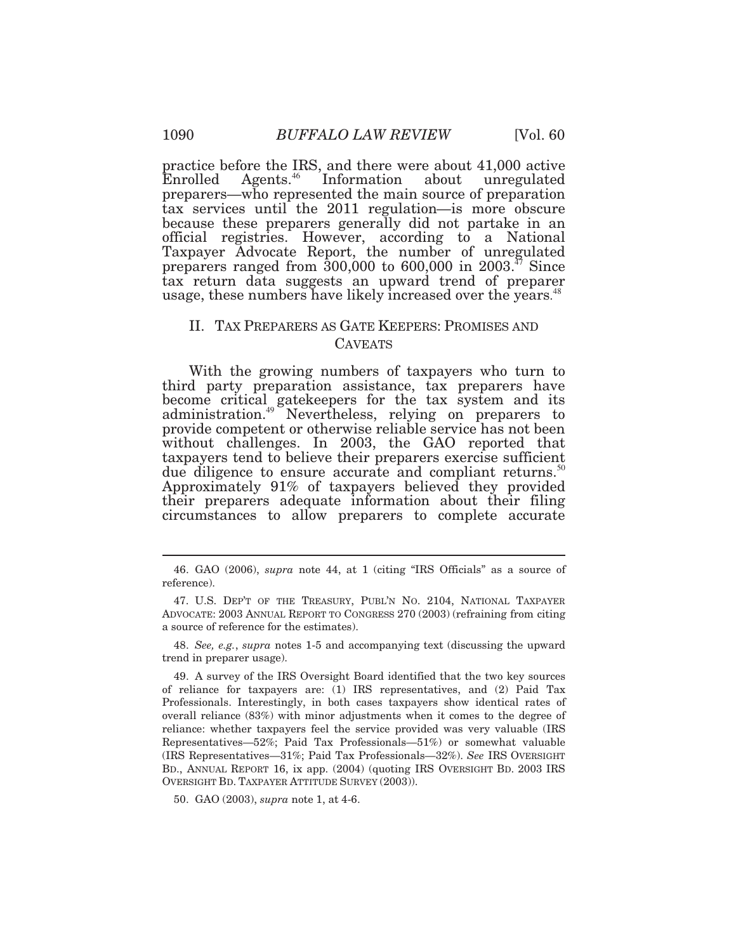practice before the IRS, and there were about 41,000 active Enrolled [Agents.](https://Agents.46)<sup>46</sup> Information about unregulated preparers—who represented the main source of preparation tax services until the 2011 regulation*—*is more obscure because these preparers generally did not partake in an official registries. However, according to a National Taxpayer Advocate Report, the number of unregulated preparers ranged from  $300,000$  to  $600,000$  in  $2003$ .<sup> $\pi$ </sup> Since tax return data suggests an upward trend of preparer usage, these numbers have likely increased over the years.<sup>48</sup>

## II. TAX PREPARERS AS GATE KEEPERS: PROMISES AND CAVEATS

 With the growing numbers of taxpayers who turn to their preparers adequate information about their filing circumstances to allow preparers to complete accurate third party preparation assistance, tax preparers have become critical gatekeepers for the tax system and its [administration.](https://administration.49)<sup>49</sup> Nevertheless, relying on preparers to provide competent or otherwise reliable service has not been without challenges. In 2003, the GAO reported that taxpayers tend to believe their preparers exercise sufficient due diligence to ensure accurate and compliant [returns.](https://returns.50)<sup>50</sup> Approximately 91% of taxpayers believed they provided

<sup>46.</sup> GAO (2006), *supra* note 44, at 1 (citing "IRS Officials" as a source of reference).

 ADVOCATE: 2003 ANNUAL REPORT TO CONGRESS 270 (2003) (refraining from citing a source of reference for the estimates). 47. U.S. DEP'T OF THE TREASURY, PUBL'N NO. 2104, NATIONAL TAXPAYER

 trend in preparer usage). 48. *See, e.g.*, *supra* notes 1-5 and accompanying text (discussing the upward

 of reliance for taxpayers are: (1) IRS representatives, and (2) Paid Tax Professionals. Interestingly, in both cases taxpayers show identical rates of overall reliance (83%) with minor adjustments when it comes to the degree of reliance: whether taxpayers feel the service provided was very valuable (IRS Representatives—52%; Paid Tax Professionals—51%) or somewhat valuable (IRS Representatives—31%; Paid Tax Professionals—32%). *See* IRS OVERSIGHT BD., ANNUAL REPORT 16, ix app. (2004) (quoting IRS OVERSIGHT BD. 2003 IRS OVERSIGHT BD. TAXPAYER ATTITUDE SURVEY (2003)). 49. A survey of the IRS Oversight Board identified that the two key sources

<sup>50.</sup> GAO (2003), *supra* note 1, at 4-6.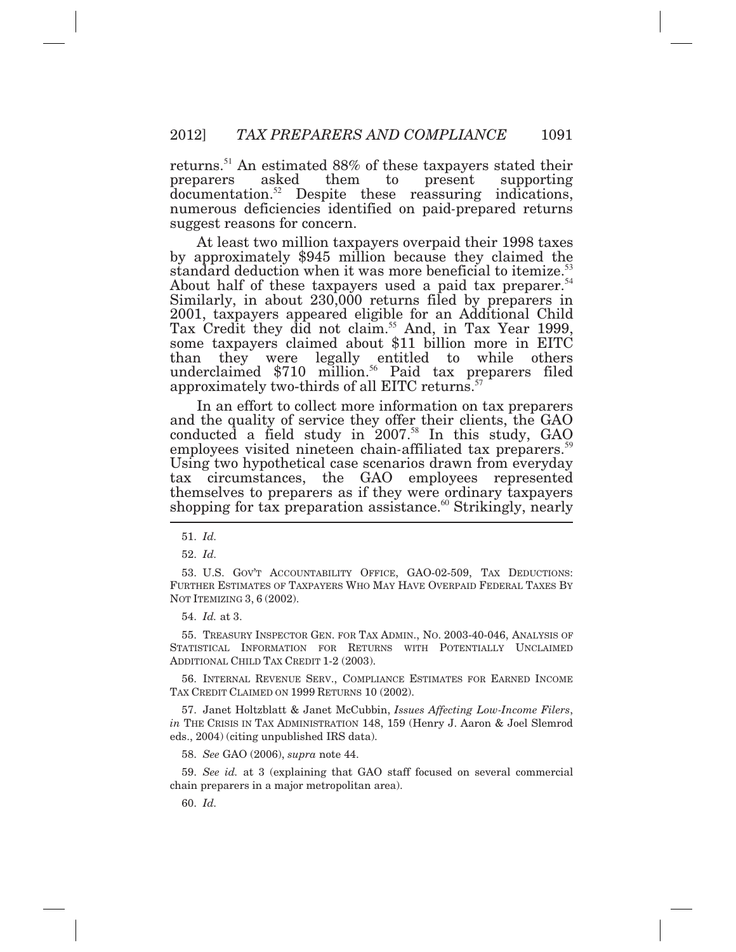[returns.](https://returns.51)<sup>51</sup> An estimated 88% of these taxpayers stated their preparers [documentation.](https://documentation.52)<sup>52</sup> Despite these reassuring indications, numerous deficiencies identified on paid*-*prepared returns suggest reasons for concern. asked them to present supporting

 At least two million taxpayers overpaid their 1998 taxes than by approximately \$945 million because they claimed the standard deduction when it was more beneficial to [itemize.](https://itemize.53)<sup>5</sup> About half of these taxpayers used a paid tax [preparer.](https://preparer.54)<sup>54</sup> Similarly, in about 230,000 returns filed by preparers in 2001, taxpayers appeared eligible for an Additional Child Tax Credit they did not [claim.](https://claim.55)<sup>55</sup> And, in Tax Year 1999, some taxpayers claimed about \$11 billion more in EITC they were legally entitled to while others underclaimed  $$710$  [million.](https://million.56)<sup>56</sup> Paid tax preparers filed approximately two-thirds of all EITC [returns.](https://returns.57)<sup>57</sup>

 In an effort to collect more information on tax preparers and the quality of service they offer their clients, the GAO conducted a field study in  $2007.^{58}$  In this study, GAO employees visited nineteen chain-affiliated tax [preparers.](https://preparers.59)<sup>59</sup> Using two hypothetical case scenarios drawn from everyday tax circumstances, the GAO employees represented themselves to preparers as if they were ordinary taxpayers shopping for tax preparation [assistance.](https://assistance.60)<sup>60</sup> Strikingly, nearly

54. *Id.* at 3.

 STATISTICAL INFORMATION FOR RETURNS WITH POTENTIALLY UNCLAIMED ADDITIONAL CHILD TAX CREDIT 1-2 (2003). 55. TREASURY INSPECTOR GEN. FOR TAX ADMIN., NO. 2003-40-046, ANALYSIS OF

 TAX CREDIT CLAIMED ON 1999 RETURNS 10 (2002). 56. INTERNAL REVENUE SERV., COMPLIANCE ESTIMATES FOR EARNED INCOME

 *in* THE CRISIS IN TAX ADMINISTRATION 148, 159 (Henry J. Aaron & Joel Slemrod eds., 2004) (citing unpublished IRS data). 57. Janet Holtzblatt & Janet McCubbin, *Issues Affecting Low-Income Filers*,

58. *See* GAO (2006), *supra* note 44.

 chain preparers in a major metropolitan area). 59. *See id.* at 3 (explaining that GAO staff focused on several commercial

60. *Id.* 

<sup>51.</sup> *Id.* 

<sup>52.</sup> *Id.* 

 FURTHER ESTIMATES OF TAXPAYERS WHO MAY HAVE OVERPAID FEDERAL TAXES BY NOT ITEMIZING 3, 6 (2002). 53. U.S. GOV'T ACCOUNTABILITY OFFICE, GAO-02-509, TAX DEDUCTIONS: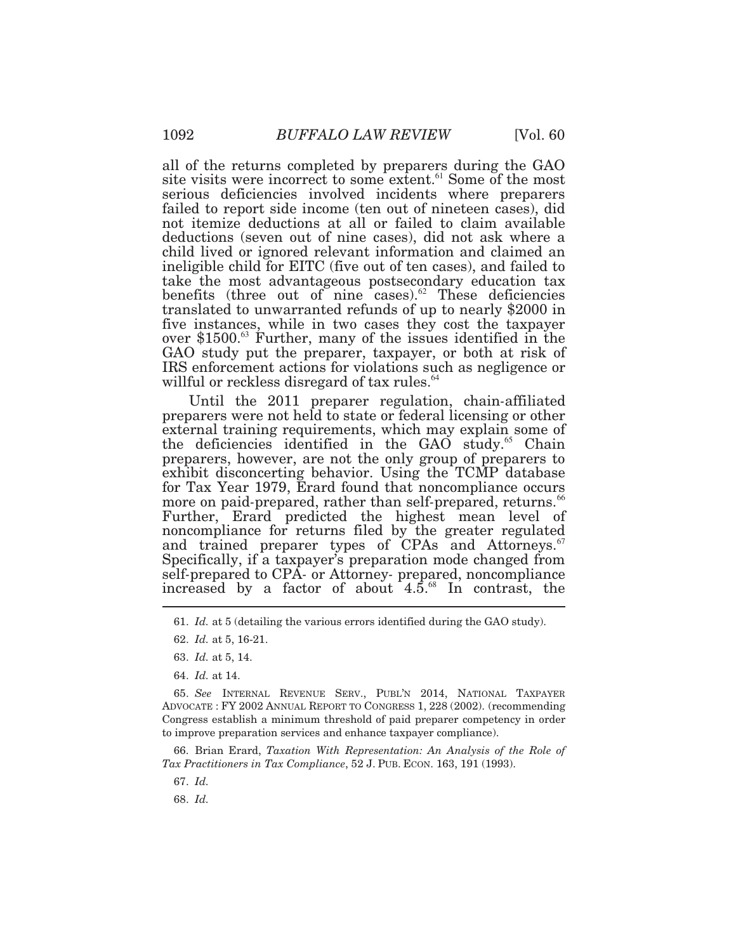all of the returns completed by preparers during the GAO site visits were incorrect to some [extent.](https://extent.61)<sup>61</sup> Some of the most serious deficiencies involved incidents where preparers failed to report side income (ten out of nineteen cases), did not itemize deductions at all or failed to claim available deductions (seven out of nine cases), did not ask where a child lived or ignored relevant information and claimed an ineligible child for EITC (five out of ten cases), and failed to take the most advantageous postsecondary education tax benefits (three out of nine [cases\).](https://cases).62) $62$  These deficiencies translated to unwarranted refunds of up to nearly \$2000 in five instances, while in two cases they cost the taxpayer over \$1500. $\mathrm{^{63}}$  Further, many of the issues identified in the GAO study put the preparer, taxpayer, or both at risk of IRS enforcement actions for violations such as negligence or willful or reckless disregard of tax [rules.](https://rules.64)<sup>64</sup>

 Until the 2011 preparer regulation, chain*-*affiliated preparers were not held to state or federal licensing or other external training requirements, which may explain some of the deficiencies identified in the GAO [study.](https://study.65)<sup>65</sup> Chain preparers, however, are not the only group of preparers to exhibit disconcerting behavior. Using the TCMP database for Tax Year 1979, Erard found that noncompliance occurs more on paid-prepared, rather than self-prepared, [returns.](https://returns.66)<sup>66</sup> Further, Erard predicted the highest mean level of noncompliance for returns filed by the greater regulated and trained preparer types of CPAs and [Attorneys.](https://Attorneys.67)<sup>67</sup> Specifically, if a taxpayer's preparation mode changed from self*-*prepared to CPA*-* or Attorney*-* prepared, noncompliance increased by a factor of about  $4.5.^{\scriptscriptstyle{68}}$  In contrast, the

 *Tax Practitioners in Tax Compliance*, 52 J. PUB. ECON. 163, 191 (1993). 66. Brian Erard, *Taxation With Representation: An Analysis of the Role of* 

67. *Id.* 

68. *Id.* 

 61. *Id.* at 5 (detailing the various errors identified during the GAO study).

<sup>62.</sup> *Id.* at 5, 16-21.

<sup>63.</sup> *Id.* at 5, 14.

<sup>64.</sup> *Id.* at 14.

 65. *See* INTERNAL REVENUE SERV., PUBL'N 2014, NATIONAL TAXPAYER ADVOCATE : FY 2002 ANNUAL REPORT TO CONGRESS 1, 228 (2002). (recommending Congress establish a minimum threshold of paid preparer competency in order to improve preparation services and enhance taxpayer compliance).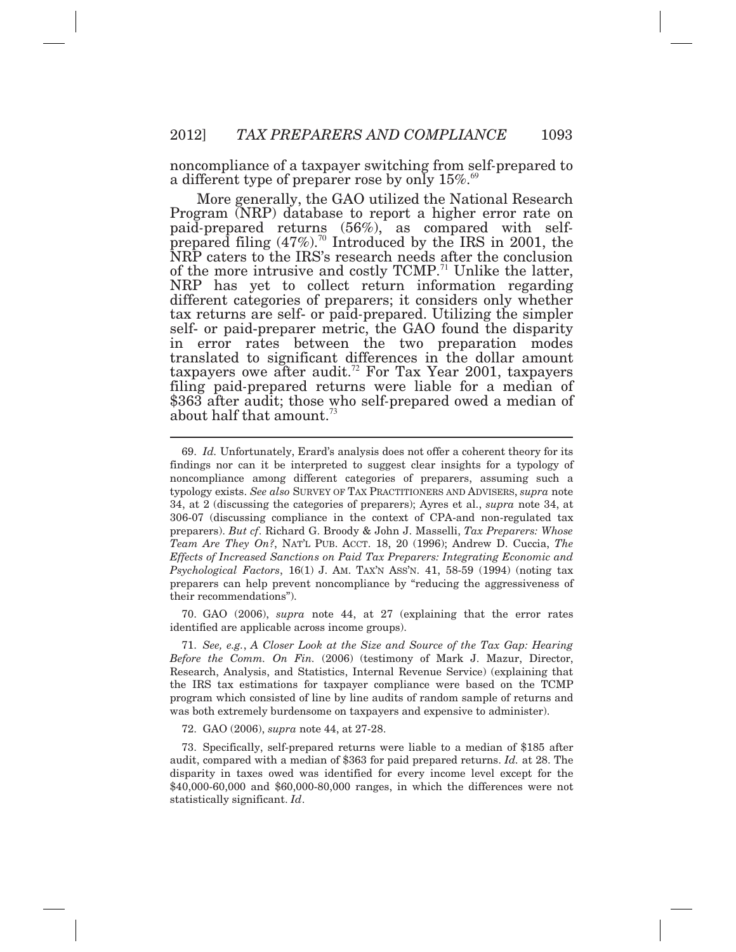noncompliance of a taxpayer switching from self*-*prepared to a different type of preparer rose by only  $15\%$ .<sup>69</sup>

 More generally, the GAO utilized the National Research in error rates between the two preparation modes Program (NRP) database to report a higher error rate on paid*-*prepared returns (56%), as compared with selfprepared filing  $(47\%)$ .<sup>70</sup> Introduced by the IRS in 2001, the NRP caters to the IRS's research needs after the conclusion of the more intrusive and costly  $TCMP<sup>71</sup>$  Unlike the latter, NRP has yet to collect return information regarding different categories of preparers; it considers only whether tax returns are self- or paid*-*prepared. Utilizing the simpler self- or paid-preparer metric, the GAO found the disparity translated to significant differences in the dollar amount taxpayers owe after [audit.](https://audit.72)<sup>72</sup> For Tax Year 2001, taxpayers filing paid*-*prepared returns were liable for a median of \$363 after audit; those who self*-*prepared owed a median of about half that [amount.](https://amount.73)<sup>73</sup>

 identified are applicable across income groups). 70. GAO (2006), *supra* note 44, at 27 (explaining that the error rates

 *Before the Comm. On Fin.* (2006) (testimony of Mark J. Mazur, Director, Research, Analysis, and Statistics, Internal Revenue Service) (explaining that the IRS tax estimations for taxpayer compliance were based on the TCMP program which consisted of line by line audits of random sample of returns and was both extremely burdensome on taxpayers and expensive to administer). 71. *See, e.g.*, *A Closer Look at the Size and Source of the Tax Gap: Hearing* 

72. GAO (2006), *supra* note 44, at 27-28.

 $\overline{a}$ 

 audit, compared with a median of \$363 for paid prepared returns. *Id.* at 28. The disparity in taxes owed was identified for every income level except for the \$40,000-60,000 and \$60,000-80,000 ranges, in which the differences were not statistically significant. *Id*. 73. Specifically, self-prepared returns were liable to a median of \$185 after

 findings nor can it be interpreted to suggest clear insights for a typology of noncompliance among different categories of preparers, assuming such a typology exists. *See also* SURVEY OF TAX PRACTITIONERS AND ADVISERS, *supra* note 34, at 2 (discussing the categories of preparers); Ayres et al., *supra* note 34, at 306-07 (discussing compliance in the context of CPA-and non-regulated tax preparers). *But cf*. Richard G. Broody & John J. Masselli, *Tax Preparers: Whose Team Are They On?*, NAT'L PUB. ACCT. 18, 20 (1996); Andrew D. Cuccia, *The Effects of Increased Sanctions on Paid Tax Preparers: Integrating Economic and Psychological Factors*, 16(1) J. AM. TAX'N ASS'N. 41, 58-59 (1994) (noting tax preparers can help prevent noncompliance by "reducing the aggressiveness of 69. *Id.* Unfortunately, Erard's analysis does not offer a coherent theory for its their recommendations").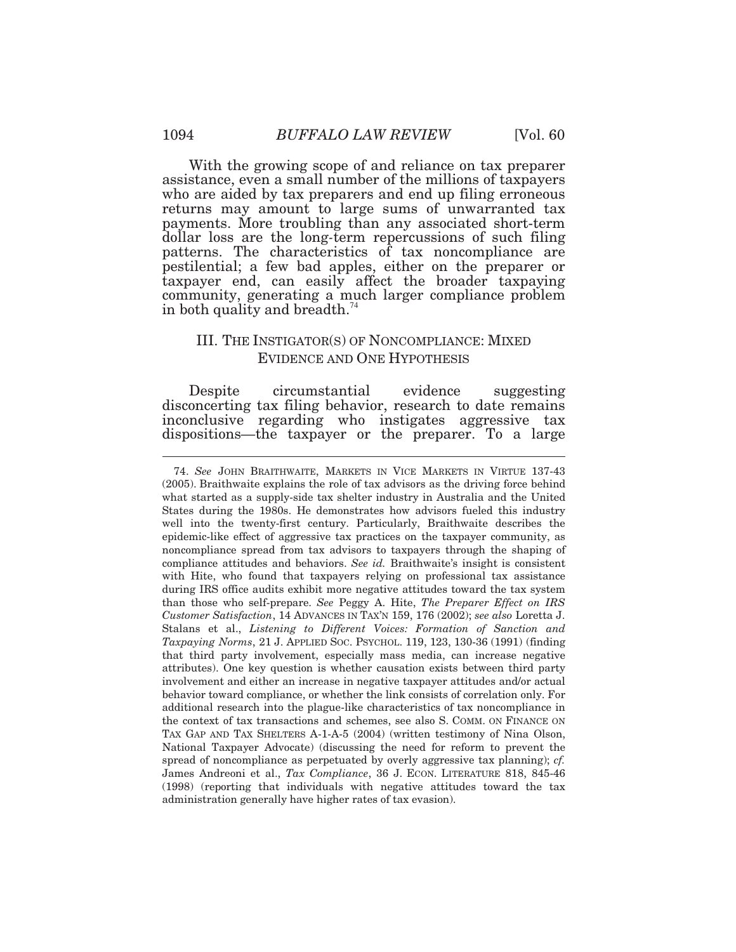With the growing scope of and reliance on tax preparer assistance, even a small number of the millions of taxpayers who are aided by tax preparers and end up filing erroneous returns may amount to large sums of unwarranted tax payments. More troubling than any associated short-term dollar loss are the long*-*term repercussions of such filing patterns. The characteristics of tax noncompliance are pestilential; a few bad apples, either on the preparer or taxpayer end, can easily affect the broader taxpaying community, generating a much larger compliance problem in both quality and [breadth.](https://breadth.74)<sup>74</sup>

## III. THE INSTIGATOR(S) OF NONCOMPLIANCE: MIXED EVIDENCE AND ONE HYPOTHESIS

 disconcerting tax filing behavior, research to date remains Despite circumstantial evidence suggesting inconclusive regarding who instigates aggressive tax dispositions*—*the taxpayer or the preparer. To a large

 (2005). Braithwaite explains the role of tax advisors as the driving force behind what started as a supply-side tax shelter industry in Australia and the United States during the 1980s. He demonstrates how advisors fueled this industry well into the twenty-first century. Particularly, Braithwaite describes the epidemic-like effect of aggressive tax practices on the taxpayer community, as noncompliance spread from tax advisors to taxpayers through the shaping of compliance attitudes and behaviors. *See id.* Braithwaite's insight is consistent with Hite, who found that taxpayers relying on professional tax assistance during IRS office audits exhibit more negative attitudes toward the tax system than those who self-prepare. *See* Peggy A. Hite, *The Preparer Effect on IRS Customer Satisfaction*, 14 ADVANCES IN TAX'N 159, 176 (2002); *see also* Loretta J. Stalans et al., *Listening to Different Voices: Formation of Sanction and Taxpaying Norms*, 21 J. APPLIED SOC. PSYCHOL. 119, 123, 130-36 (1991) (finding that third party involvement, especially mass media, can increase negative attributes). One key question is whether causation exists between third party involvement and either an increase in negative taxpayer attitudes and/or actual behavior toward compliance, or whether the link consists of correlation only. For additional research into the plague-like characteristics of tax noncompliance in the context of tax transactions and schemes, see also S. COMM. ON FINANCE ON TAX GAP AND TAX SHELTERS A-1-A-5 (2004) (written testimony of Nina Olson, National Taxpayer Advocate) (discussing the need for reform to prevent the spread of noncompliance as perpetuated by overly aggressive tax planning); *cf.*  James Andreoni et al., *Tax Compliance*, 36 J. ECON. LITERATURE 818, 845-46 (1998) (reporting that individuals with negative attitudes toward the tax administration generally have higher rates of tax evasion). 74. *See* JOHN BRAITHWAITE, MARKETS IN VICE MARKETS IN VIRTUE 137-43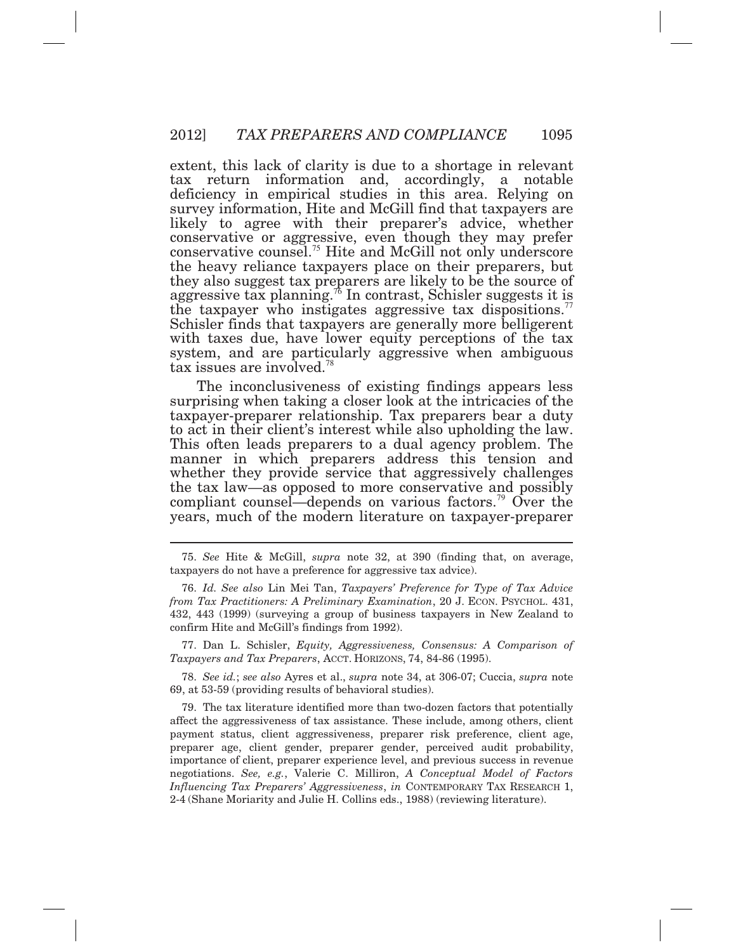extent, this lack of clarity is due to a shortage in relevant tax return information and, accordingly, a notable deficiency in empirical studies in this area. Relying on survey information, Hite and McGill find that taxpayers are likely to agree with their preparer's advice, whether conservative or aggressive, even though they may prefer conservative [counsel.](https://counsel.75)<sup>75</sup> Hite and McGill not only underscore the heavy reliance taxpayers place on their preparers, but they also suggest tax preparers are likely to be the source of aggressive tax [planning.](https://planning.76)<sup> $\pi$ </sup> In contrast, Schisler suggests it is the taxpayer who instigates aggressive tax [dispositions.](https://dispositions.77)<sup>77</sup> Schisler finds that taxpayers are generally more belligerent with taxes due, have lower equity perceptions of the tax system, and are particularly aggressive when ambiguous tax issues are [involved.](https://involved.78)<sup>78</sup>

 The inconclusiveness of existing findings appears less surprising when taking a closer look at the intricacies of the taxpayer-preparer relationship. Tax preparers bear a duty to act in their client's interest while also upholding the law. This often leads preparers to a dual agency problem. The manner in which preparers address this tension and whether they provide service that aggressively challenges the tax law—as opposed to more conservative and possibly compliant counsel—depends on various [factors.](https://factors.79)<sup>79</sup> Over the years, much of the modern literature on taxpayer-preparer

 $\overline{a}$ 

 *Taxpayers and Tax Preparers*, ACCT. HORIZONS, 74, 84-86 (1995). 77. Dan L. Schisler, *Equity, Aggressiveness, Consensus: A Comparison of* 

 69, at 53-59 (providing results of behavioral studies). 78. *See id.*; *see also* Ayres et al., *supra* note 34, at 306-07; Cuccia, *supra* note

 79. The tax literature identified more than two-dozen factors that potentially affect the aggressiveness of tax assistance. These include, among others, client payment status, client aggressiveness, preparer risk preference, client age, preparer age, client gender, preparer gender, perceived audit probability, importance of client, preparer experience level, and previous success in revenue negotiations. *See, e.g.*, Valerie C. Milliron, *A Conceptual Model of Factors Influencing Tax Preparers' Aggressiveness*, *in* CONTEMPORARY TAX RESEARCH 1, 2-4 (Shane Moriarity and Julie H. Collins eds., 1988) (reviewing literature).

 taxpayers do not have a preference for aggressive tax advice). 75. *See* Hite & McGill, *supra* note 32, at 390 (finding that, on average,

 76. *Id. See also* Lin Mei Tan, *Taxpayers' Preference for Type of Tax Advice from Tax Practitioners: A Preliminary Examination*, 20 J. ECON. PSYCHOL. 431, 432, 443 (1999) (surveying a group of business taxpayers in New Zealand to confirm Hite and McGill's findings from 1992).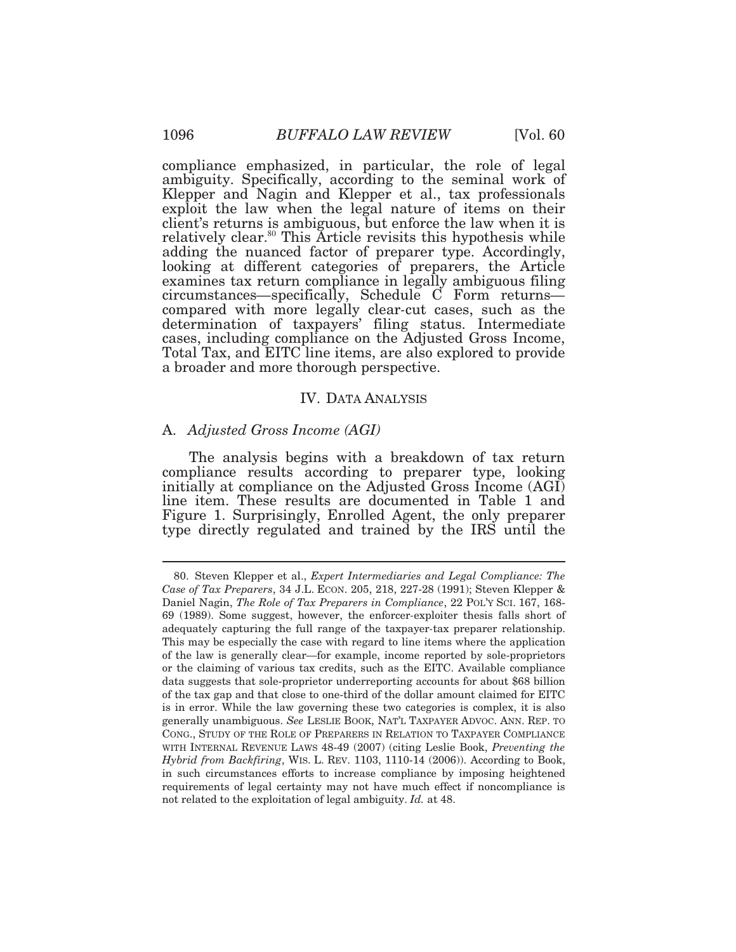compliance emphasized, in particular, the role of legal ambiguity. Specifically, according to the seminal work of Klepper and Nagin and Klepper et al., tax professionals exploit the law when the legal nature of items on their client's returns is ambiguous, but enforce the law when it is relatively [clear.](https://clear.80)<sup>80</sup> This Article revisits this hypothesis while adding the nuanced factor of preparer type. Accordingly, looking at different categories of preparers, the Article examines tax return compliance in legally ambiguous filing circumstances*—*specifically, Schedule C Form returns*—*  cases, including compliance on the Adjusted Gross Income, Total Tax, and EITC line items, are also explored to provide a broader and more thorough perspective. compared with more legally clear*-*cut cases, such as the determination of taxpayers' filing status. Intermediate

#### IV. DATA ANALYSIS

#### A. *Adjusted Gross Income (AGI)*

 The analysis begins with a breakdown of tax return Figure 1. Surprisingly, Enrolled Agent, the only preparer compliance results according to preparer type, looking initially at compliance on the Adjusted Gross Income (AGI) line item. These results are documented in Table 1 and type directly regulated and trained by the IRS until the

 *Case of Tax Preparers*, 34 J.L. ECON. 205, 218, 227-28 (1991); Steven Klepper & Daniel Nagin, *The Role of Tax Preparers in Compliance*, 22 POL'Y SCI. 167, 168- 69 (1989). Some suggest, however, the enforcer*-*exploiter thesis falls short of adequately capturing the full range of the taxpayer*-*tax preparer relationship. This may be especially the case with regard to line items where the application of the law is generally clear—for example, income reported by sole-proprietors or the claiming of various tax credits, such as the EITC. Available compliance data suggests that sole-proprietor underreporting accounts for about \$68 billion of the tax gap and that close to one-third of the dollar amount claimed for EITC is in error. While the law governing these two categories is complex, it is also generally unambiguous. *See* LESLIE BOOK, NAT'L TAXPAYER ADVOC. ANN. REP. TO CONG., STUDY OF THE ROLE OF PREPARERS IN RELATION TO TAXPAYER COMPLIANCE WITH INTERNAL REVENUE LAWS 48-49 (2007) (citing Leslie Book, *Preventing the Hybrid from Backfiring*, WIS. L. REV. 1103, 1110-14 (2006)). According to Book, in such circumstances efforts to increase compliance by imposing heightened requirements of legal certainty may not have much effect if noncompliance is not related to the exploitation of legal ambiguity. *Id.* at 48. 80. Steven Klepper et al., *Expert Intermediaries and Legal Compliance: The*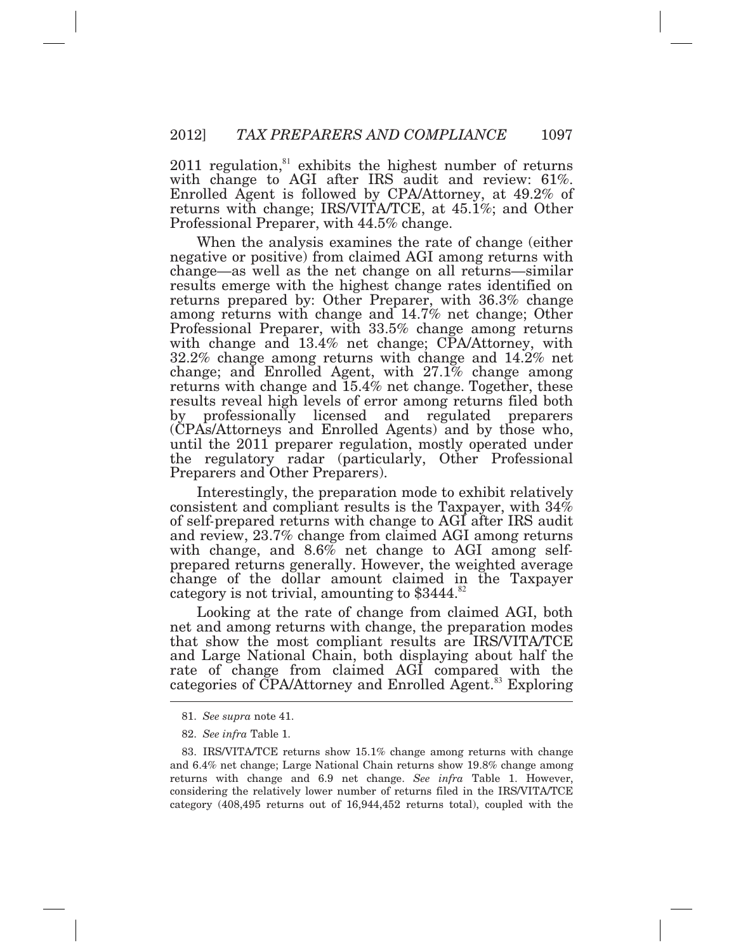$2011$  regulation, $81$  exhibits the highest number of returns with change to AGI after IRS audit and review: 61%. Enrolled Agent is followed by CPA/Attorney, at 49.2% of returns with change; IRS/VITA/TCE, at 45.1%; and Other Professional Preparer, with 44.5% change.

 When the analysis examines the rate of change (either negative or positive) from claimed AGI among returns with returns prepared by: Other Preparer, with 36.3% change among returns with change and 14.7% net change; Other with change and 13.4% net change; CPA/Attorney, with change; and Enrolled Agent, with 27.1% change among returns with change and 15.4% net change. Together, these change—as well as the net change on all returns—similar results emerge with the highest change rates identified on Professional Preparer, with 33.5% change among returns 32.2% change among returns with change and 14.2% net results reveal high levels of error among returns filed both by professionally licensed and regulated preparers (CPAs/Attorneys and Enrolled Agents) and by those who, until the 2011 preparer regulation, mostly operated under the regulatory radar (particularly, Other Professional Preparers and Other Preparers).

 Interestingly, the preparation mode to exhibit relatively consistent and compliant results is the Taxpayer, with 34% of self*-*prepared returns with change to AGI after IRS audit and review, 23.7% change from claimed AGI among returns with change, and 8.6% net change to AGI among self*-* prepared returns generally. However, the weighted average change of the dollar amount claimed in the Taxpayer category is not trivial, amounting to \$3444.<sup>82</sup>

 Looking at the rate of change from claimed AGI, both net and among returns with change, the preparation modes that show the most compliant results are IRS/VITA/TCE and Large National Chain, both displaying about half the rate of change from claimed AGI compared with the categories of CPA/Attorney and Enrolled [Agent.](https://Agent.83)<sup>83</sup> Exploring

<sup>81.</sup> *See supra* note 41.

<sup>82.</sup> *See infra* Table 1.

 and 6.4% net change; Large National Chain returns show 19.8% change among returns with change and 6.9 net change. *See infra* Table 1. However, considering the relatively lower number of returns filed in the IRS/VITA/TCE category (408,495 returns out of 16,944,452 returns total), coupled with the 83. IRS/VITA/TCE returns show 15.1% change among returns with change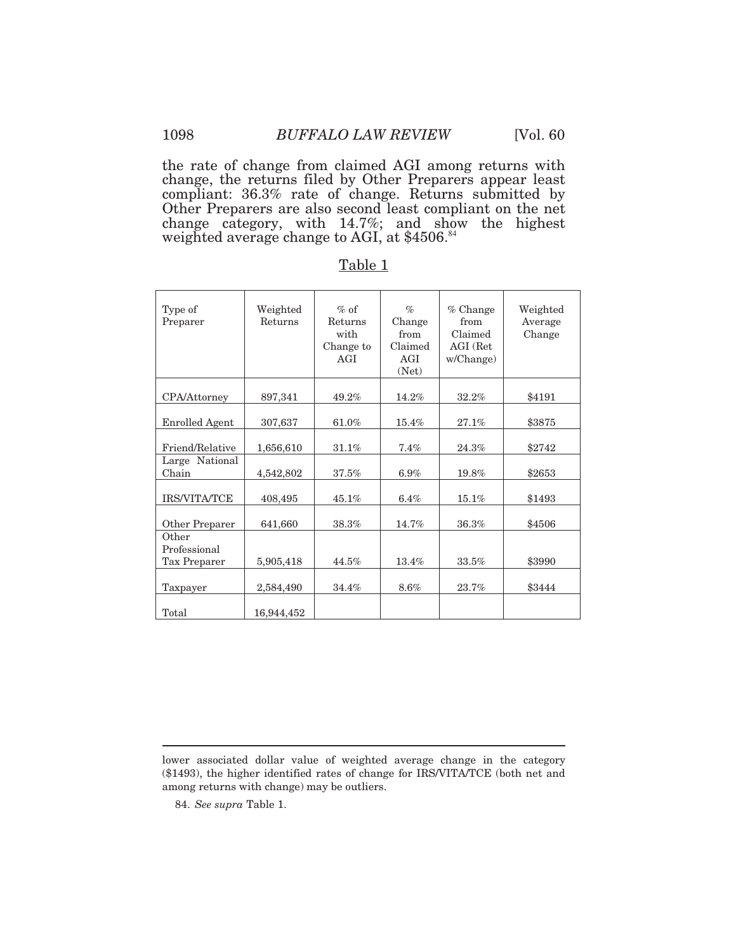the rate of change from claimed AGI among returns with change, the returns filed by Other Preparers appear least compliant: 36.3% rate of change. Returns submitted by Other Preparers are also second least compliant on the net change category, with 14.7%; and show the highest weighted average change to AGI, at \$4506.<sup>84</sup>

| Type of<br>Preparer                   | Weighted<br>Returns | $%$ of<br>Returns<br>with<br>Change to<br>AGI | $\%$<br>Change<br>from<br>Claimed<br>AGI<br>(Net) | $%$ Change<br>from<br>Claimed<br>AGI (Ret<br>w/Change) | Weighted<br>Average<br>Change |
|---------------------------------------|---------------------|-----------------------------------------------|---------------------------------------------------|--------------------------------------------------------|-------------------------------|
| CPA/Attorney                          | 897,341             | 49.2%                                         | 14.2%                                             | 32.2%                                                  | \$4191                        |
| <b>Enrolled Agent</b>                 | 307,637             | 61.0%                                         | 15.4%                                             | 27.1%                                                  | \$3875                        |
| Friend/Relative                       | 1,656,610           | 31.1%                                         | 7.4%                                              | 24.3%                                                  | \$2742                        |
| Large National<br>Chain               | 4,542,802           | 37.5%                                         | 6.9%                                              | 19.8%                                                  | \$2653                        |
| <b>IRS/VITA/TCE</b>                   | 408,495             | 45.1%                                         | 6.4%                                              | 15.1%                                                  | \$1493                        |
| Other Preparer                        | 641,660             | 38.3%                                         | 14.7%                                             | 36.3%                                                  | \$4506                        |
| Other<br>Professional<br>Tax Preparer | 5,905,418           | 44.5%                                         | 13.4%                                             | 33.5%                                                  | \$3990                        |
| Taxpayer                              | 2,584,490           | 34.4%                                         | 8.6%                                              | 23.7%                                                  | \$3444                        |
| Total                                 | 16,944,452          |                                               |                                                   |                                                        |                               |

Table 1

84. *See supra* Table 1.

 lower associated dollar value of weighted average change in the category (\$1493), the higher identified rates of change for IRS/VITA/TCE (both net and among returns with change) may be outliers.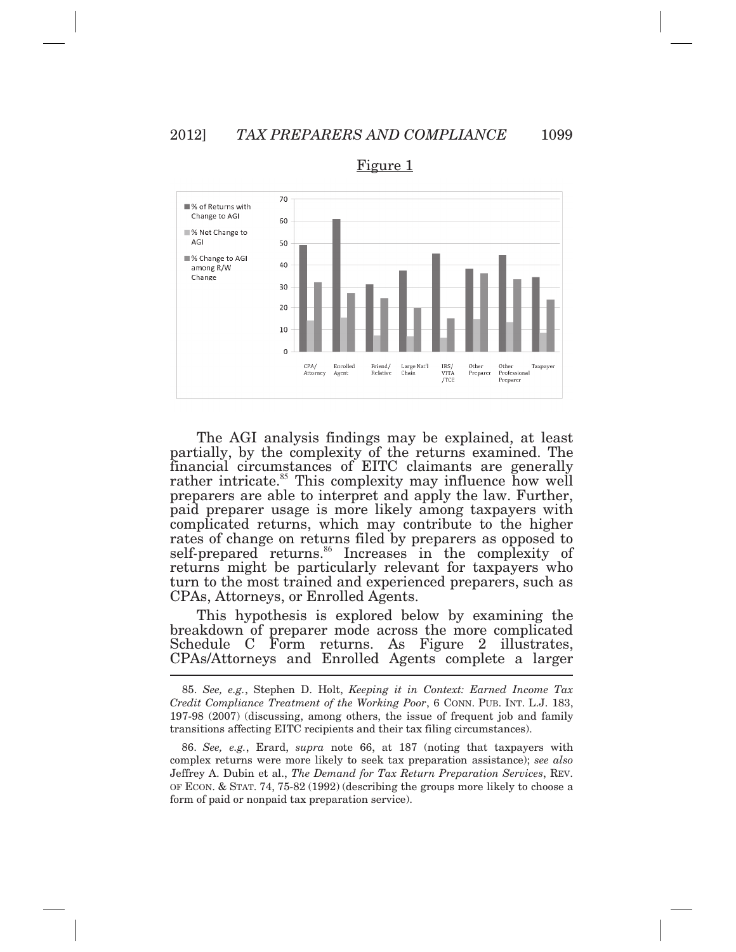

Figure 1

 The AGI analysis findings may be explained, at least partially, by the complexity of the returns examined. The J returns might be particularly relevant for taxpayers who turn to the most trained and experienced preparers, such as CPAs, Attorneys, or Enrolled Agents. financial circumstances of EITC claimants are generally rather [intricate.](https://intricate.85)<sup>85</sup> This complexity may influence how well preparers are able to interpret and apply the law. Further, paid preparer usage is more likely among taxpayers with complicated returns, which may contribute to the higher rates of change on returns filed by preparers as opposed to self-prepared [returns.](https://returns.86)<sup>86</sup> Increases in the complexity of

 This hypothesis is explored below by examining the breakdown of preparer mode across the more complicated Schedule C Form returns. As Figure 2 illustrates, CPAs/Attorneys and Enrolled Agents complete a larger

 *Credit Compliance Treatment of the Working Poor*, 6 CONN. PUB. INT. L.J. 183, 197-98 (2007) (discussing, among others, the issue of frequent job and family transitions affecting EITC recipients and their tax filing circumstances). 85. *See, e.g.*, Stephen D. Holt, *Keeping it in Context: Earned Income Tax* 

 86. *See, e.g.*, Erard, *supra* note 66, at 187 (noting that taxpayers with complex returns were more likely to seek tax preparation assistance); *see also*  Jeffrey A. Dubin et al., *The Demand for Tax Return Preparation Services*, REV. OF ECON. & STAT. 74, 75-82 (1992) (describing the groups more likely to choose a form of paid or nonpaid tax preparation service).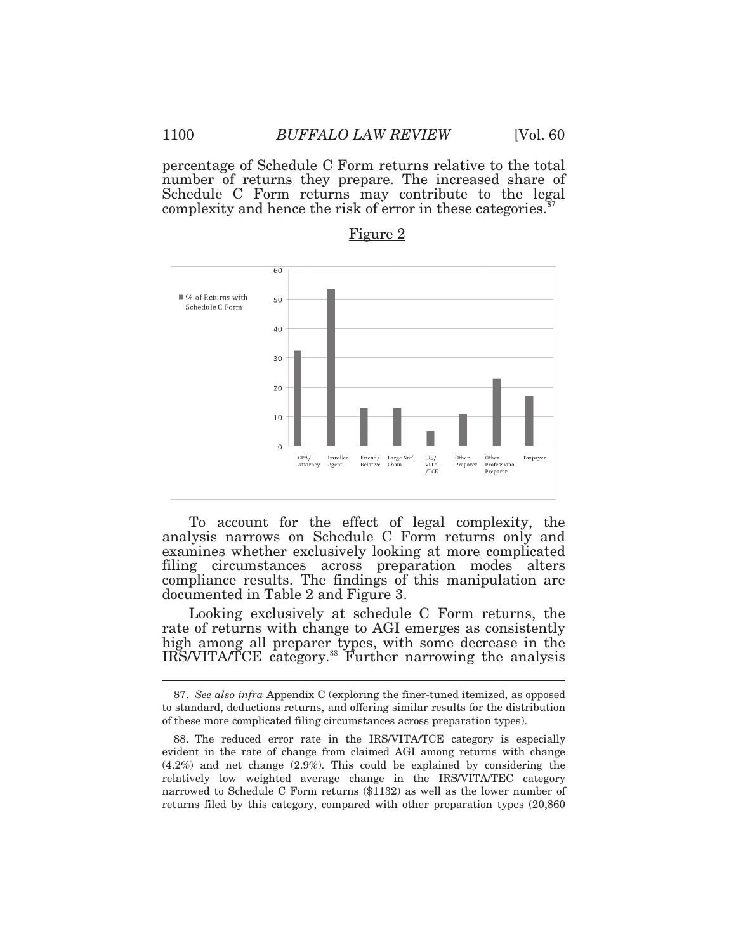percentage of Schedule C Form returns relative to the total number of returns they prepare. The increased share of Schedule C Form returns may contribute to the legal complexity and hence the risk of error in these [categories.](https://categories.87) $\mathbb{S}^7$ 



## Figure 2

 To account for the effect of legal complexity, the analysis narrows on Schedule C Form returns only and examines whether exclusively looking at more complicated filing circumstances across preparation modes alters compliance results. The findings of this manipulation are documented in Table 2 and Figure 3.

 Looking exclusively at schedule C Form returns, the high among all preparer types, with some decrease in the rate of returns with change to AGI emerges as consistently IRS/VITA/TCE [category.](https://category.88)<sup>88</sup> Further narrowing the analysis

 to standard, deductions returns, and offering similar results for the distribution of these more complicated filing circumstances across preparation types). 87. *See also infra* Appendix C (exploring the finer-tuned itemized, as opposed

 evident in the rate of change from claimed AGI among returns with change (4.2%) and net change (2.9%). This could be explained by considering the relatively low weighted average change in the IRS/VITA/TEC category narrowed to Schedule C Form returns (\$1132) as well as the lower number of returns filed by this category, compared with other preparation types (20,860 88. The reduced error rate in the IRS/VITA/TCE category is especially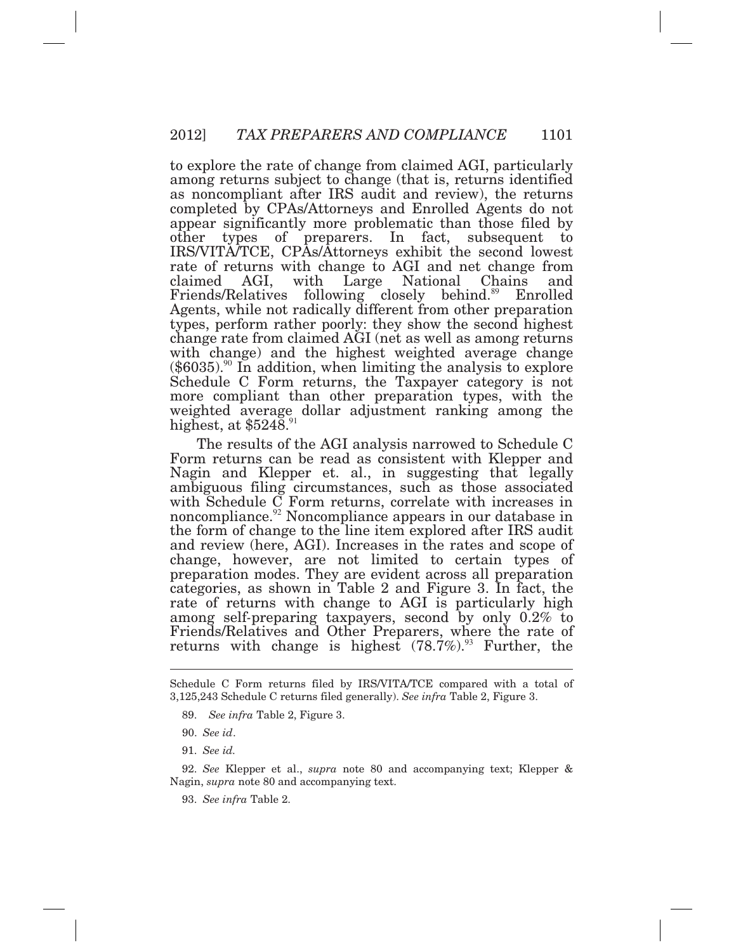to explore the rate of change from claimed AGI, particularly among returns subject to change (that is, returns identified as noncompliant after IRS audit and review), the returns completed by CPAs/Attorneys and Enrolled Agents do not appear significantly more problematic than those filed by other types of preparers. In fact, subsequent to IRS/VITA/TCE, CPAs/Attorneys exhibit the second lowest rate of returns with change to AGI and net change from claimed Friends/Relatives following closely [behind.](https://behind.89)<sup>89</sup> Enrolled Agents, while not radically different from other preparation types, perform rather poorly: they show the second highest change rate from claimed AGI (net as well as among returns with change) and the highest weighted average change  $(\$6035).$  $(\$6035).$ <sup>90</sup> In addition, when limiting the analysis to explore Schedule C Form returns, the Taxpayer category is not more compliant than other preparation types, with the weighted average dollar adjustment ranking among the highest, at  $$524\overline{8}.^{91}$ AGI, with Large National Chains and

 The results of the AGI analysis narrowed to Schedule C Nagin and Klepper et. al., in suggesting that legally and review (here, AGI). Increases in the rates and scope of categories, as shown in Table 2 and Figure 3. In fact, the among self*-*preparing taxpayers, second by only 0.2% to Friends/Relatives and Other Preparers, where the rate of returns with change is highest  $(78.7\%)$ .<sup>93</sup> Further, the Form returns can be read as consistent with Klepper and ambiguous filing circumstances, such as those associated with Schedule C Form returns, correlate with increases in [noncompliance.](https://noncompliance.92)<sup>92</sup> Noncompliance appears in our database in the form of change to the line item explored after IRS audit change, however, are not limited to certain types of preparation modes. They are evident across all preparation rate of returns with change to AGI is particularly high

 $\overline{a}$ 

 Nagin, *supra* note 80 and accompanying text. 92. *See* Klepper et al., *supra* note 80 and accompanying text; Klepper &

93. *See infra* Table 2.

 Schedule C Form returns filed by IRS/VITA/TCE compared with a total of 3,125,243 Schedule C returns filed generally). *See infra* Table 2, Figure 3.

<sup>89.</sup> *See infra* Table 2, Figure 3.

<sup>90.</sup> *See id*.

<sup>91.</sup> *See id.*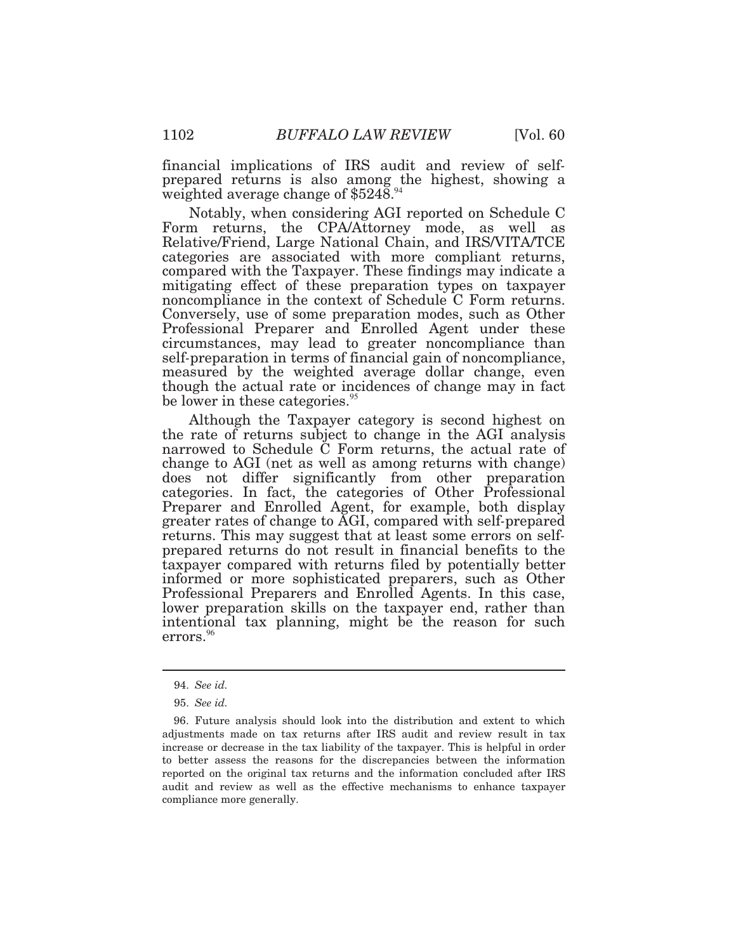financial implications of IRS audit and review of self*-* prepared returns is also among the highest, showing a weighted average change of \$5248.  $94$ 

 Form returns, the CPA/Attorney mode, as well as mitigating effect of these preparation types on taxpayer circumstances, may lead to greater noncompliance than Notably, when considering AGI reported on Schedule C Relative/Friend, Large National Chain, and IRS/VITA/TCE categories are associated with more compliant returns, compared with the Taxpayer. These findings may indicate a noncompliance in the context of Schedule C Form returns. Conversely, use of some preparation modes, such as Other Professional Preparer and Enrolled Agent under these self*-*preparation in terms of financial gain of noncompliance, measured by the weighted average dollar change, even though the actual rate or incidences of change may in fact be lower in these [categories.](https://categories.95)<sup>95</sup>

 Although the Taxpayer category is second highest on the rate of returns subject to change in the AGI analysis narrowed to Schedule C Form returns, the actual rate of change to AGI (net as well as among returns with change) does not differ significantly from other preparation categories. In fact, the categories of Other Professional returns. This may suggest that at least some errors on self*-* prepared returns do not result in financial benefits to the taxpayer compared with returns filed by potentially better informed or more sophisticated preparers, such as Other Professional Preparers and Enrolled Agents. In this case, lower preparation skills on the taxpayer end, rather than intentional tax planning, might be the reason for such errors.<sup>96</sup> errors.<sup>96</sup> Preparer and Enrolled Agent, for example, both display greater rates of change to AGI, compared with self*-*prepared

<sup>94.</sup> *See id.* 

<sup>95.</sup> *See id.* 

 adjustments made on tax returns after IRS audit and review result in tax increase or decrease in the tax liability of the taxpayer. This is helpful in order to better assess the reasons for the discrepancies between the information reported on the original tax returns and the information concluded after IRS audit and review as well as the effective mechanisms to enhance taxpayer compliance more generally. 96. Future analysis should look into the distribution and extent to which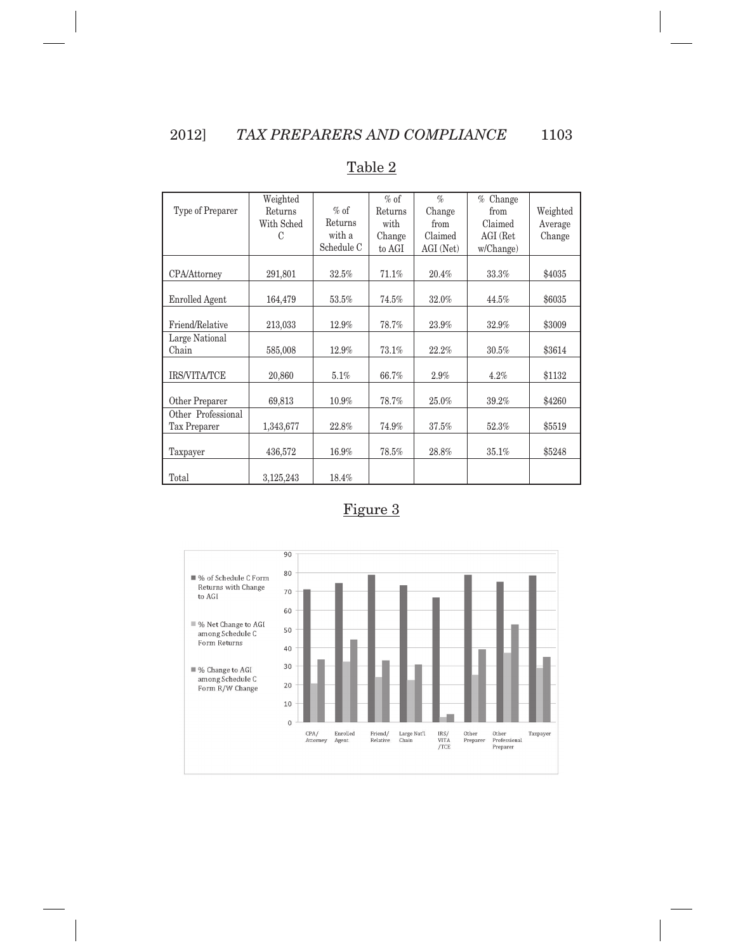$\overline{\phantom{a}}$ 

|                       | Weighted   |            | $%$ of  | $\mathcal{O}_0$ | Change<br>$\%$ |          |
|-----------------------|------------|------------|---------|-----------------|----------------|----------|
| Type of Preparer      | Returns    | $%$ of     | Returns | Change          | from           | Weighted |
|                       | With Sched | Returns    | with    | from            | Claimed        | Average  |
|                       | C          | with a     | Change  | Claimed         | AGI (Ret       | Change   |
|                       |            | Schedule C | to AGI  | AGI (Net)       | w/Change)      |          |
|                       |            |            |         |                 |                |          |
| CPA/Attorney          | 291,801    | 32.5%      | 71.1%   | 20.4%           | 33.3%          | \$4035   |
|                       |            |            |         |                 |                |          |
| <b>Enrolled Agent</b> | 164,479    | 53.5%      | 74.5%   | 32.0%           | 44.5%          | \$6035   |
|                       |            |            |         |                 |                |          |
| Friend/Relative       | 213,033    | 12.9%      | 78.7%   | 23.9%           | 32.9%          | \$3009   |
| Large National        |            |            |         |                 |                |          |
| Chain                 | 585,008    | 12.9%      | 73.1%   | 22.2%           | 30.5%          | \$3614   |
|                       |            |            |         |                 |                |          |
| <b>IRS/VITA/TCE</b>   | 20,860     | 5.1%       | 66.7%   | 2.9%            | 4.2%           | \$1132   |
|                       |            |            |         |                 |                |          |
| Other Preparer        | 69,813     | 10.9%      | 78.7%   | 25.0%           | 39.2%          | \$4260   |
| Other Professional    |            |            |         |                 |                |          |
| Tax Preparer          | 1,343,677  | 22.8%      | 74.9%   | 37.5%           | 52.3%          | \$5519   |
|                       |            |            |         |                 |                |          |
| Taxpayer              | 436,572    | 16.9%      | 78.5%   | 28.8%           | 35.1%          | \$5248   |
|                       |            |            |         |                 |                |          |
| Total                 | 3,125,243  | 18.4%      |         |                 |                |          |

### Table 2



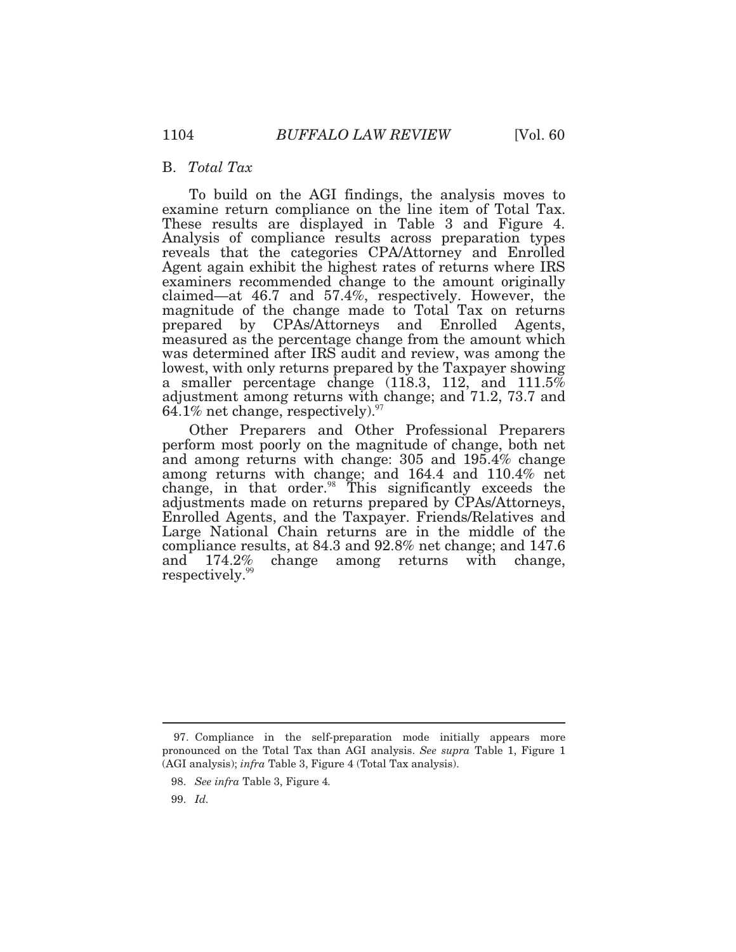#### B. *Total Tax*

 To build on the AGI findings, the analysis moves to examine return compliance on the line item of Total Tax. prepared by CPAs/Attorneys and Enrolled Agents, These results are displayed in Table 3 and Figure 4. Analysis of compliance results across preparation types reveals that the categories CPA/Attorney and Enrolled Agent again exhibit the highest rates of returns where IRS examiners recommended change to the amount originally claimed—at 46.7 and 57.4%, respectively. However, the magnitude of the change made to Total Tax on returns measured as the percentage change from the amount which was determined after IRS audit and review, was among the lowest, with only returns prepared by the Taxpayer showing a smaller percentage change (118.3, 112, and 111.5% adjustment among returns with change; and 71.2, 73.7 and 64.1% net change, [respectively\).](https://respectively).97) $\frac{97}{2}$ 

 Other Preparers and Other Professional Preparers and among returns with change: 305 and 195.4% change among returns with change; and 164.4 and 110.4% net change, in that [order.](https://order.98) $98$  This significantly exceeds the adjustments made on returns prepared by CPAs/Attorneys, Enrolled Agents, and the Taxpayer. Friends/Relatives and Large National Chain returns are in the middle of the compliance results, at 84.3 and 92.8% net change; and 147.6 and [respectively.](https://respectively.99)<sup>99</sup> perform most poorly on the magnitude of change, both net  $174.2\%$  change among returns with change,

 pronounced on the Total Tax than AGI analysis. *See supra* Table 1, Figure 1 (AGI analysis); *infra* Table 3, Figure 4 (Total Tax analysis). 97. Compliance in the self-preparation mode initially appears more

<sup>98.</sup> *See infra* Table 3, Figure 4*.* 

<sup>99.</sup> *Id.*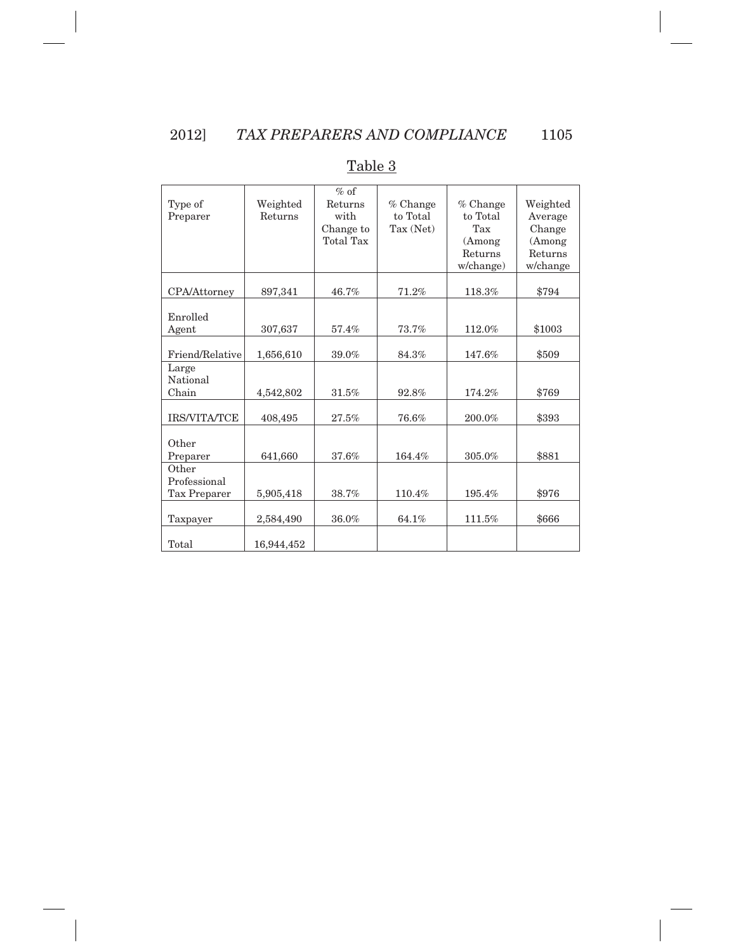| Type of<br>Preparer                   | Weighted<br>Returns | $%$ of<br>Returns<br>with<br>Change to<br><b>Total Tax</b> | $%$ Change<br>to Total<br>Tax (Net) | $%$ Change<br>to Total<br>Tax<br>(Among<br>Returns<br>w/change) | Weighted<br>Average<br>Change<br>(Among<br>Returns<br>w/change |
|---------------------------------------|---------------------|------------------------------------------------------------|-------------------------------------|-----------------------------------------------------------------|----------------------------------------------------------------|
| <b>CPA/Attorney</b>                   | 897,341             | 46.7%                                                      | 71.2%                               | 118.3%                                                          | \$794                                                          |
| Enrolled<br>Agent                     | 307,637             | 57.4%                                                      | 73.7%                               | 112.0%                                                          | \$1003                                                         |
| Friend/Relative                       | 1,656,610           | 39.0%                                                      | 84.3%                               | 147.6%                                                          | \$509                                                          |
| Large<br>National<br>Chain            | 4,542,802           | 31.5%                                                      | 92.8%                               | 174.2%                                                          | \$769                                                          |
| <b>IRS/VITA/TCE</b>                   | 408,495             | 27.5%                                                      | 76.6%                               | 200.0%                                                          | \$393                                                          |
| Other<br>Preparer                     | 641,660             | 37.6%                                                      | 164.4%                              | 305.0%                                                          | \$881                                                          |
| Other<br>Professional<br>Tax Preparer | 5,905,418           | 38.7%                                                      | 110.4%                              | 195.4%                                                          | \$976                                                          |
| Taxpayer                              | 2,584,490           | 36.0%                                                      | 64.1%                               | 111.5%                                                          | \$666                                                          |
| Total                                 | 16,944,452          |                                                            |                                     |                                                                 |                                                                |

#### Table 3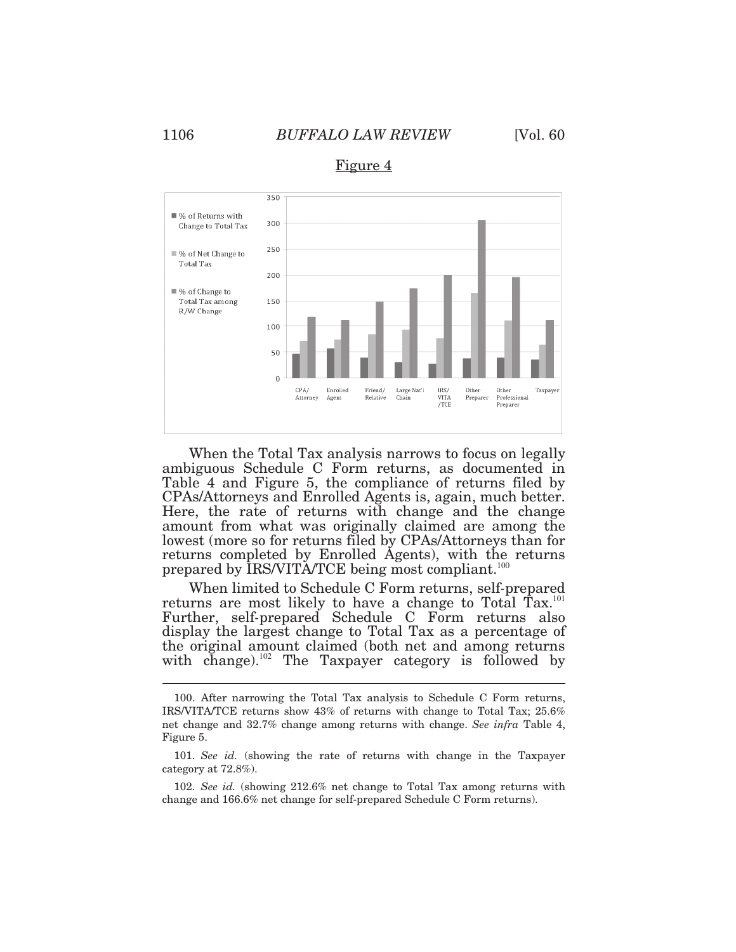$\overline{a}$ 

## 1106 *BUFFALO LAW REVIEW* [Vol. 60



Figure 4

 When the Total Tax analysis narrows to focus on legally ambiguous Schedule C Form returns, as documented in lowest (more so for returns filed by CPAs/Attorneys than for Table 4 and Figure 5, the compliance of returns filed by CPAs/Attorneys and Enrolled Agents is, again, much better. Here, the rate of returns with change and the change amount from what was originally claimed are among the returns completed by Enrolled Agents), with the returns prepared by IRS/VITA/TCE being most compliant.<sup>100</sup>

 When limited to Schedule C Form returns, self*-*prepared returns are most likely to have a change to Total Tax.<sup>101</sup> Further, self*-*prepared Schedule C Form returns also display the largest change to Total Tax as a percentage of the original amount claimed (both net and among returns with change).<sup>102</sup> The Taxpayer category is followed by

 IRS/VITA/TCE returns show 43% of returns with change to Total Tax; 25.6% net change and 32.7% change among returns with change. *See infra* Table 4, Figure 5. 100. After narrowing the Total Tax analysis to Schedule C Form returns,

 category at 72.8*%*). Figure 5. 101. *See id.* (showing the rate of returns with change in the Taxpayer

 change and 166.6% net change for self-prepared Schedule C Form returns). 102. *See id.* (showing 212.6% net change to Total Tax among returns with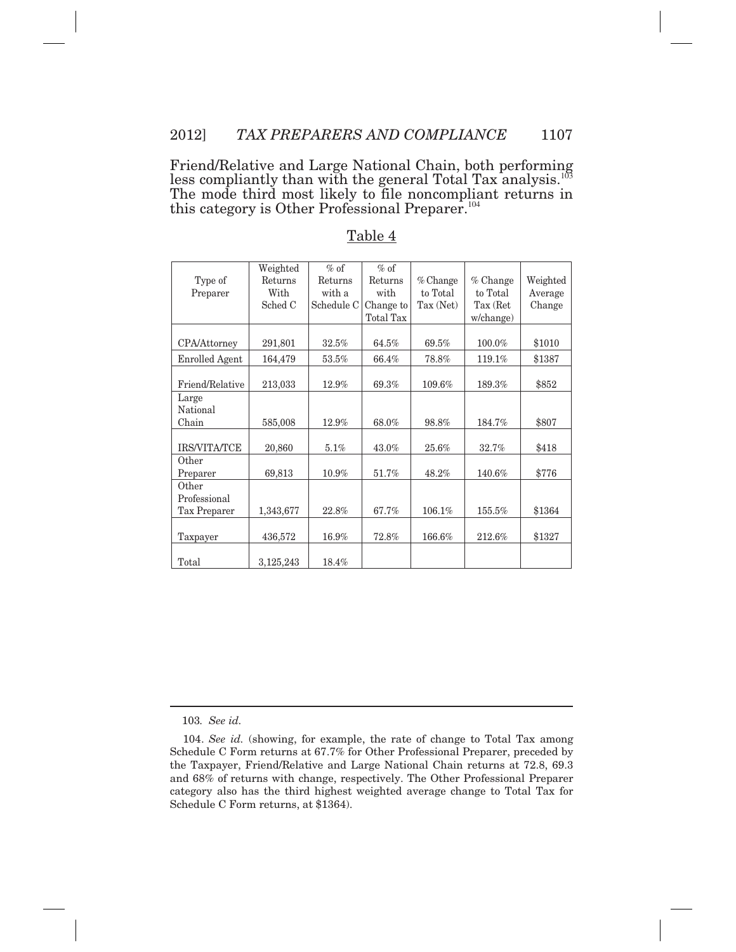this category is Other Professional Preparer.<sup>104</sup> Friend/Relative and Large National Chain, both performing less compliantly than with the general Total Tax analysis.<sup>103</sup> The mode third most likely to file noncompliant returns in

|                       | Weighted  | $\%$ of    | $%$ of           |            |           |          |
|-----------------------|-----------|------------|------------------|------------|-----------|----------|
| Type of               | Returns   | Returns    | Returns          | $%$ Change | % Change  | Weighted |
| Preparer              | With      | with a     | with             | to Total   | to Total  | Average  |
|                       | Sched C   | Schedule C | Change to        | Tax (Net)  | Tax (Ret  | Change   |
|                       |           |            | <b>Total Tax</b> |            |           |          |
|                       |           |            |                  |            | w/change) |          |
| CPA/Attorney          | 291,801   | 32.5%      | 64.5%            | 69.5%      | 100.0%    | \$1010   |
| <b>Enrolled Agent</b> | 164,479   | $53.5\%$   | 66.4%            | 78.8%      | $119.1\%$ | \$1387   |
|                       |           |            |                  |            |           |          |
| Friend/Relative       | 213,033   | 12.9%      | 69.3%            | 109.6%     | 189.3%    | \$852    |
| Large                 |           |            |                  |            |           |          |
| National              |           |            |                  |            |           |          |
| Chain                 | 585,008   | 12.9%      | 68.0%            | 98.8%      | 184.7%    | \$807    |
| IRS/VITA/TCE          | 20,860    | $5.1\%$    | 43.0%            | $25.6\%$   | 32.7%     | \$418    |
| Other                 |           |            |                  |            |           |          |
|                       |           |            |                  |            |           | \$776    |
| Preparer<br>Other     | 69,813    | $10.9\%$   | 51.7%            | 48.2%      | 140.6%    |          |
| Professional          |           |            |                  |            |           |          |
|                       |           |            |                  |            |           |          |
| Tax Preparer          | 1,343,677 | 22.8%      | 67.7%            | 106.1%     | 155.5%    | \$1364   |
| Taxpayer              | 436,572   | 16.9%      | 72.8%            | 166.6%     | 212.6%    | \$1327   |
|                       |           |            |                  |            |           |          |
| Total                 | 3,125,243 | 18.4%      |                  |            |           |          |
|                       |           |            |                  |            |           |          |
|                       |           |            |                  |            |           |          |
|                       |           |            |                  |            |           |          |
|                       |           |            |                  |            |           |          |
|                       |           |            |                  |            |           |          |
|                       |           |            |                  |            |           |          |
|                       |           |            |                  |            |           |          |
|                       |           |            |                  |            |           |          |
|                       |           |            |                  |            |           |          |
|                       |           |            |                  |            |           |          |
|                       |           |            |                  |            |           |          |
|                       |           |            |                  |            |           |          |
| 103. See id.          |           |            |                  |            |           |          |

#### Table 4

 104. *See id.* (showing, for example, the rate of change to Total Tax among Schedule C Form returns at 67.7% for Other Professional Preparer, preceded by the Taxpayer, Friend/Relative and Large National Chain returns at 72.8, 69.3 and 68% of returns with change, respectively. The Other Professional Preparer category also has the third highest weighted average change to Total Tax for Schedule C Form returns, at \$1364).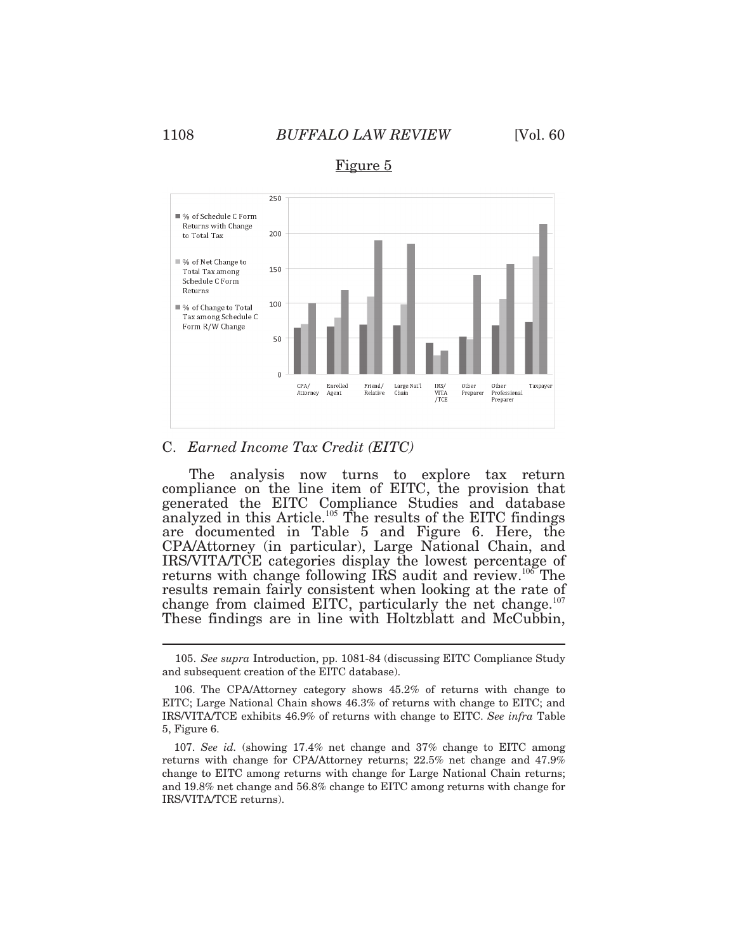

Figure 5

#### C. *Earned Income Tax Credit (EITC)*

 generated the EITC Compliance Studies and database results remain fairly consistent when looking at the rate of change from claimed EITC, particularly the net change.<sup>107</sup> The analysis now turns to explore tax return compliance on the line item of EITC, the provision that analyzed in this Article.<sup>105</sup> The results of the EITC findings are documented in Table 5 and Figure 6. Here, the CPA/Attorney (in particular), Large National Chain, and IRS/VITA/TCE categories display the lowest percentage of returns with change following IRS audit and review.<sup>106</sup>The These findings are in line with Holtzblatt and McCubbin,

 105. *See supra* Introduction, pp. 1081-84 (discussing EITC Compliance Study and subsequent creation of the EITC database).

 EITC; Large National Chain shows 46.3% of returns with change to EITC; and IRS/VITA/TCE exhibits 46.9% of returns with change to EITC. *See infra* Table 5, Figure 6. 106. The CPA/Attorney category shows 45.2% of returns with change to

 returns with change for CPA/Attorney returns; 22.5% net change and 47.9% change to EITC among returns with change for Large National Chain returns; and 19.8% net change and 56.8% change to EITC among returns with change for IRS/VITA/TCE returns). 107. *See id.* (showing 17.4% net change and 37% change to EITC among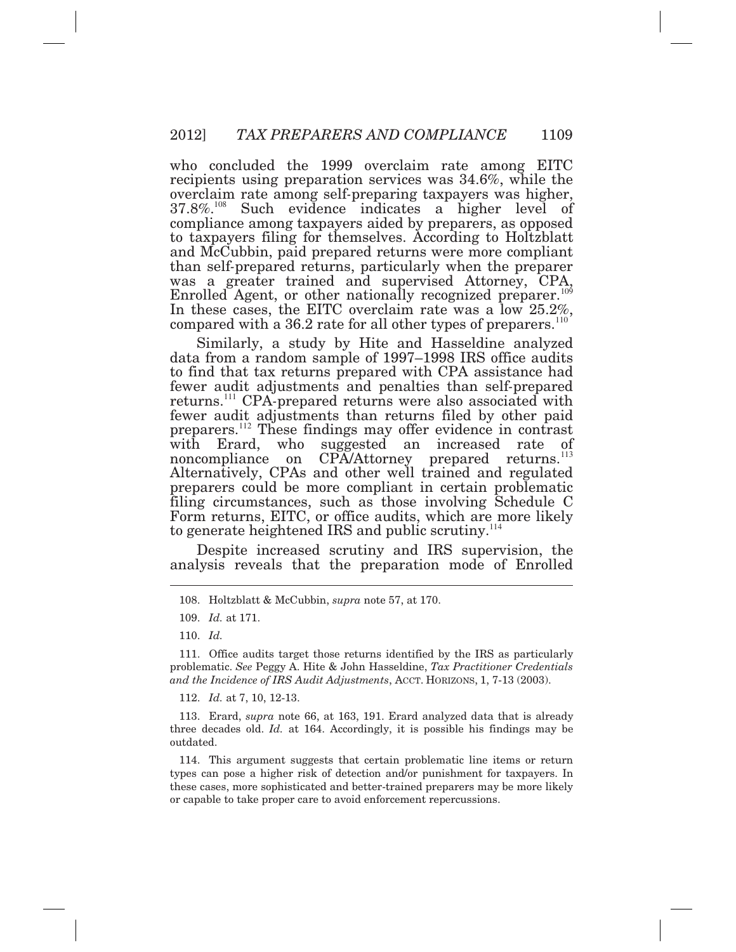who concluded the 1999 overclaim rate among EITC recipients using preparation services was 34.6%, while the overclaim rate among self*-*preparing taxpayers was higher,  $37.8\%$ <sup>108</sup> Such evidence indicates a higher level of compliance among taxpayers aided by preparers, as opposed to taxpayers filing for themselves. According to Holtzblatt and McCubbin, paid prepared returns were more compliant than self*-*prepared returns, particularly when the preparer was a greater trained and supervised Attorney, CPA, Enrolled Agent, or other nationally recognized preparer.<sup>109</sup> In these cases, the EITC overclaim rate was a low 25.2%, compared with a 36.2 rate for all other types of preparers.<sup>110</sup>

 Similarly, a study by Hite and Hasseldine analyzed returns.<sup>111</sup>CPA*-*prepared returns were also associated with Alternatively, CPAs and other well trained and regulated data from a random sample of 1997–1998 IRS office audits to find that tax returns prepared with CPA assistance had fewer audit adjustments and penalties than self*-*prepared fewer audit adjustments than returns filed by other paid preparers.<sup>112</sup> These findings may offer evidence in contrast with Erard, who suggested an increased rate of noncompliance on CPA/Attorney prepared returns.<sup>113</sup> preparers could be more compliant in certain problematic filing circumstances, such as those involving Schedule C Form returns, EITC, or office audits, which are more likely to generate heightened IRS and public scrutiny.<sup>114</sup>

 Despite increased scrutiny and IRS supervision, the analysis reveals that the preparation mode of Enrolled

112. *Id.* at 7, 10, 12-13.

 three decades old. *Id.* at 164. Accordingly, it is possible his findings may be outdated. 113. Erard, *supra* note 66, at 163, 191. Erard analyzed data that is already

 types can pose a higher risk of detection and/or punishment for taxpayers. In these cases, more sophisticated and better-trained preparers may be more likely or capable to take proper care to avoid enforcement repercussions. 114. This argument suggests that certain problematic line items or return

<sup>108.</sup> Holtzblatt & McCubbin, *supra* note 57, at 170.

<sup>109.</sup> *Id.* at 171.

<sup>110.</sup> *Id.* 

 problematic. *See* Peggy A. Hite & John Hasseldine, *Tax Practitioner Credentials and the Incidence of IRS Audit Adjustments*, ACCT. HORIZONS, 1, 7-13 (2003). 111. Office audits target those returns identified by the IRS as particularly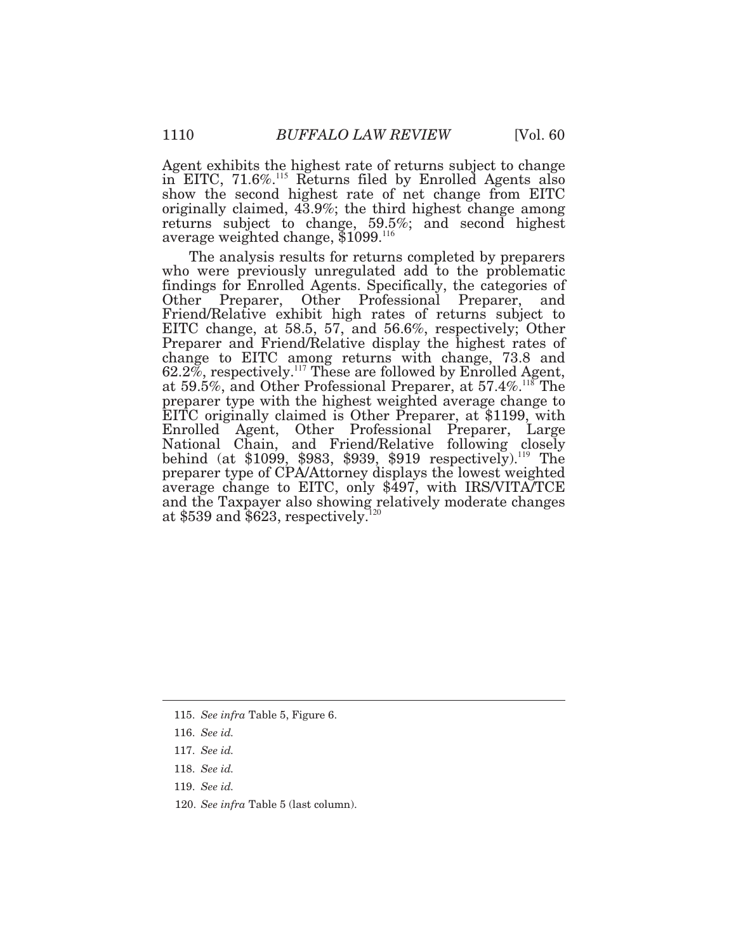Agent exhibits the highest rate of returns subject to change in EITC,  $71.6\%$ <sup>115</sup> Returns filed by Enrolled Agents also show the second highest rate of net change from EITC originally claimed, 43.9%; the third highest change among returns subject to change, 59.5%; and second highest average weighted change,  $$1099$ .<sup>116</sup>

 The analysis results for returns completed by preparers Friend/Relative exhibit high rates of returns subject to Preparer and Friend/Relative display the highest rates of at \$539 and  $$623$ , respectively.<sup>120</sup> who were previously unregulated add to the problematic findings for Enrolled Agents. Specifically, the categories of Other Preparer, Other Professional Preparer, and EITC change, at 58.5, 57, and 56.6%, respectively; Other change to EITC among returns with change, 73.8 and  $62.2\%$ , respectively.<sup>117</sup> These are followed by Enrolled Agent, at 59.5%, and Other Professional Preparer, at 57.4%.<sup>118</sup>The preparer type with the highest weighted average change to EITC originally claimed is Other Preparer, at \$1199, with Enrolled Agent, Other Professional Preparer, Large National Chain, and Friend/Relative following closely behind (at \$1099, \$983, \$939, \$919 respectively).<sup>119</sup> The preparer type of CPA/Attorney displays the lowest weighted average change to EITC, only \$497, with IRS/VITA/TCE and the Taxpayer also showing relatively moderate changes<br>at \$539 and \$623 respectively  $120$ 

 $\overline{a}$ 

 120. *See infra* Table 5 (last column).

<sup>115.</sup> *See infra* Table 5, Figure 6.

<sup>116.</sup> *See id.* 

<sup>117.</sup> *See id.* 

<sup>118.</sup> *See id.* 

<sup>119.</sup> *See id.*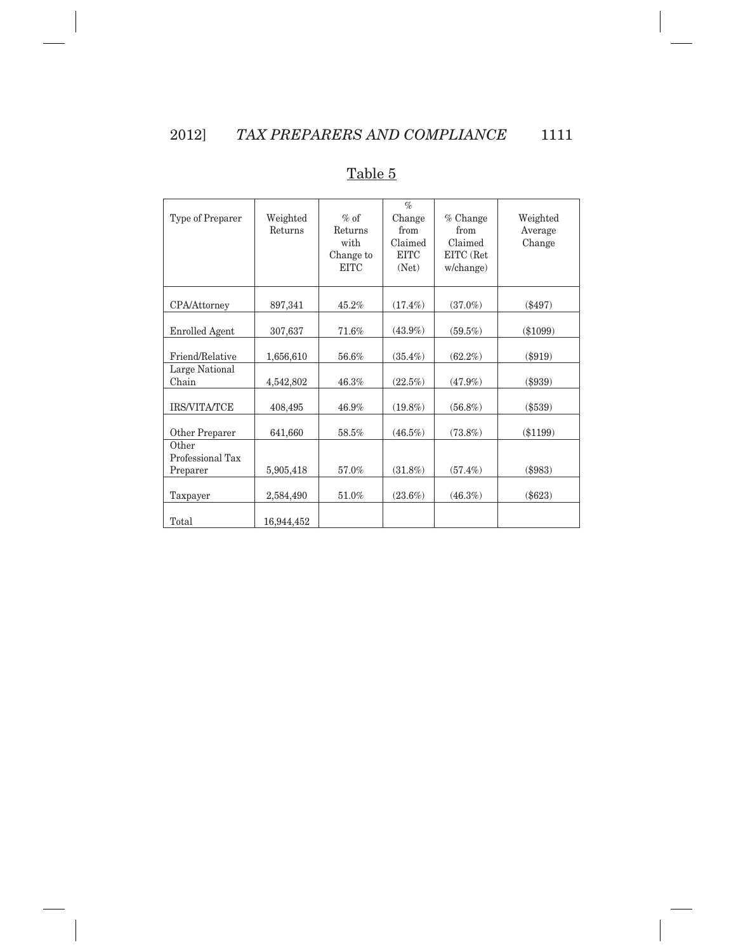| Type of Preparer          | Weighted<br>Returns | $%$ of<br>Returns<br>with<br>Change to<br><b>EITC</b> | $\%$<br>Change<br>from<br>Claimed<br><b>EITC</b><br>(Net) | $%$ Change<br>from<br>Claimed<br>EITC (Ret<br>w/change) | Weighted<br>Average<br>Change |
|---------------------------|---------------------|-------------------------------------------------------|-----------------------------------------------------------|---------------------------------------------------------|-------------------------------|
| CPA/Attorney              | 897,341             | 45.2%                                                 | $(17.4\%)$                                                | $(37.0\%)$                                              | $(\$497)$                     |
| <b>Enrolled Agent</b>     | 307,637             | 71.6%                                                 | $(43.9\%)$                                                | $(59.5\%)$                                              | $(\$1099)$                    |
| Friend/Relative           | 1,656,610           | 56.6%                                                 | $(35.4\%)$                                                | $(62.2\%)$                                              | $(\$919)$                     |
| Large National<br>Chain   | 4,542,802           | 46.3%                                                 | $(22.5\%)$                                                | $(47.9\%)$                                              | $(\$939)$                     |
| <b>IRS/VITA/TCE</b>       | 408,495             | $46.9\%$                                              | $(19.8\%)$                                                | $(56.8\%)$                                              | $(\$539)$                     |
| Other Preparer            | 641,660             | 58.5%                                                 | $(46.5\%)$                                                | $(73.8\%)$                                              | $(\$1199)$                    |
| Other<br>Professional Tax |                     |                                                       |                                                           |                                                         |                               |
| Preparer                  | 5,905,418           | 57.0%                                                 | $(31.8\%)$                                                | $(57.4\%)$                                              | (\$983)                       |
| Taxpayer                  | 2,584,490           | 51.0%                                                 | $(23.6\%)$                                                | $(46.3\%)$                                              | $(\$623)$                     |
| Total                     | 16,944,452          |                                                       |                                                           |                                                         |                               |

#### Table 5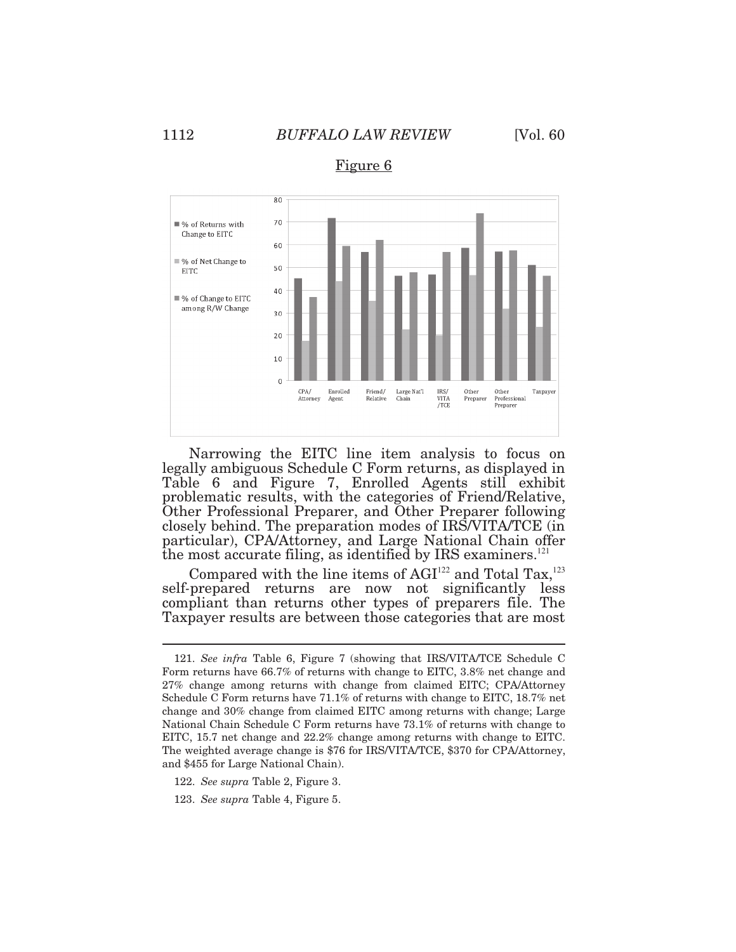

Figure 6

 Narrowing the EITC line item analysis to focus on legally ambiguous Schedule C Form returns, as displayed in Table 6 and Figure 7, Enrolled Agents still exhibit problematic results, with the categories of Friend/Relative, Other Professional Preparer, and Other Preparer following closely behind. The preparation modes of IRS/VITA/TCE (in particular), CPA/Attorney, and Large National Chain offer the most accurate filing, as identified by IRS examiners.<sup>121</sup>

Compared with the line items of  $AGI<sup>122</sup>$  and Total Tax,<sup>123</sup> self*-*prepared returns are now not significantly less compliant than returns other types of preparers file. The Taxpayer results are between those categories that are most

 Form returns have 66.7% of returns with change to EITC, 3.8% net change and 27% change among returns with change from claimed EITC; CPA/Attorney Schedule C Form returns have 71.1% of returns with change to EITC, 18.7% net change and 30% change from claimed EITC among returns with change; Large National Chain Schedule C Form returns have 73.1% of returns with change to EITC, 15.7 net change and 22.2% change among returns with change to EITC. The weighted average change is \$76 for IRS/VITA/TCE, \$370 for CPA/Attorney, and \$455 for Large National Chain). 121. *See infra* Table 6, Figure 7 (showing that IRS/VITA/TCE Schedule C

<sup>122.</sup> *See supra* Table 2, Figure 3.

<sup>123.</sup> *See supra* Table 4, Figure 5.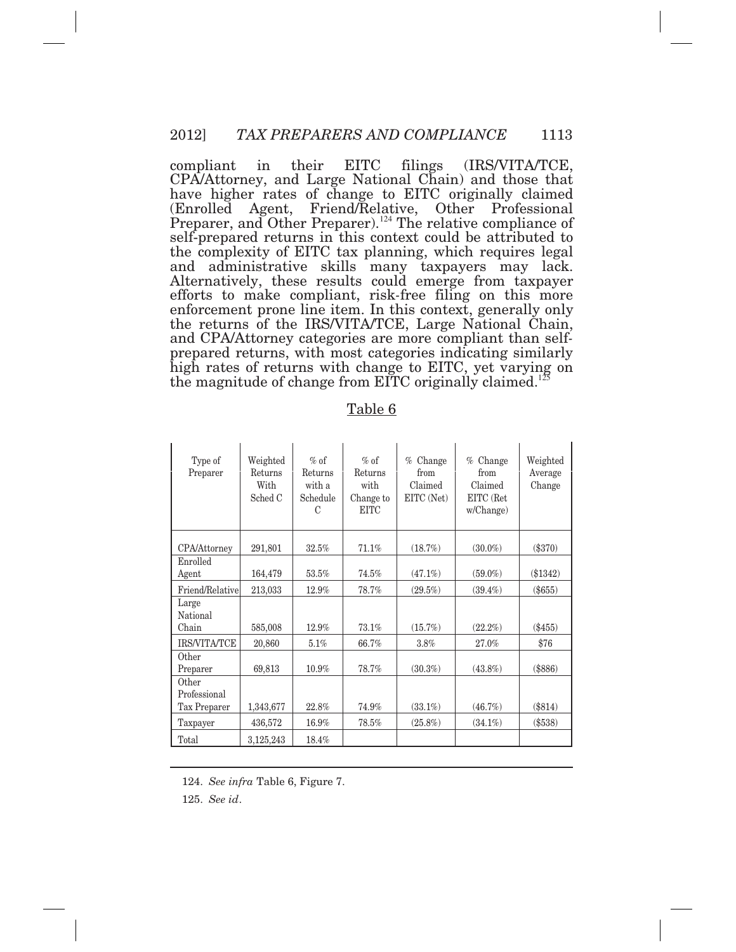compliant CPA/Attorney, and Large National Chain) and those that have higher rates of change to EITC originally claimed Preparer, and Other Preparer).<sup>124</sup> The relative compliance of self-prepared returns in this context could be attributed to the complexity of EITC tax planning, which requires legal and administrative skills many taxpayers may lack. efforts to make compliant, risk*-*free filing on this more enforcement prone line item. In this context, generally only the returns of the IRS/VITA/TCE, Large National Chain, and CPA/Attorney categories are more compliant than self*-* prepared returns, with most categories indicating similarly high rates of returns with change to EITC, yet varying on the magnitude of change from EITC originally claimed.<sup>125</sup> in their EITC filings (IRS/VITA/TCE, (Enrolled Agent, Friend/Relative, Other Professional Alternatively, these results could emerge from taxpayer

| Type of<br>Preparer        | Weighted<br>Returns<br>With<br>Sched C | $%$ of<br>Returns<br>with a<br>Schedule<br>C | $%$ of<br>Returns<br>with<br>Change to<br><b>EITC</b> | Change<br>$\%$<br>from<br>Claimed<br>EITC (Net) | Change<br>%<br>from<br>Claimed<br>EITC (Ret<br>w/Change) | Weighted<br>Average<br>Change |
|----------------------------|----------------------------------------|----------------------------------------------|-------------------------------------------------------|-------------------------------------------------|----------------------------------------------------------|-------------------------------|
| CPA/Attorney               | 291,801                                | 32.5%                                        | 71.1%                                                 | (18.7%)                                         | $(30.0\%)$                                               | $(\$370)$                     |
| Enrolled<br>Agent          | 164,479                                | 53.5%                                        | 74.5%                                                 | $(47.1\%)$                                      | $(59.0\%)$                                               | $(\$1342)$                    |
| Friend/Relative            | 213,033                                | 12.9%                                        | 78.7%                                                 | $(29.5\%)$                                      | $(39.4\%)$                                               | $(\$655)$                     |
| Large<br>National<br>Chain | 585,008                                | 12.9%                                        | 73.1%                                                 | $(15.7\%)$                                      | $(22.2\%)$                                               | $(\$455)$                     |
| <b>IRS/VITA/TCE</b>        | 20,860                                 | 5.1%                                         | 66.7%                                                 | 3.8%                                            | 27.0%                                                    | \$76                          |
| Other<br>Preparer          | 69,813                                 | 10.9%                                        | 78.7%                                                 | $(30.3\%)$                                      | $(43.8\%)$                                               | $(\$886)$                     |
| Other<br>Professional      |                                        |                                              |                                                       |                                                 |                                                          |                               |
| Tax Preparer               | 1,343,677                              | 22.8%                                        | 74.9%                                                 | $(33.1\%)$                                      | (46.7%)                                                  | $(\$814)$                     |
| Taxpayer                   | 436,572                                | 16.9%                                        | 78.5%                                                 | $(25.8\%)$                                      | $(34.1\%)$                                               | $(\$538)$                     |
| Total                      | 3,125,243                              | 18.4%                                        |                                                       |                                                 |                                                          |                               |

Table 6

124. *See infra* Table 6, Figure 7.

125. *See id*.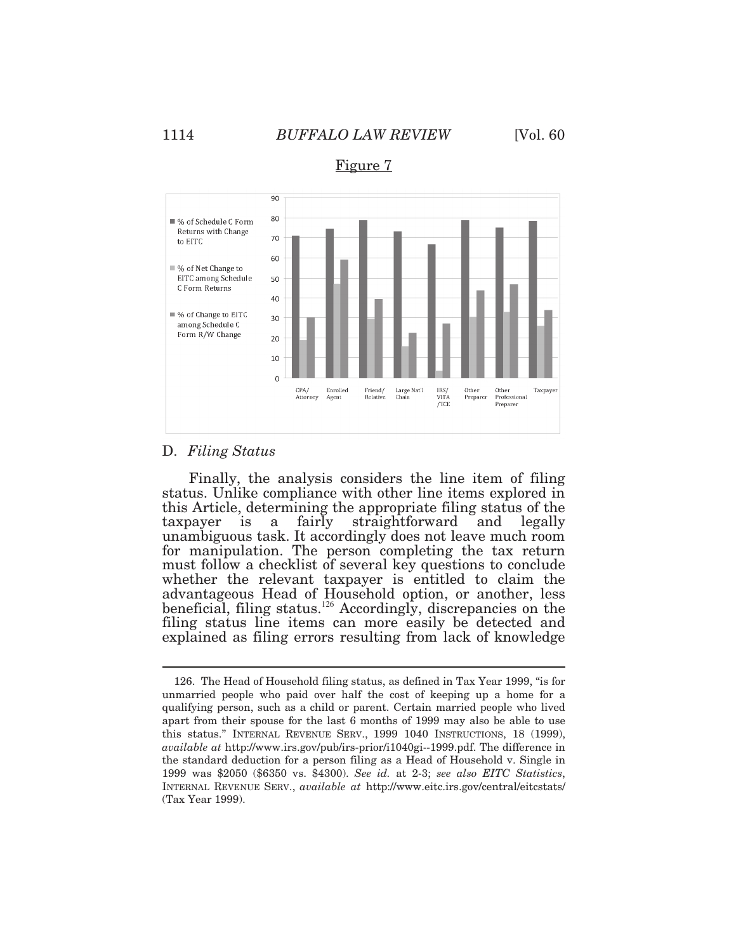

Figure 7

#### D. *Filing Status*

 $\overline{a}$ 

 Finally, the analysis considers the line item of filing status. Unlike compliance with other line items explored in this Article, determining the appropriate filing status of the taxpayer is a fairly straightforward and legally taxpayer is a fairly straightforward and legally unambiguous task. It accordingly does not leave much room for manipulation. The person completing the tax return must follow a checklist of several key questions to conclude whether the relevant taxpayer is entitled to claim the advantageous Head of Household option, or another, less beneficial, filing status.<sup>126</sup> Accordingly, discrepancies on the filing status line items can more easily be detected and explained as filing errors resulting from lack of knowledge

 unmarried people who paid over half the cost of keeping up a home for a qualifying person, such as a child or parent. Certain married people who lived apart from their spouse for the last 6 months of 1999 may also be able to use this status." INTERNAL REVENUE SERV., 1999 1040 INSTRUCTIONS, 18 (1999), *available at* [http://www.irs.gov/pub/irs-prior/i1040gi--1999.pdf.](http://www.irs.gov/pub/irs-prior/i1040gi--1999.pdf) The difference in the standard deduction for a person filing as a Head of Household v. Single in 1999 was \$2050 (\$6350 vs. \$4300). *See id.* at 2-3; *see also EITC Statistics*, INTERNAL REVENUE SERV., *available at* <http://www.eitc.irs.gov/central/eitcstats>/ (Tax Year 1999). 126. The Head of Household filing status, as defined in Tax Year 1999, "is for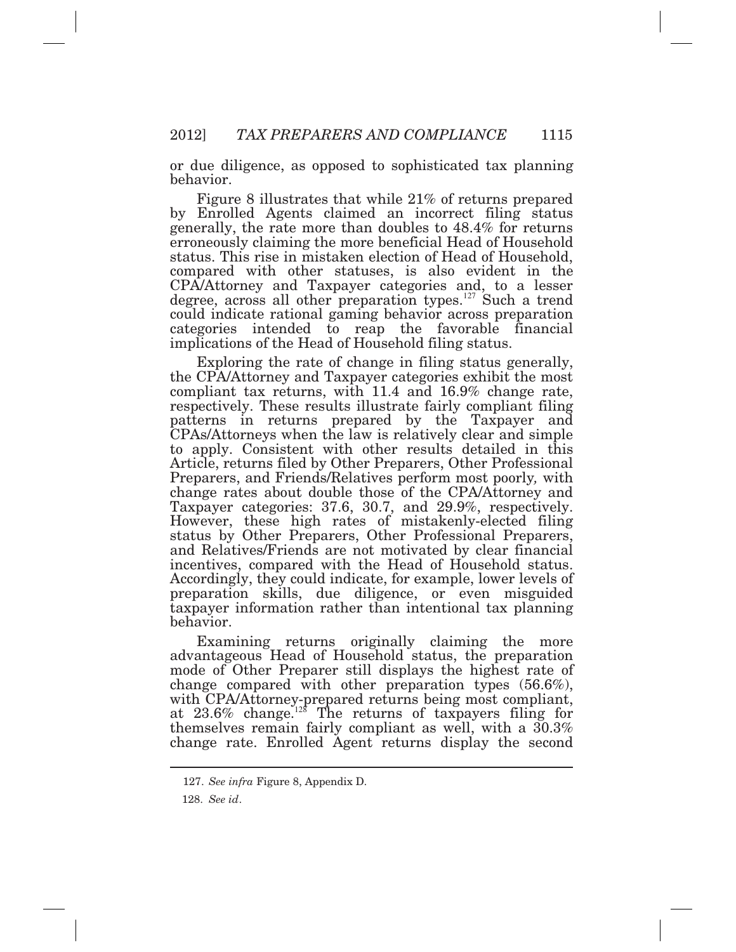or due diligence, as opposed to sophisticated tax planning behavior.

 Figure 8 illustrates that while 21% of returns prepared erroneously claiming the more beneficial Head of Household implications of the Head of Household filing status. by Enrolled Agents claimed an incorrect filing status generally, the rate more than doubles to 48.4% for returns status. This rise in mistaken election of Head of Household, compared with other statuses, is also evident in the CPA/Attorney and Taxpayer categories and, to a lesser degree, across all other preparation types.<sup>127</sup> Such a trend could indicate rational gaming behavior across preparation categories intended to reap the favorable financial

 Exploring the rate of change in filing status generally, the CPA/Attorney and Taxpayer categories exhibit the most compliant tax returns, with 11.4 and 16.9% change rate, respectively. These results illustrate fairly compliant filing patterns in returns prepared by the Taxpayer and CPAs/Attorneys when the law is relatively clear and simple to apply. Consistent with other results detailed in this Article, returns filed by Other Preparers, Other Professional Preparers, and Friends/Relatives perform most poorly*,* with Taxpayer categories: 37.6, 30.7, and 29.9%, respectively. incentives, compared with the Head of Household status. Accordingly, they could indicate, for example, lower levels of preparation skills, due diligence, or even misguided taxpayer information rather than intentional tax planning change rates about double those of the CPA/Attorney and However, these high rates of mistakenly-elected filing status by Other Preparers, Other Professional Preparers, and Relatives/Friends are not motivated by clear financial behavior.

 Examining returns originally claiming the more change compared with other preparation types (56.6%), advantageous Head of Household status, the preparation mode of Other Preparer still displays the highest rate of with CPA/Attorney-prepared returns being most compliant, at  $23.6\%$  change.<sup>128</sup> The returns of taxpayers filing for themselves remain fairly compliant as well, with a 30.3% change rate. Enrolled Agent returns display the second

 127. *See infra* Figure 8, Appendix D.

<sup>128.</sup> *See id*.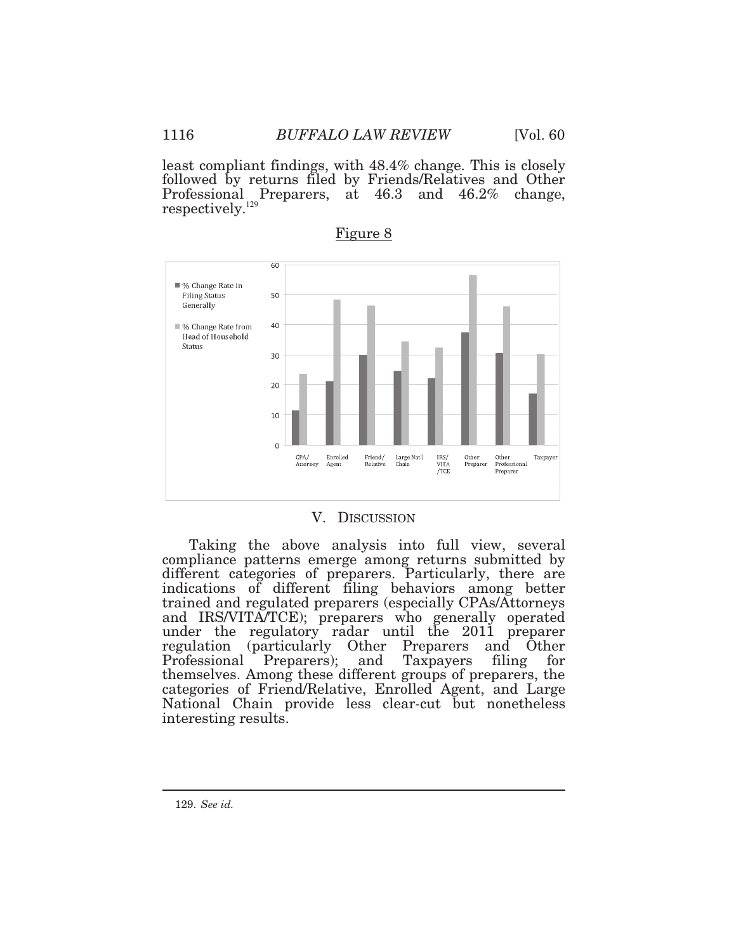least compliant findings, with 48.4% change. This is closely followed by returns filed by Friends/Relatives and Other Professional Preparers, at 46.3 and 46.2% change, respectively.<sup>129</sup>



Figure 8

#### V. DISCUSSION

 Taking the above analysis into full view, several compliance patterns emerge among returns submitted by regulation (particularly Other Preparers and Other categories of Friend/Relative, Enrolled Agent, and Large different categories of preparers. Particularly, there are indications of different filing behaviors among better trained and regulated preparers (especially CPAs/Attorneys and IRS/VITA/TCE); preparers who generally operated under the regulatory radar until the 2011 preparer Professional Preparers); and Taxpayers filing for themselves. Among these different groups of preparers, the National Chain provide less clear*-*cut but nonetheless interesting results.

129. *See id.*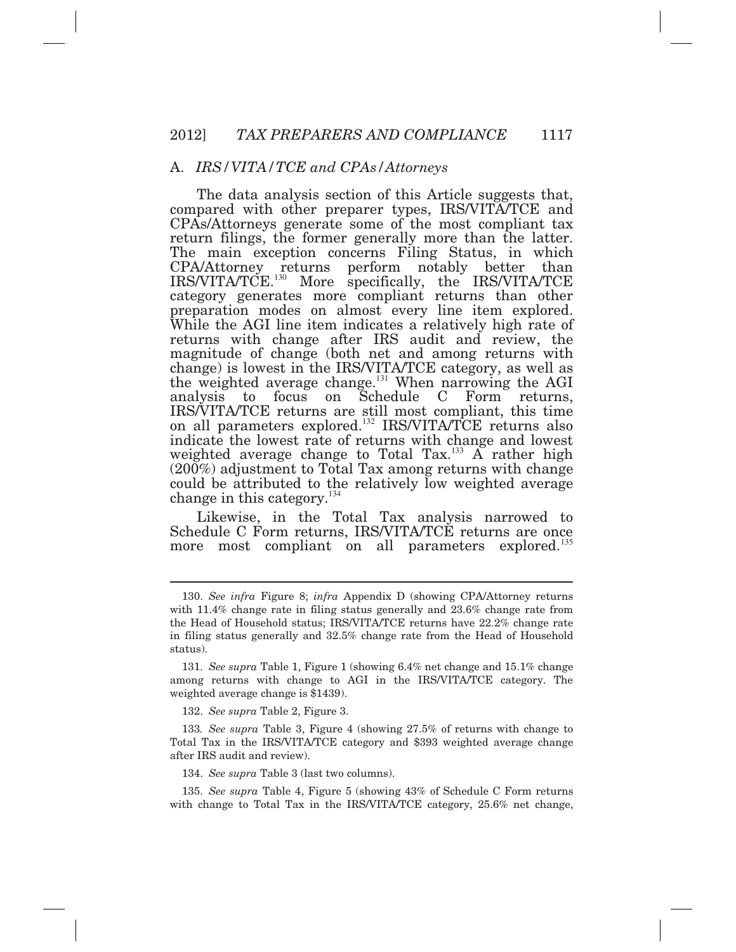#### A. *IRS/VITA/TCE and CPAs/Attorneys*

 The data analysis section of this Article suggests that, compared with other preparer types, IRS/VITA/TCE and return filings, the former generally more than the latter. returns with change after IRS audit and review, the weighted average change to Total Tax. $133$  A rather high change in this category.<sup>134</sup> CPAs/Attorneys generate some of the most compliant tax The main exception concerns Filing Status, in which CPA/Attorney returns perform notably better than IRS/VITA/TCE.<sup>130</sup> More specifically, the IRS/VITA/TCE category generates more compliant returns than other preparation modes on almost every line item explored. While the AGI line item indicates a relatively high rate of magnitude of change (both net and among returns with change) is lowest in the IRS/VITA/TCE category, as well as the weighted average change.<sup>131</sup> When narrowing the AGI analysis to focus on Schedule C Form returns, IRS/VITA/TCE returns are still most compliant, this time on all parameters explored.<sup>132</sup> IRS/VITA/TCE returns also indicate the lowest rate of returns with change and lowest (200%) adjustment to Total Tax among returns with change could be attributed to the relatively low weighted average

 Likewise, in the Total Tax analysis narrowed to Schedule C Form returns, IRS/VITA/TCE returns are once more most compliant on all parameters explored.<sup>135</sup>

132. *See supra* Table 2, Figure 3.

 $\overline{a}$ 

134. *See supra* Table 3 (last two columns).

 with change to Total Tax in the IRS/VITA/TCE category, 25.6% net change, 135. *See supra* Table 4, Figure 5 (showing 43% of Schedule C Form returns

 with 11.4% change rate in filing status generally and 23.6% change rate from the Head of Household status; IRS/VITA/TCE returns have 22.2% change rate in filing status generally and 32.5% change rate from the Head of Household 130. *See infra* Figure 8; *infra* Appendix D (showing CPA/Attorney returns status).

 among returns with change to AGI in the IRS/VITA/TCE category. The weighted average change is \$1439). 131. *See supra* Table 1, Figure 1 (showing 6.4% net change and 15.1% change

 Total Tax in the IRS/VITA/TCE category and \$393 weighted average change after IRS audit and review). 133*. See supra* Table 3, Figure 4 (showing 27.5% of returns with change to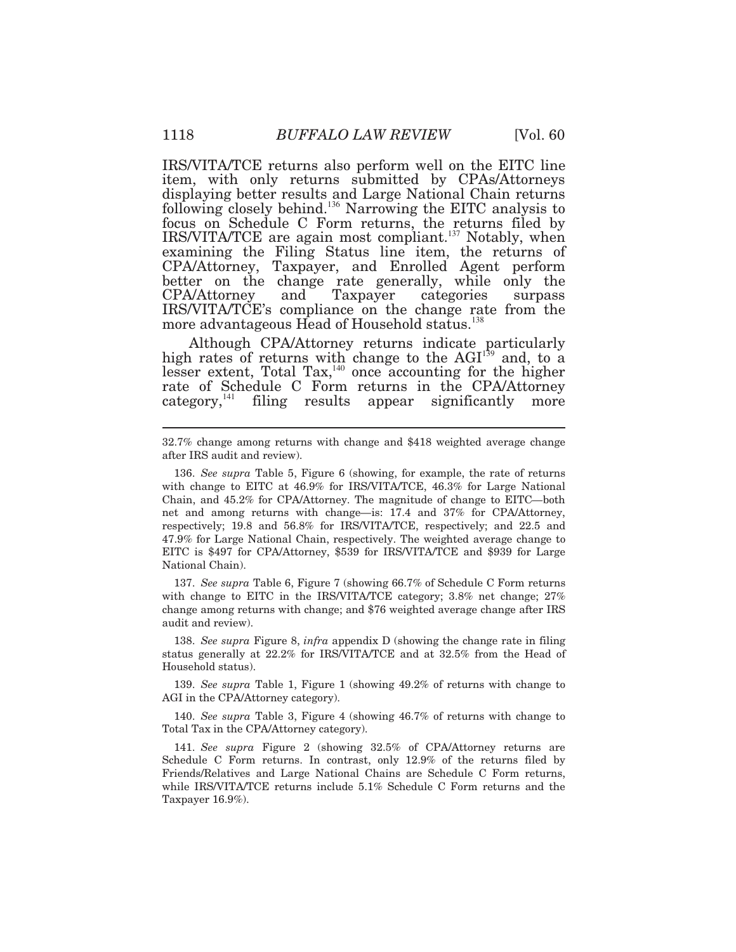item, with only returns submitted by CPAs/Attorneys displaying better results and Large National Chain returns following closely behind.<sup>136</sup> Narrowing the EITC analysis to focus on Schedule C Form returns, the returns filed by better on the change rate generally, while only the CPA/Attorney and Taxpayer categories surpass IRS/VITA/TCE's compliance on the change rate from the more advantageous Head of Household status.<sup>138</sup> IRS/VITA/TCE returns also perform well on the EITC line IRS/VITA/TCE are again most compliant.<sup>137</sup> Notably, when examining the Filing Status line item, the returns of CPA/Attorney, Taxpayer, and Enrolled Agent perform

 Although CPA/Attorney returns indicate particularly high rates of returns with change to the  $AGI<sup>139</sup>$  and, to a lesser extent, Total Tax,  $140$  once accounting for the higher rate of Schedule C Form returns in the CPA/Attorney category, $^{141}$  filing results appear significantly more

 with change to EITC in the IRS/VITA/TCE category; 3.8% net change; 27% change among returns with change; and \$76 weighted average change after IRS audit and review). 137. *See supra* Table 6, Figure 7 (showing 66.7% of Schedule C Form returns

 status generally at 22.2% for IRS/VITA/TCE and at 32.5% from the Head of Household status). 138. *See supra* Figure 8, *infra* appendix D (showing the change rate in filing

 AGI in the CPA/Attorney category). 139. *See supra* Table 1, Figure 1 (showing 49.2% of returns with change to

 Total Tax in the CPA/Attorney category). 140. *See supra* Table 3, Figure 4 (showing 46.7% of returns with change to

 Schedule C Form returns. In contrast, only 12.9% of the returns filed by Friends/Relatives and Large National Chains are Schedule C Form returns, while IRS/VITA/TCE returns include 5.1% Schedule C Form returns and the Taxpayer 16.9%). 141. *See supra* Figure 2 (showing 32.5% of CPA/Attorney returns are

 32.7% change among returns with change and \$418 weighted average change after IRS audit and review).

 with change to EITC at 46.9% for IRS/VITA/TCE, 46.3% for Large National Chain, and 45.2% for CPA/Attorney. The magnitude of change to EITC*—*both net and among returns with change*—*is: 17.4 and 37% for CPA/Attorney, respectively; 19.8 and 56.8% for IRS/VITA/TCE, respectively; and 22.5 and 47.9% for Large National Chain, respectively. The weighted average change to EITC is \$497 for CPA/Attorney, \$539 for IRS/VITA/TCE and \$939 for Large National Chain). 136. *See supra* Table 5, Figure 6 (showing, for example, the rate of returns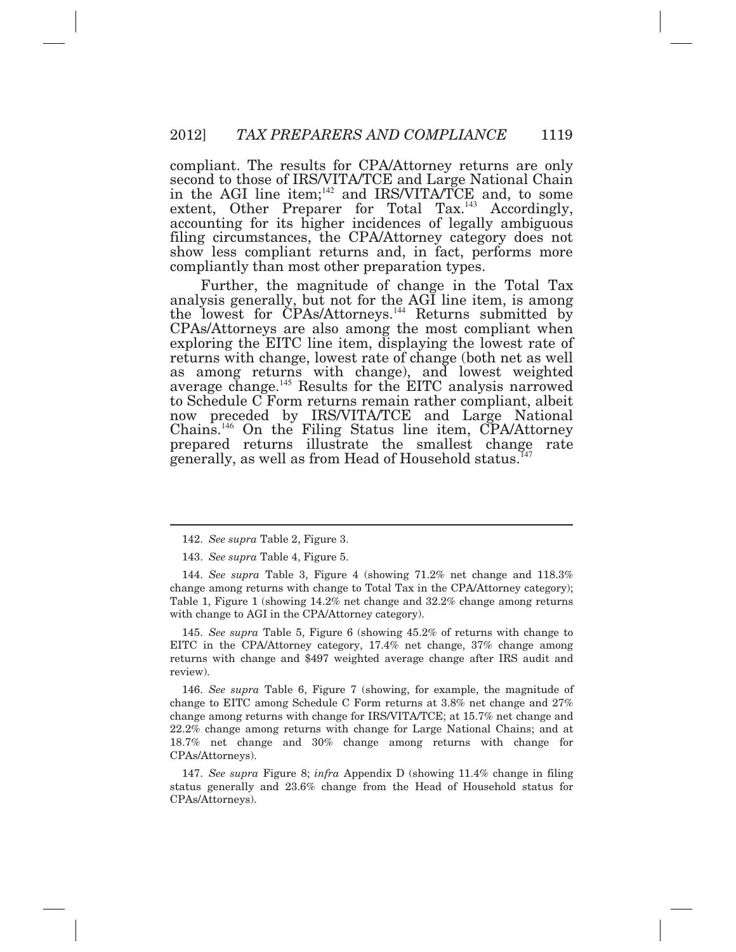compliant. The results for CPA/Attorney returns are only second to those of IRS/VITA/TCE and Large National Chain in the AGI line item;<sup>142</sup> and IRS/VITA/TCE and, to some accounting for its higher incidences of legally ambiguous filing circumstances, the CPA/Attorney category does not show less compliant returns and, in fact, performs more compliantly than most other preparation types. extent, Other Preparer for Total Tax.<sup>143</sup> Accordingly,

 exploring the EITC line item, displaying the lowest rate of returns with change, lowest rate of change (both net as well now preceded by IRS/VITA/TCE and Large National prepared returns illustrate the smallest change rate generally, as well as from Head of Household status.<sup>147</sup> Further, the magnitude of change in the Total Tax analysis generally, but not for the AGI line item, is among the lowest for CPAs/Attorneys.<sup>144</sup> Returns submitted by CPAs/Attorneys are also among the most compliant when as among returns with change), and lowest weighted average change. $145$  Results for the EITC analysis narrowed to Schedule C Form returns remain rather compliant, albeit Chains.<sup>146</sup> On the Filing Status line item, CPA/Attorney

 $\overline{a}$ 

 EITC in the CPA/Attorney category, 17.4% net change, 37% change among returns with change and \$497 weighted average change after IRS audit and 145. *See supra* Table 5, Figure 6 (showing 45.2% of returns with change to review).

 change to EITC among Schedule C Form returns at 3.8% net change and 27% change among returns with change for IRS/VITA/TCE; at 15.7% net change and 22.2% change among returns with change for Large National Chains; and at 18.7% net change and 30% change among returns with change for 146. *See supra* Table 6, Figure 7 (showing, for example, the magnitude of CPAs/Attorneys).

 status generally and 23.6% change from the Head of Household status for 147. *See supra* Figure 8; *infra* Appendix D (showing 11.4% change in filing CPAs/Attorneys).

<sup>142.</sup> *See supra* Table 2, Figure 3.

<sup>143.</sup> *See supra* Table 4, Figure 5.

 change among returns with change to Total Tax in the CPA/Attorney category); Table 1, Figure 1 (showing 14.2% net change and 32.2% change among returns with change to AGI in the CPA/Attorney category). 144. *See supra* Table 3, Figure 4 (showing 71.2% net change and 118.3%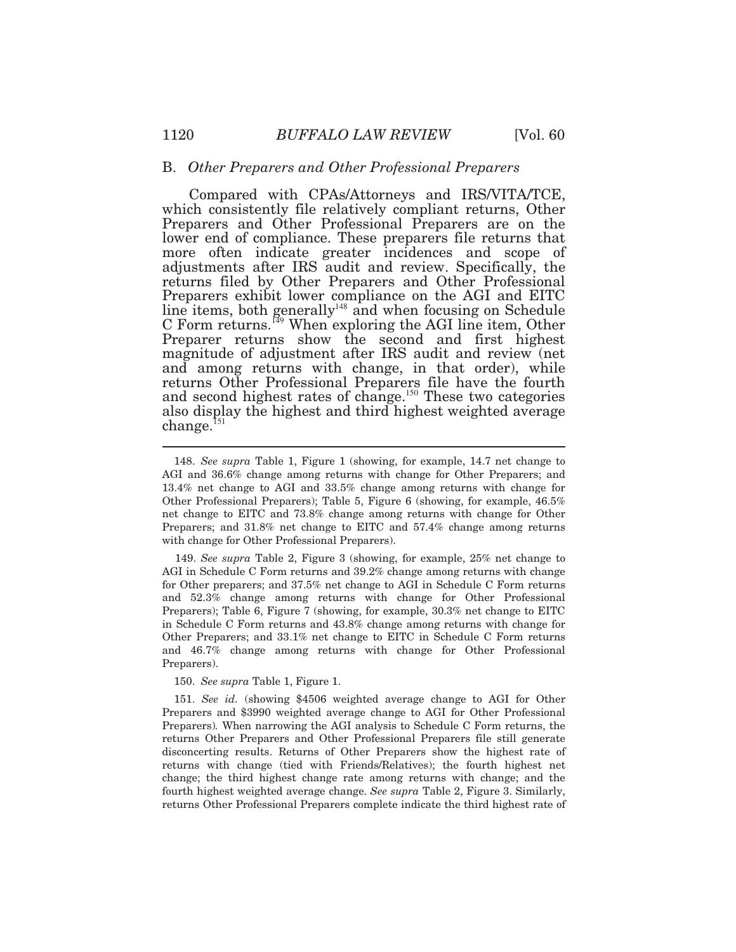#### B. *Other Preparers and Other Professional Preparers*

 Compared with CPAs/Attorneys and IRS/VITA/TCE, magnitude of adjustment after IRS audit and review (net also display the highest and third highest weighted average which consistently file relatively compliant returns, Other Preparers and Other Professional Preparers are on the lower end of compliance. These preparers file returns that more often indicate greater incidences and scope of adjustments after IRS audit and review. Specifically, the returns filed by Other Preparers and Other Professional Preparers exhibit lower compliance on the AGI and EITC line items, both generally<sup>148</sup> and when focusing on Schedule C Form returns.<sup>149</sup> When exploring the AGI line item, Other Preparer returns show the second and first highest and among returns with change, in that order), while returns Other Professional Preparers file have the fourth and second highest rates of change.<sup>150</sup> These two categories change.<sup>151</sup>

 149. *See supra* Table 2, Figure 3 (showing, for example, 25% net change to AGI in Schedule C Form returns and 39.2% change among returns with change for Other preparers; and 37.5% net change to AGI in Schedule C Form returns and 52.3% change among returns with change for Other Professional Preparers); Table 6, Figure 7 (showing, for example, 30.3% net change to EITC in Schedule C Form returns and 43.8% change among returns with change for Other Preparers; and 33.1% net change to EITC in Schedule C Form returns and 46.7% change among returns with change for Other Professional Preparers).

150. *See supra* Table 1, Figure 1.

 Preparers and \$3990 weighted average change to AGI for Other Professional Preparers)*.* When narrowing the AGI analysis to Schedule C Form returns, the returns Other Preparers and Other Professional Preparers file still generate disconcerting results. Returns of Other Preparers show the highest rate of returns with change (tied with Friends/Relatives); the fourth highest net change; the third highest change rate among returns with change; and the fourth highest weighted average change. *See supra* Table 2, Figure 3. Similarly, returns Other Professional Preparers complete indicate the third highest rate of 151. *See id.* (showing \$4506 weighted average change to AGI for Other

 AGI and 36.6% change among returns with change for Other Preparers; and 13.4% net change to AGI and 33.5% change among returns with change for Other Professional Preparers); Table 5, Figure 6 (showing, for example, 46.5% net change to EITC and 73.8% change among returns with change for Other Preparers; and 31.8% net change to EITC and 57.4% change among returns with change for Other Professional Preparers). 148. *See supra* Table 1, Figure 1 (showing, for example, 14.7 net change to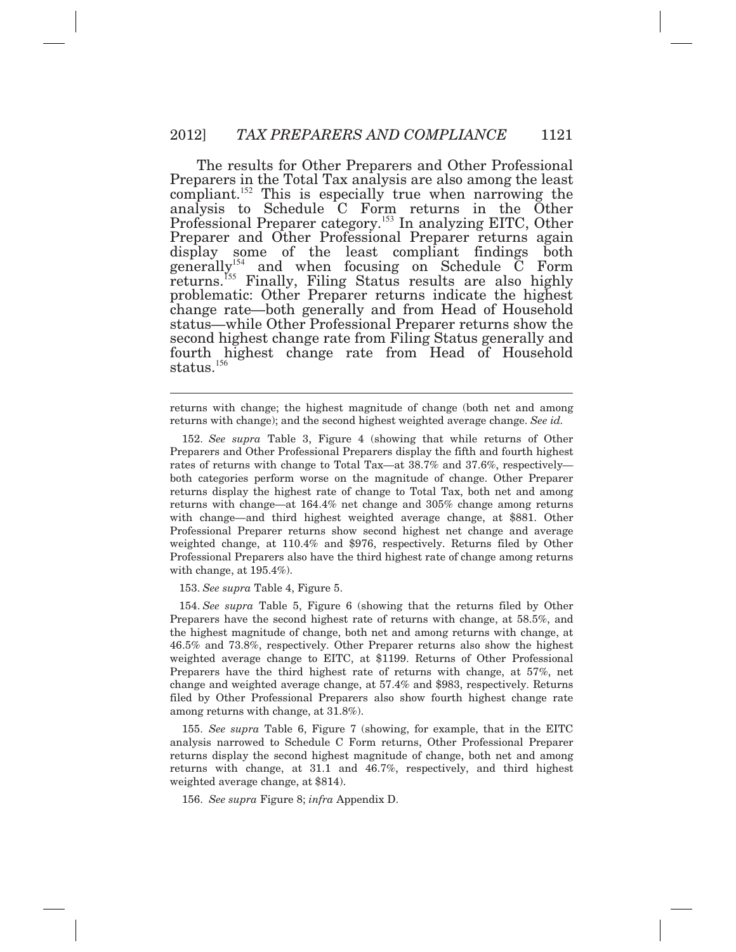The results for Other Preparers and Other Professional Preparers in the Total Tax analysis are also among the least compliant.<sup>152</sup> This is especially true when narrowing the Preparer and Other Professional Preparer returns again returns.<sup>155</sup> Finally, Filing Status results are also highly problematic: Other Preparer returns indicate the highest change rate*—*both generally and from Head of Household status*—*while Other Professional Preparer returns show the second highest change rate from Filing Status generally and fourth highest change rate from Head of Household  ${\rm status.}^{156}$ analysis to Schedule C Form returns in the Other Professional Preparer category.<sup>153</sup> In analyzing EITC, Other display some of the least compliant findings both generally<sup>154</sup> and when focusing on Schedule  $\check{\text{C}}$  Form

 returns with change; the highest magnitude of change (both net and among returns with change); and the second highest weighted average change. *See id.* 

 Preparers and Other Professional Preparers display the fifth and fourth highest rates of returns with change to Total Tax*—*at 38.7% and 37.6%, respectively*—*  both categories perform worse on the magnitude of change. Other Preparer returns display the highest rate of change to Total Tax, both net and among returns with change—at 164.4% net change and 305% change among returns with change—and third highest weighted average change, at \$881. Other Professional Preparer returns show second highest net change and average weighted change, at 110.4% and \$976, respectively. Returns filed by Other Professional Preparers also have the third highest rate of change among returns with change, at 195.4%). 152. *See supra* Table 3, Figure 4 (showing that while returns of Other

153. *See supra* Table 4, Figure 5.

 $\overline{a}$ 

 Preparers have the second highest rate of returns with change, at 58.5%, and the highest magnitude of change, both net and among returns with change, at 46.5% and 73.8%, respectively. Other Preparer returns also show the highest weighted average change to EITC, at \$1199. Returns of Other Professional Preparers have the third highest rate of returns with change, at 57%, net change and weighted average change, at 57.4% and \$983, respectively. Returns filed by Other Professional Preparers also show fourth highest change rate among returns with change, at 31.8%). 154. *See supra* Table 5, Figure 6 (showing that the returns filed by Other

 analysis narrowed to Schedule C Form returns, Other Professional Preparer returns display the second highest magnitude of change, both net and among returns with change, at 31.1 and 46.7%, respectively, and third highest weighted average change, at \$814). 155. *See supra* Table 6, Figure 7 (showing, for example, that in the EITC

156. *See supra* Figure 8; *infra* Appendix D.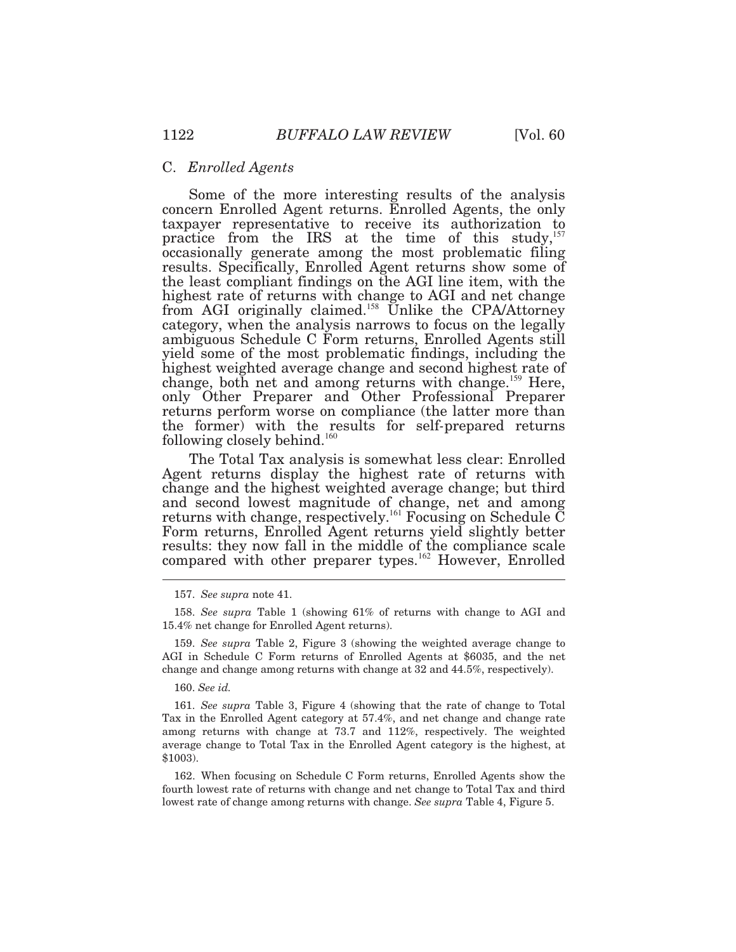#### C. *Enrolled Agents*

 Some of the more interesting results of the analysis ambiguous Schedule C Form returns, Enrolled Agents still change, both net and among returns with change.<sup>159</sup> Here, concern Enrolled Agent returns. Enrolled Agents, the only taxpayer representative to receive its authorization to practice from the IRS at the time of this study, $157$ occasionally generate among the most problematic filing results. Specifically, Enrolled Agent returns show some of the least compliant findings on the AGI line item, with the highest rate of returns with change to AGI and net change from AGI originally claimed.<sup>158</sup> Unlike the CPA/Attorney category, when the analysis narrows to focus on the legally yield some of the most problematic findings, including the highest weighted average change and second highest rate of only Other Preparer and Other Professional Preparer returns perform worse on compliance (the latter more than the former) with the results for self*-*prepared returns following closely behind.<sup>160</sup>

 The Total Tax analysis is somewhat less clear: Enrolled Agent returns display the highest rate of returns with change and the highest weighted average change; but third and second lowest magnitude of change, net and among returns with change, respectively.<sup>161</sup> Focusing on Schedule  $\tilde{C}$ Form returns, Enrolled Agent returns yield slightly better results: they now fall in the middle of the compliance scale compared with other preparer types.<sup>162</sup> However, Enrolled

160. *See id.* 

<sup>157.</sup> *See supra* note 41.

 15.4% net change for Enrolled Agent returns). 158. *See supra* Table 1 (showing 61% of returns with change to AGI and

 AGI in Schedule C Form returns of Enrolled Agents at \$6035, and the net change and change among returns with change at 32 and 44.5%, respectively). 159. *See supra* Table 2, Figure 3 (showing the weighted average change to

 Tax in the Enrolled Agent category at 57.4%, and net change and change rate among returns with change at 73.7 and 112%, respectively. The weighted average change to Total Tax in the Enrolled Agent category is the highest, at 161. *See supra* Table 3, Figure 4 (showing that the rate of change to Total \$1003).

 fourth lowest rate of returns with change and net change to Total Tax and third lowest rate of change among returns with change. *See supra* Table 4, Figure 5. 162. When focusing on Schedule C Form returns, Enrolled Agents show the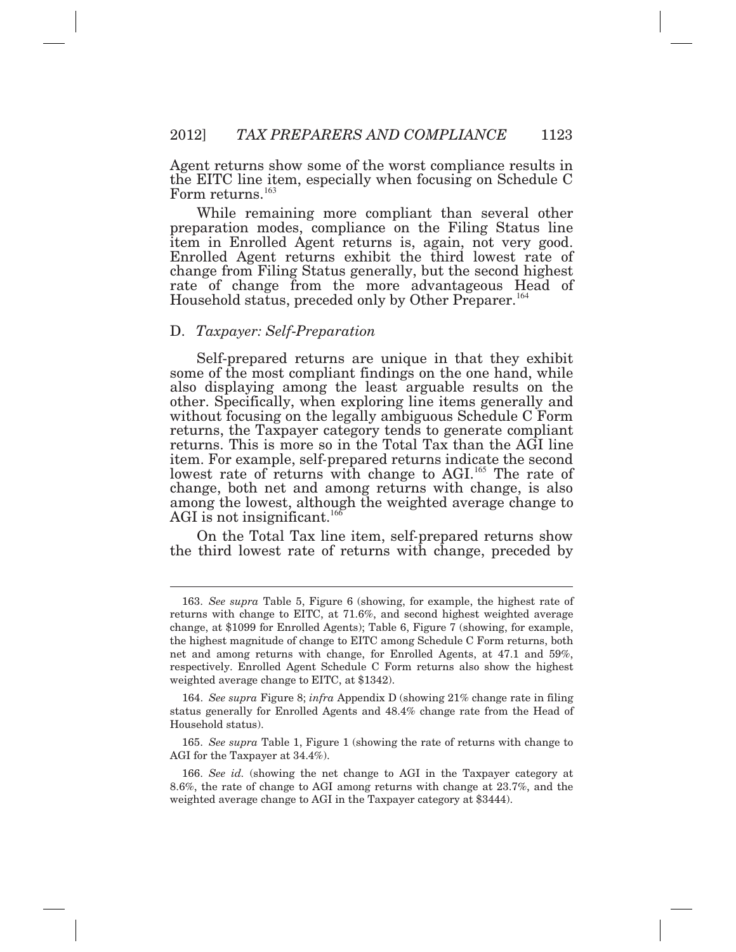Agent returns show some of the worst compliance results in the EITC line item, especially when focusing on Schedule C Form returns. $^{163}$ 

 While remaining more compliant than several other change from Filing Status generally, but the second highest preparation modes, compliance on the Filing Status line item in Enrolled Agent returns is, again, not very good. Enrolled Agent returns exhibit the third lowest rate of rate of change from the more advantageous Head of Household status, preceded only by Other Preparer.<sup>164</sup>

#### D. *Taxpayer: Self*-*Preparation*

 $\overline{a}$ 

 Self-prepared returns are unique in that they exhibit returns. This is more so in the Total Tax than the AGI line change, both net and among returns with change, is also among the lowest, although the weighted average change to some of the most compliant findings on the one hand, while also displaying among the least arguable results on the other. Specifically, when exploring line items generally and without focusing on the legally ambiguous Schedule C Form returns, the Taxpayer category tends to generate compliant item. For example, self*-*prepared returns indicate the second lowest rate of returns with change to AGI.<sup>165</sup> The rate of AGI is not insignificant.<sup>166</sup>

 On the Total Tax line item, self*-*prepared returns show the third lowest rate of returns with change, preceded by

 status generally for Enrolled Agents and 48.4% change rate from the Head of Household status). 164. *See supra* Figure 8; *infra* Appendix D (showing 21% change rate in filing

 AGI for the Taxpayer at 34.4%). 165. *See supra* Table 1, Figure 1 (showing the rate of returns with change to

 8.6%, the rate of change to AGI among returns with change at 23.7%, and the weighted average change to AGI in the Taxpayer category at \$3444). 166. *See id.* (showing the net change to AGI in the Taxpayer category at

 returns with change to EITC, at 71.6%, and second highest weighted average change, at \$1099 for Enrolled Agents); Table 6, Figure 7 (showing, for example, the highest magnitude of change to EITC among Schedule C Form returns, both net and among returns with change, for Enrolled Agents, at 47.1 and 59%, respectively. Enrolled Agent Schedule C Form returns also show the highest weighted average change to EITC, at \$1342). 163. *See supra* Table 5, Figure 6 (showing, for example, the highest rate of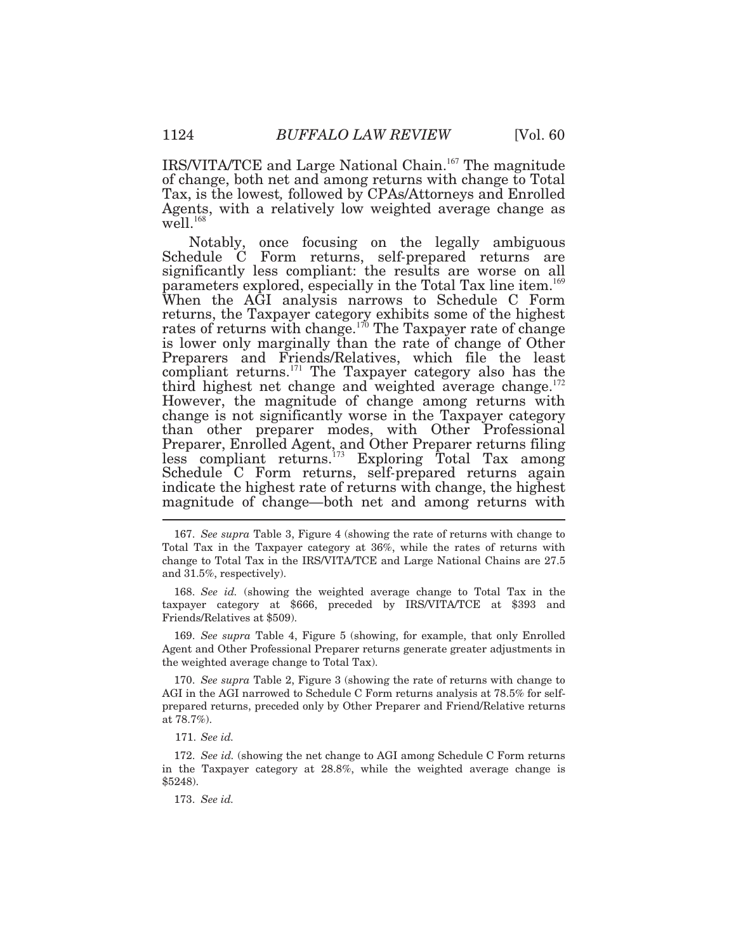IRS/VITA/TCE and Large National Chain.<sup>167</sup> The magnitude of change, both net and among returns with change to Total Tax, is the lowest*,* followed by CPAs/Attorneys and Enrolled Agents, with a relatively low weighted average change as  $well.<sup>168</sup>$ 

Notably, is lower only marginally than the rate of change of Other once focusing on the legally ambiguous Schedule C Form returns, self*-*prepared returns are significantly less compliant: the results are worse on all parameters explored, especially in the Total Tax line item.<sup>169</sup> When the AGI analysis narrows to Schedule C Form returns, the Taxpayer category exhibits some of the highest rates of returns with change.<sup>170</sup> The Taxpayer rate of change Preparers and Friends/Relatives, which file the least compliant returns. $171$ The Taxpayer category also has the third highest net change and weighted average change. $172$ However, the magnitude of change among returns with change is not significantly worse in the Taxpayer category than other preparer modes, with Other Professional Preparer, Enrolled Agent, and Other Preparer returns filing less compliant returns.<sup>173</sup> Exploring Total Tax among Schedule C Form returns, self*-*prepared returns again indicate the highest rate of returns with change, the highest magnitude of change*—*both net and among returns with

 taxpayer category at \$666, preceded by IRS/VITA/TCE at \$393 and Friends/Relatives at \$509). 168. *See id.* (showing the weighted average change to Total Tax in the

 Agent and Other Professional Preparer returns generate greater adjustments in the weighted average change to Total Tax). 169. *See supra* Table 4, Figure 5 (showing, for example, that only Enrolled

 AGI in the AGI narrowed to Schedule C Form returns analysis at 78.5% for self- prepared returns, preceded only by Other Preparer and Friend/Relative returns at 78.7%). 170. *See supra* Table 2, Figure 3 (showing the rate of returns with change to

171. *See id.* 

 in the Taxpayer category at 28.8%, while the weighted average change is 172. *See id.* (showing the net change to AGI among Schedule C Form returns \$5248).

173. *See id.* 

 Total Tax in the Taxpayer category at 36%, while the rates of returns with change to Total Tax in the IRS/VITA/TCE and Large National Chains are 27.5 and 31.5%, respectively). 167. *See supra* Table 3, Figure 4 (showing the rate of returns with change to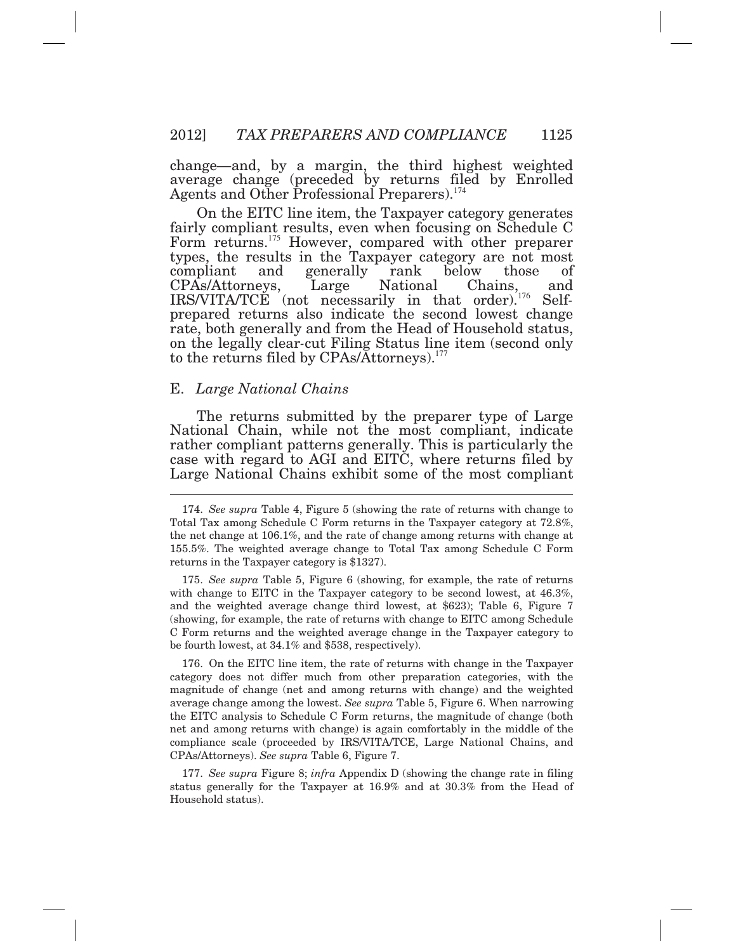change*—*and, by a margin, the third highest weighted average change (preceded by returns filed by Enrolled Agents and Other Professional Preparers).<sup>174</sup>

 On the EITC line item, the Taxpayer category generates types, the results in the Taxpayer category are not most on the legally clear*-*cut Filing Status line item (second only to the returns filed by CPAs/Attorneys).<sup>177</sup> fairly compliant results, even when focusing on Schedule C Form returns.<sup>175</sup> However, compared with other preparer compliant and generally rank below those of CPAs/Attorneys, Large National Chains, and IRS/VITA/TCE (not necessarily in that order).176 Selfprepared returns also indicate the second lowest change rate, both generally and from the Head of Household status,

#### E. *Large National Chains*

 The returns submitted by the preparer type of Large National Chain, while not the most compliant, indicate Large National Chains exhibit some of the most compliant rather compliant patterns generally. This is particularly the case with regard to AGI and EITC, where returns filed by

with change to EITC in the Taxpayer category to be second lowest, at 46.3%, and the weighted average change third lowest, at \$623); Table 6, Figure 7 (showing, for example, the rate of returns with change to EITC among Schedule C Form returns and the weighted average change in the Taxpayer category to be fourth lowest, at 34.1% and \$538, respectively). 175. *See supra* Table 5, Figure 6 (showing, for example, the rate of returns

 category does not differ much from other preparation categories, with the magnitude of change (net and among returns with change) and the weighted average change among the lowest. *See supra* Table 5, Figure 6. When narrowing the EITC analysis to Schedule C Form returns, the magnitude of change (both net and among returns with change) is again comfortably in the middle of the compliance scale (proceeded by IRS/VITA/TCE, Large National Chains, and  CPAs/Attorneys). *See supra* Table 6, Figure 7. 176. On the EITC line item, the rate of returns with change in the Taxpayer

 status generally for the Taxpayer at 16.9% and at 30.3% from the Head of Household status). 177. *See supra* Figure 8; *infra* Appendix D (showing the change rate in filing

 Total Tax among Schedule C Form returns in the Taxpayer category at 72.8%, the net change at 106.1%, and the rate of change among returns with change at 155.5%. The weighted average change to Total Tax among Schedule C Form returns in the Taxpayer category is \$1327). 174. *See supra* Table 4, Figure 5 (showing the rate of returns with change to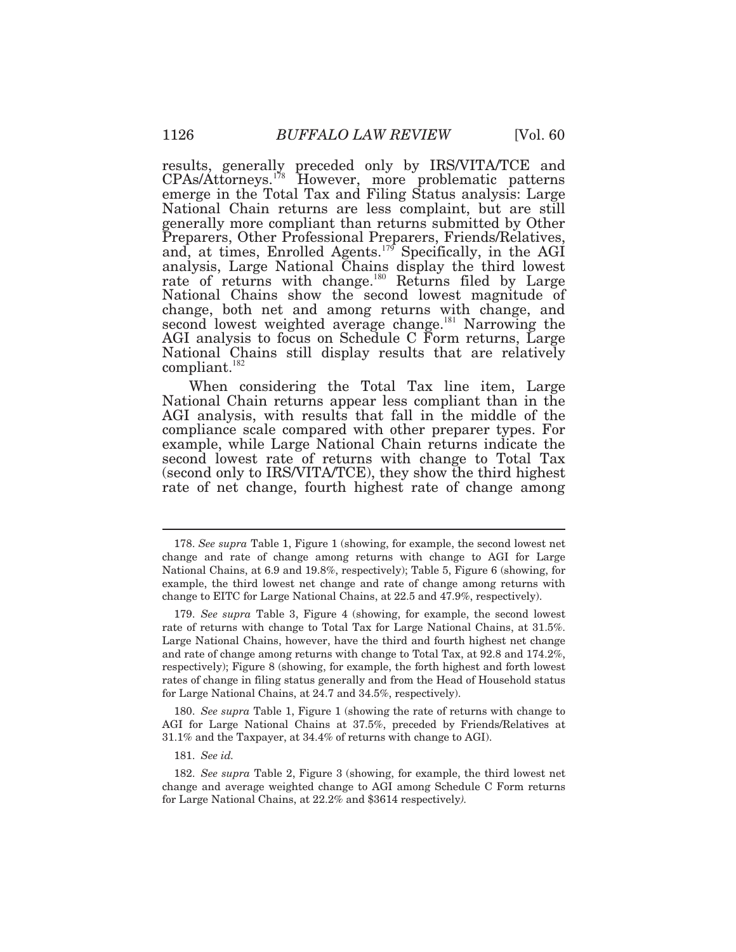emerge in the Total Tax and Filing Status analysis: Large National Chain returns are less complaint, but are still generally more compliant than returns submitted by Other analysis, Large National Chains display the third lowest rate of returns with change.<sup>180</sup> Returns filed by Large National Chains show the second lowest magnitude of change, both net and among returns with change, and second lowest weighted average change.<sup>181</sup> Narrowing the AGI analysis to focus on Schedule C Form returns, Large National Chains still display results that are relatively  $compliant.<sup>182</sup>$ results, generally preceded only by IRS/VITA/TCE and CPAs/Attorneys.<sup>178</sup> However, more problematic patterns Preparers, Other Professional Preparers, Friends/Relatives, and, at times, Enrolled Agents.<sup>179</sup> Specifically, in the AGI

 When considering the Total Tax line item, Large rate of net change, fourth highest rate of change among National Chain returns appear less compliant than in the AGI analysis, with results that fall in the middle of the compliance scale compared with other preparer types. For example, while Large National Chain returns indicate the second lowest rate of returns with change to Total Tax (second only to IRS/VITA/TCE), they show the third highest

 AGI for Large National Chains at 37.5%, preceded by Friends/Relatives at 31.1% and the Taxpayer, at 34.4% of returns with change to AGI). 180. *See supra* Table 1, Figure 1 (showing the rate of returns with change to

181. *See id.* 

 change and rate of change among returns with change to AGI for Large National Chains, at 6.9 and 19.8%, respectively); Table 5, Figure 6 (showing, for example, the third lowest net change and rate of change among returns with change to EITC for Large National Chains, at 22.5 and 47.9%, respectively). 178. *See supra* Table 1, Figure 1 (showing, for example, the second lowest net

 rate of returns with change to Total Tax for Large National Chains, at 31.5%. Large National Chains, however, have the third and fourth highest net change and rate of change among returns with change to Total Tax, at 92.8 and 174.2%, respectively); Figure 8 (showing, for example, the forth highest and forth lowest rates of change in filing status generally and from the Head of Household status for Large National Chains, at 24.7 and 34.5%, respectively). 179. *See supra* Table 3, Figure 4 (showing, for example, the second lowest

 change and average weighted change to AGI among Schedule C Form returns for Large National Chains, at 22.2% and \$3614 respectively*).* 182. *See supra* Table 2, Figure 3 (showing, for example, the third lowest net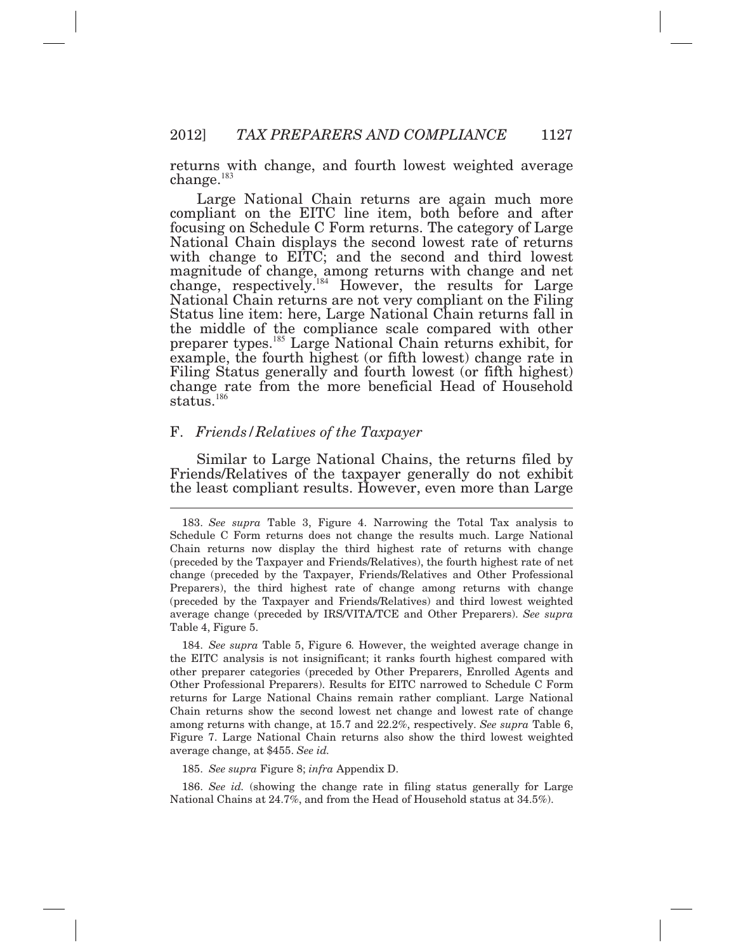returns with change, and fourth lowest weighted average  ${\rm change.}^{183}$ 

 Large National Chain returns are again much more compliant on the EITC line item, both before and after focusing on Schedule C Form returns. The category of Large National Chain displays the second lowest rate of returns example, the fourth highest (or fifth lowest) change rate in change rate from the more beneficial Head of Household status.<sup>186</sup> with change to EITC; and the second and third lowest magnitude of change, among returns with change and net change, respectively.<sup>184</sup> However, the results for Large National Chain returns are not very compliant on the Filing Status line item: here, Large National Chain returns fall in the middle of the compliance scale compared with other preparer types.<sup>185</sup> Large National Chain returns exhibit, for Filing Status generally and fourth lowest (or fifth highest)

#### F. *Friends/Relatives of the Taxpayer*

 Similar to Large National Chains, the returns filed by Friends/Relatives of the taxpayer generally do not exhibit the least compliant results. However, even more than Large

 the EITC analysis is not insignificant; it ranks fourth highest compared with other preparer categories (preceded by Other Preparers, Enrolled Agents and Other Professional Preparers). Results for EITC narrowed to Schedule C Form returns for Large National Chains remain rather compliant. Large National Chain returns show the second lowest net change and lowest rate of change among returns with change, at 15.7 and 22.2%, respectively. *See supra* Table 6, Figure 7. Large National Chain returns also show the third lowest weighted average change, at \$455. *See id.*  184. *See supra* Table 5, Figure 6*.* However, the weighted average change in

185. *See supra* Figure 8; *infra* Appendix D.

 National Chains at 24.7%, and from the Head of Household status at 34.5%). 186. *See id.* (showing the change rate in filing status generally for Large

 Schedule C Form returns does not change the results much. Large National Chain returns now display the third highest rate of returns with change (preceded by the Taxpayer and Friends/Relatives), the fourth highest rate of net change (preceded by the Taxpayer, Friends/Relatives and Other Professional Preparers), the third highest rate of change among returns with change (preceded by the Taxpayer and Friends/Relatives) and third lowest weighted average change (preceded by IRS/VITA/TCE and Other Preparers). *See supra*  Table 4, Figure 5. 183. *See supra* Table 3, Figure 4. Narrowing the Total Tax analysis to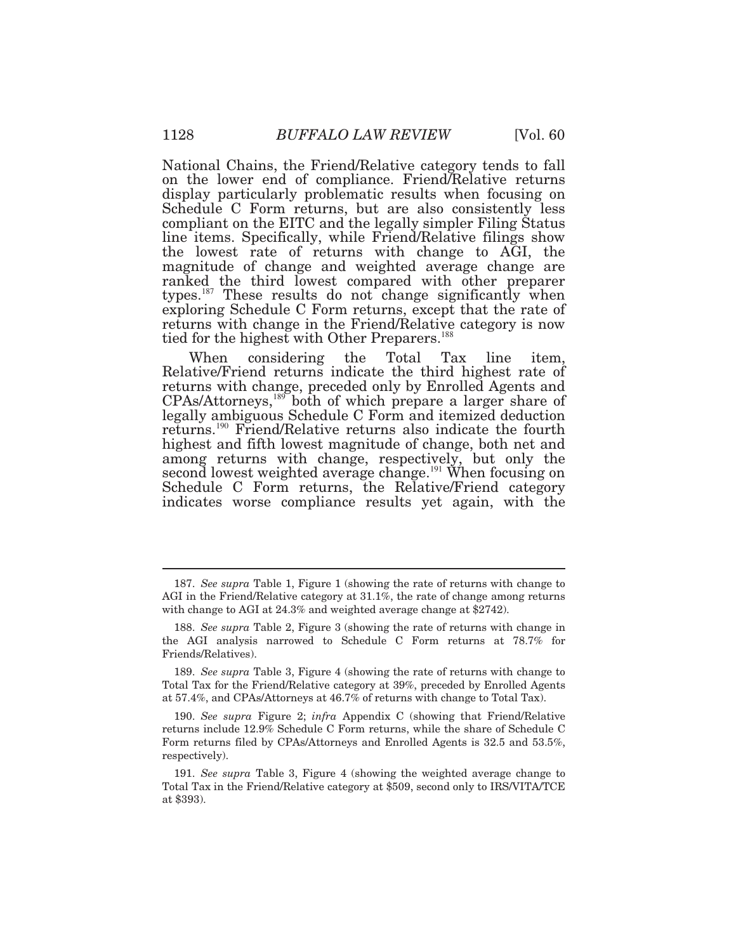National Chains, the Friend/Relative category tends to fall on the lower end of compliance. Friend/Relative returns display particularly problematic results when focusing on Schedule C Form returns, but are also consistently less compliant on the EITC and the legally simpler Filing Status line items. Specifically, while Friend/Relative filings show the lowest rate of returns with change to AGI, the magnitude of change and weighted average change are ranked the third lowest compared with other preparer types.<sup>187</sup> These results do not change significantly when exploring Schedule C Form returns, except that the rate of returns with change in the Friend/Relative category is now tied for the highest with Other Preparers.<sup>188</sup>

 When considering the Total Tax line item, legally ambiguous Schedule C Form and itemized deduction Relative/Friend returns indicate the third highest rate of returns with change, preceded only by Enrolled Agents and  $CPAs/Attorneys, <sup>189</sup> both of which prepare a larger share of$ returns.<sup>190</sup> Friend/Relative returns also indicate the fourth highest and fifth lowest magnitude of change, both net and among returns with change, respectively, but only the second lowest weighted average change.<sup>191</sup> When focusing on Schedule C Form returns, the Relative/Friend category indicates worse compliance results yet again, with the

 AGI in the Friend/Relative category at 31.1%, the rate of change among returns with change to AGI at 24.3% and weighted average change at \$2742). 187. *See supra* Table 1, Figure 1 (showing the rate of returns with change to

 the AGI analysis narrowed to Schedule C Form returns at 78.7% for 188. *See supra* Table 2, Figure 3 (showing the rate of returns with change in Friends/Relatives).

 Total Tax for the Friend/Relative category at 39%, preceded by Enrolled Agents at 57.4%, and CPAs/Attorneys at 46.7% of returns with change to Total Tax). 189. *See supra* Table 3, Figure 4 (showing the rate of returns with change to

 returns include 12.9% Schedule C Form returns, while the share of Schedule C Form returns filed by CPAs/Attorneys and Enrolled Agents is 32.5 and 53.5%, 190. *See supra* Figure 2; *infra* Appendix C (showing that Friend/Relative respectively).

 Total Tax in the Friend/Relative category at \$509, second only to IRS/VITA/TCE at \$393). 191. *See supra* Table 3, Figure 4 (showing the weighted average change to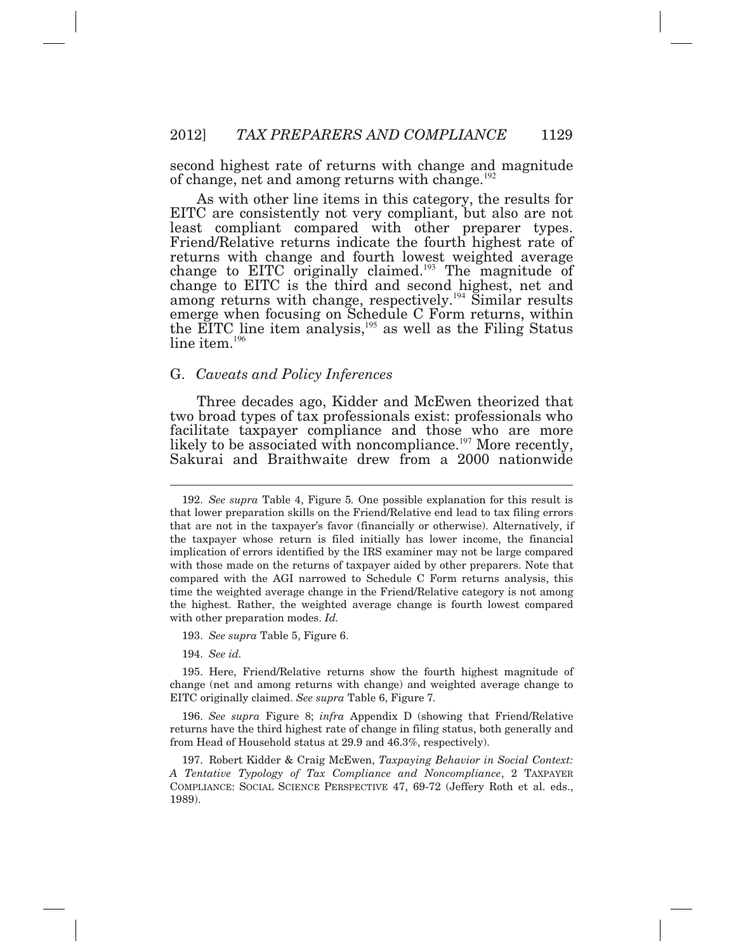second highest rate of returns with change and magnitude of change, net and among returns with change.<sup>192</sup>

 As with other line items in this category, the results for EITC are consistently not very compliant, but also are not change to EITC originally claimed.<sup>193</sup> The magnitude of  $line$  item. $^{196}$ least compliant compared with other preparer types. Friend/Relative returns indicate the fourth highest rate of returns with change and fourth lowest weighted average change to EITC is the third and second highest, net and among returns with change, respectively.<sup>194</sup> Similar results emerge when focusing on Schedule C Form returns, within the EITC line item analysis, $195$  as well as the Filing Status

#### G. *Caveats and Policy Inferences*

 Three decades ago, Kidder and McEwen theorized that two broad types of tax professionals exist: professionals who facilitate taxpayer compliance and those who are more likely to be associated with noncompliance.<sup>197</sup> More recently, Sakurai and Braithwaite drew from a 2000 nationwide

193. *See supra* Table 5, Figure 6.

194. *See id.* 

 $\overline{a}$ 

 change (net and among returns with change) and weighted average change to EITC originally claimed. *See supra* Table 6, Figure 7*.*  195. Here, Friend/Relative returns show the fourth highest magnitude of

 returns have the third highest rate of change in filing status, both generally and from Head of Household status at 29.9 and 46.3%, respectively). 196. *See supra* Figure 8; *infra* Appendix D (showing that Friend/Relative

 *A Tentative Typology of Tax Compliance and Noncompliance*, 2 TAXPAYER COMPLIANCE: SOCIAL SCIENCE PERSPECTIVE 47, 69-72 (Jeffery Roth et al. eds., 197. Robert Kidder & Craig McEwen, *Taxpaying Behavior in Social Context:*  1989).

 that lower preparation skills on the Friend/Relative end lead to tax filing errors that are not in the taxpayer's favor (financially or otherwise). Alternatively, if the taxpayer whose return is filed initially has lower income, the financial implication of errors identified by the IRS examiner may not be large compared with those made on the returns of taxpayer aided by other preparers. Note that compared with the AGI narrowed to Schedule C Form returns analysis, this time the weighted average change in the Friend/Relative category is not among the highest. Rather, the weighted average change is fourth lowest compared with other preparation modes. *Id.*  192. *See supra* Table 4, Figure 5*.* One possible explanation for this result is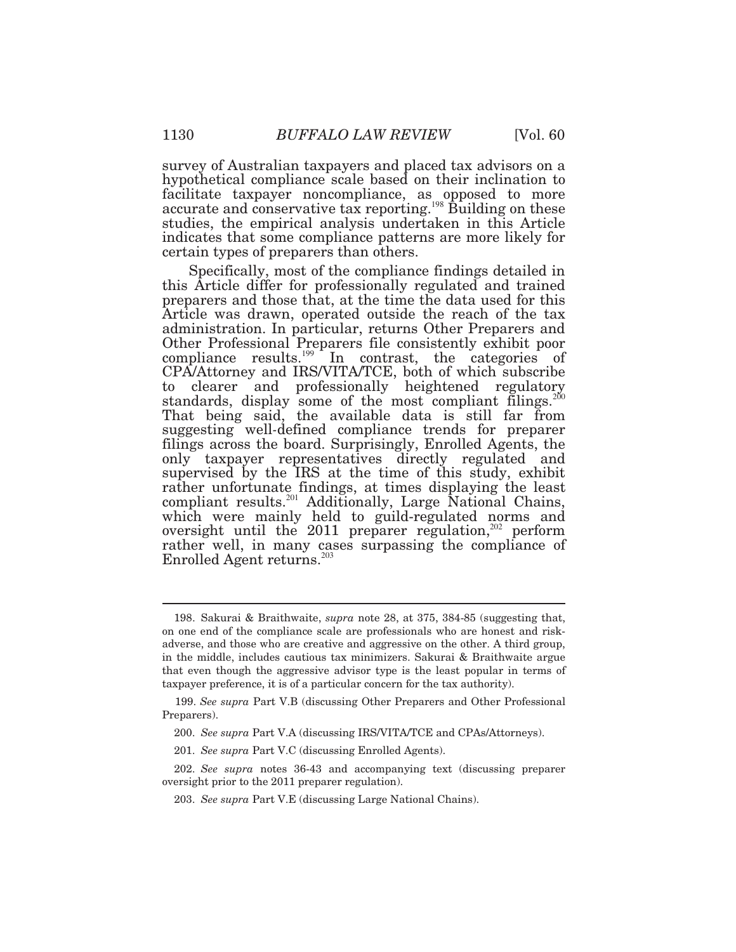survey of Australian taxpayers and placed tax advisors on a hypothetical compliance scale based on their inclination to studies, the empirical analysis undertaken in this Article indicates that some compliance patterns are more likely for certain types of preparers than others. facilitate taxpayer noncompliance, as opposed to more accurate and conservative tax reporting.<sup>198</sup> Building on these

 Specifically, most of the compliance findings detailed in Other Professional Preparers file consistently exhibit poor this Article differ for professionally regulated and trained preparers and those that, at the time the data used for this Article was drawn, operated outside the reach of the tax administration. In particular, returns Other Preparers and compliance results.<sup>199</sup> In contrast, the categories of CPA/Attorney and IRS/VITA/TCE, both of which subscribe to clearer and professionally heightened regulatory standards, display some of the most compliant filings.<sup>200</sup> That being said, the available data is still far from suggesting well*-*defined compliance trends for preparer filings across the board. Surprisingly, Enrolled Agents, the only taxpayer representatives directly regulated and supervised by the IRS at the time of this study, exhibit rather unfortunate findings, at times displaying the least compliant results.<sup>201</sup> Additionally, Large National Chains, which were mainly held to guild-regulated norms and oversight until the 2011 preparer regulation,<sup>202</sup> perform rather well, in many cases surpassing the compliance of Enrolled Agent returns.<sup>203</sup>

 on one end of the compliance scale are professionals who are honest and risk- adverse, and those who are creative and aggressive on the other. A third group, in the middle, includes cautious tax minimizers. Sakurai & Braithwaite argue that even though the aggressive advisor type is the least popular in terms of taxpayer preference, it is of a particular concern for the tax authority). 198. Sakurai & Braithwaite, *supra* note 28, at 375, 384-85 (suggesting that,

 199. *See supra* Part V.B (discussing Other Preparers and Other Professional Preparers).

<sup>200.</sup> *See supra* Part V.A (discussing IRS/VITA/TCE and CPAs/Attorneys).

<sup>201.</sup> *See supra* Part V.C (discussing Enrolled Agents).

 oversight prior to the 2011 preparer regulation). 202. *See supra* notes 36-43 and accompanying text (discussing preparer

<sup>203.</sup> *See supra* Part V.E (discussing Large National Chains).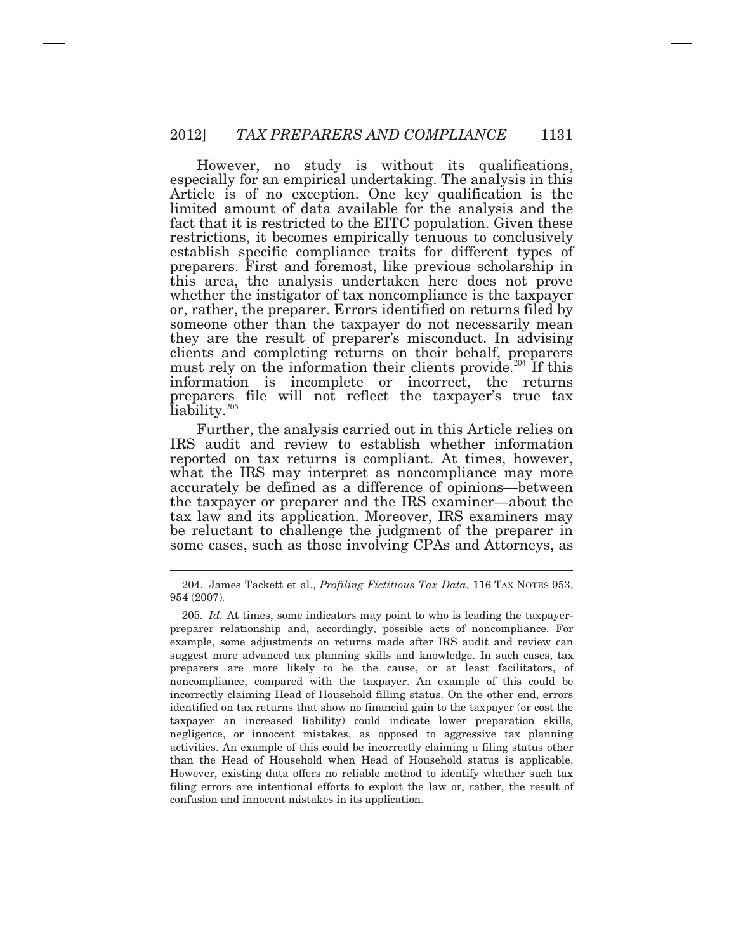However, no study is without its qualifications, especially for an empirical undertaking. The analysis in this Article is of no exception. One key qualification is the limited amount of data available for the analysis and the fact that it is restricted to the EITC population. Given these restrictions, it becomes empirically tenuous to conclusively establish specific compliance traits for different types of preparers. First and foremost, like previous scholarship in this area, the analysis undertaken here does not prove or, rather, the preparer. Errors identified on returns filed by they are the result of preparer's misconduct. In advising clients and completing returns on their behalf, preparers must rely on the information their clients provide.<sup>204</sup> If this information is incomplete or incorrect, the returns preparers file will not reflect the taxpayer's true tax liability.<sup>205</sup> whether the instigator of tax noncompliance is the taxpayer someone other than the taxpayer do not necessarily mean

 Further, the analysis carried out in this Article relies on accurately be defined as a difference of opinions*—*between IRS audit and review to establish whether information reported on tax returns is compliant. At times, however, what the IRS may interpret as noncompliance may more the taxpayer or preparer and the IRS examiner*—*about the tax law and its application. Moreover, IRS examiners may be reluctant to challenge the judgment of the preparer in some cases, such as those involving CPAs and Attorneys, as

 954 (2007)*.*  204. James Tackett et al., *Profiling Fictitious Tax Data*, 116 TAX NOTES 953,

 preparer relationship and, accordingly, possible acts of noncompliance. For example, some adjustments on returns made after IRS audit and review can suggest more advanced tax planning skills and knowledge. In such cases, tax preparers are more likely to be the cause, or at least facilitators, of noncompliance, compared with the taxpayer. An example of this could be incorrectly claiming Head of Household filling status. On the other end, errors identified on tax returns that show no financial gain to the taxpayer (or cost the taxpayer an increased liability) could indicate lower preparation skills, negligence, or innocent mistakes, as opposed to aggressive tax planning activities. An example of this could be incorrectly claiming a filing status other than the Head of Household when Head of Household status is applicable. However, existing data offers no reliable method to identify whether such tax filing errors are intentional efforts to exploit the law or, rather, the result of confusion and innocent mistakes in its application. 205*. Id.* At times, some indicators may point to who is leading the taxpayer-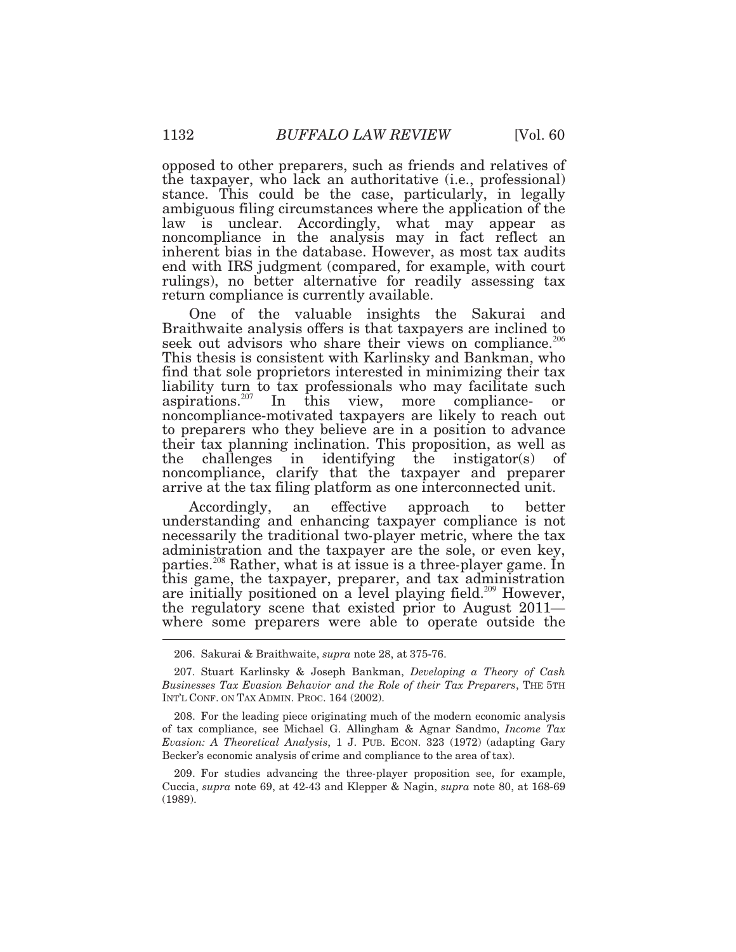opposed to other preparers, such as friends and relatives of the taxpayer, who lack an authoritative (i.e., professional) stance. This could be the case, particularly, in legally ambiguous filing circumstances where the application of the law is unclear. Accordingly, what may appear as noncompliance in the analysis may in fact reflect an inherent bias in the database. However, as most tax audits end with IRS judgment (compared, for example, with court rulings), no better alternative for readily assessing tax return compliance is currently available.

 One of the valuable insights the Sakurai and This thesis is consistent with Karlinsky and Bankman, who find that sole proprietors interested in minimizing their tax Braithwaite analysis offers is that taxpayers are inclined to seek out advisors who share their views on compliance.<sup>206</sup> liability turn to tax professionals who may facilitate such aspirations.<sup>207</sup> In this view, more compliance- or noncompliance-motivated taxpayers are likely to reach out to preparers who they believe are in a position to advance their tax planning inclination. This proposition, as well as the challenges in identifying the instigator(s) of noncompliance, clarify that the taxpayer and preparer arrive at the tax filing platform as one interconnected unit.

 Accordingly, an effective approach to better understanding and enhancing taxpayer compliance is not necessarily the traditional two*-*player metric, where the tax administration and the taxpayer are the sole, or even key, parties.<sup>208</sup> Rather, what is at issue is a three-player game. In this game, the taxpayer, preparer, and tax administration are initially positioned on a level playing field.<sup>209</sup> However, the regulatory scene that existed prior to August 2011*—*  where some preparers were able to operate outside the

 *Businesses Tax Evasion Behavior and the Role of their Tax Preparers*, THE 5TH INT'L CONF. ON TAX ADMIN. PROC. 164 (2002). 207. Stuart Karlinsky & Joseph Bankman, *Developing a Theory of Cash* 

 of tax compliance, see Michael G. Allingham & Agnar Sandmo, *Income Tax Evasion: A Theoretical Analysis*, 1 J. PUB. ECON. 323 (1972) (adapting Gary Becker's economic analysis of crime and compliance to the area of tax). 208. For the leading piece originating much of the modern economic analysis

 Cuccia, *supra* note 69, at 42-43 and Klepper & Nagin, *supra* note 80, at 168-69 209. For studies advancing the three*-*player proposition see, for example, (1989).

<sup>206.</sup> Sakurai & Braithwaite, *supra* note 28, at 375-76.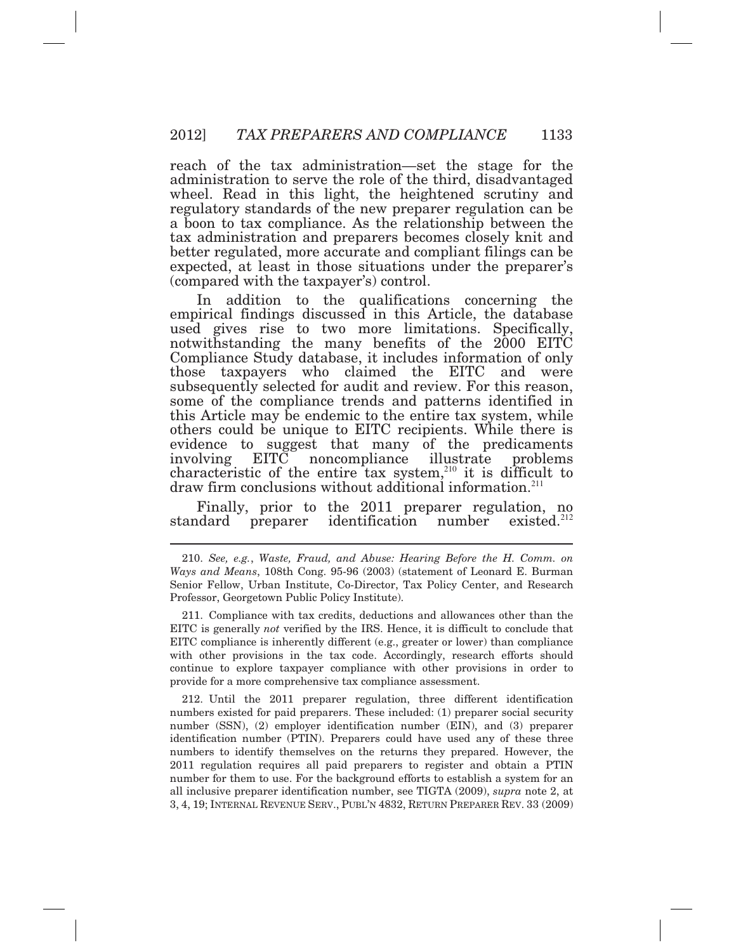reach of the tax administration*—*set the stage for the administration to serve the role of the third, disadvantaged wheel. Read in this light, the heightened scrutiny and regulatory standards of the new preparer regulation can be a boon to tax compliance. As the relationship between the tax administration and preparers becomes closely knit and better regulated, more accurate and compliant filings can be expected, at least in those situations under the preparer's (compared with the taxpayer's) control.

 In addition to the qualifications concerning the notwithstanding the many benefits of the 2000 EITC subsequently selected for audit and review. For this reason, involving empirical findings discussed in this Article, the database used gives rise to two more limitations. Specifically, Compliance Study database, it includes information of only those taxpayers who claimed the EITC and were some of the compliance trends and patterns identified in this Article may be endemic to the entire tax system, while others could be unique to EITC recipients. While there is evidence to suggest that many of the predicaments EITC noncompliance illustrate problems characteristic of the entire tax system, $210$  it is difficult to draw firm conclusions without additional information.<sup>211</sup>

 Finally, prior to the 2011 preparer regulation, no standard preparer identification number existed. $212$ 

 $\overline{a}$ 

 EITC is generally *not* verified by the IRS. Hence, it is difficult to conclude that EITC compliance is inherently different (e.g., greater or lower) than compliance with other provisions in the tax code. Accordingly, research efforts should continue to explore taxpayer compliance with other provisions in order to provide for a more comprehensive tax compliance assessment. 211. Compliance with tax credits, deductions and allowances other than the

 numbers existed for paid preparers. These included: (1) preparer social security number (SSN), (2) employer identification number (EIN), and (3) preparer identification number (PTIN). Preparers could have used any of these three numbers to identify themselves on the returns they prepared. However, the 2011 regulation requires all paid preparers to register and obtain a PTIN number for them to use. For the background efforts to establish a system for an all inclusive preparer identification number, see TIGTA (2009), *supra* note 2, at 3, 4, 19; INTERNAL REVENUE SERV., PUBL'N 4832, RETURN PREPARER REV. 33 (2009) 212. Until the 2011 preparer regulation, three different identification

 *Ways and Means*, 108th Cong. 95-96 (2003) (statement of Leonard E. Burman Senior Fellow, Urban Institute, Co-Director, Tax Policy Center, and Research Professor, Georgetown Public Policy Institute). 210. *See, e.g.*, *Waste, Fraud, and Abuse: Hearing Before the H. Comm. on*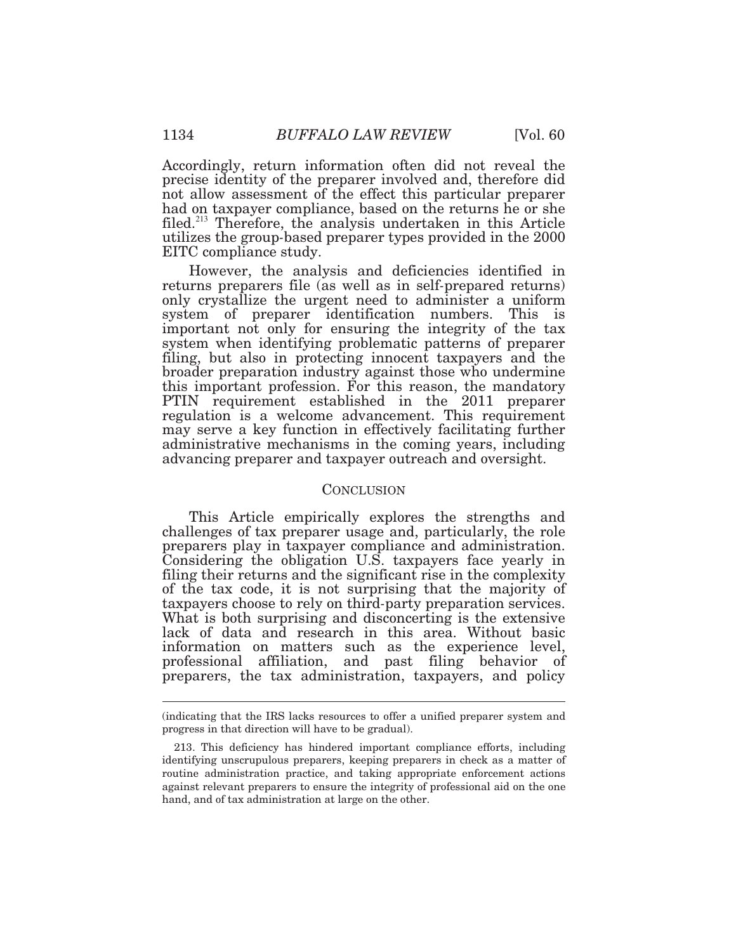Accordingly, return information often did not reveal the precise identity of the preparer involved and, therefore did not allow assessment of the effect this particular preparer had on taxpayer compliance, based on the returns he or she filed.<sup>213</sup> Therefore, the analysis undertaken in this Article utilizes the group*-*based preparer types provided in the 2000 EITC compliance study.

 However, the analysis and deficiencies identified in system when identifying problematic patterns of preparer returns preparers file (as well as in self*-*prepared returns) only crystallize the urgent need to administer a uniform system of preparer identification numbers. This is important not only for ensuring the integrity of the tax filing, but also in protecting innocent taxpayers and the broader preparation industry against those who undermine this important profession. For this reason, the mandatory PTIN requirement established in the 2011 preparer regulation is a welcome advancement. This requirement may serve a key function in effectively facilitating further administrative mechanisms in the coming years, including advancing preparer and taxpayer outreach and oversight.

#### **CONCLUSION**

 This Article empirically explores the strengths and Considering the obligation U.S. taxpayers face yearly in filing their returns and the significant rise in the complexity of the tax code, it is not surprising that the majority of taxpayers choose to rely on third*-*party preparation services. What is both surprising and disconcerting is the extensive lack of data and research in this area. Without basic information on matters such as the experience level, professional affiliation, and past filing behavior of preparers, the tax administration, taxpayers, and policy challenges of tax preparer usage and, particularly, the role preparers play in taxpayer compliance and administration.

 (indicating that the IRS lacks resources to offer a unified preparer system and progress in that direction will have to be gradual).

 identifying unscrupulous preparers, keeping preparers in check as a matter of routine administration practice, and taking appropriate enforcement actions against relevant preparers to ensure the integrity of professional aid on the one hand, and of tax administration at large on the other. 213. This deficiency has hindered important compliance efforts, including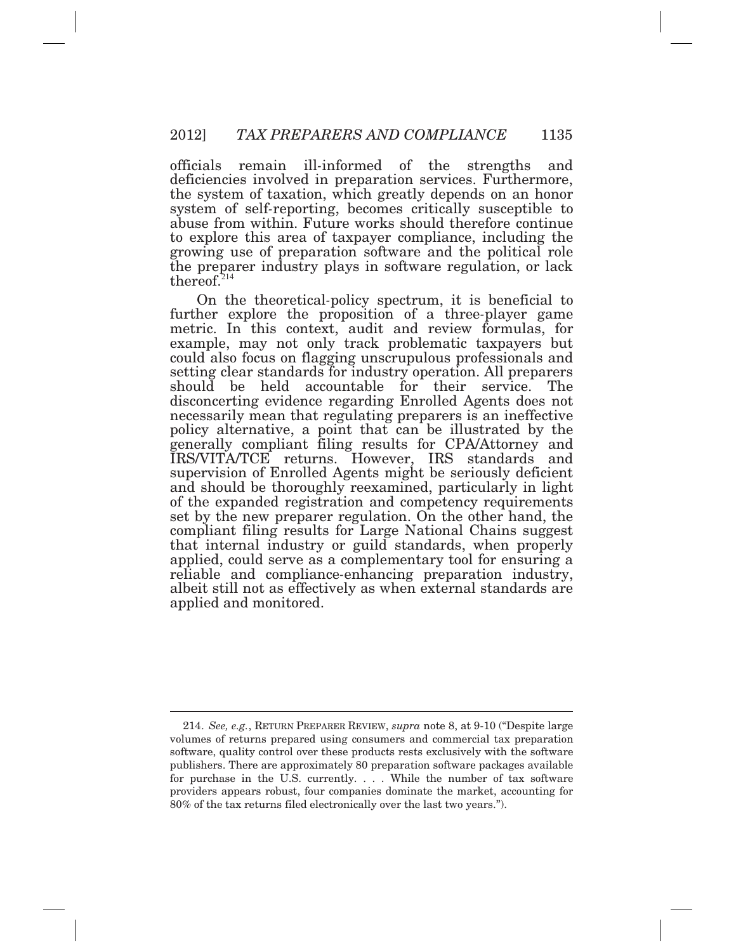officials deficiencies involved in preparation services. Furthermore, the system of taxation, which greatly depends on an honor system of self*-*reporting, becomes critically susceptible to abuse from within. Future works should therefore continue to explore this area of taxpayer compliance, including the growing use of preparation software and the political role the preparer industry plays in software regulation, or lack remain ill-informed of the strengths and thereof. $214$ 

 On the theoretical*-*policy spectrum, it is beneficial to example, may not only track problematic taxpayers but should be held accountable for their service. The necessarily mean that regulating preparers is an ineffective applied and monitored. further explore the proposition of a three*-*player game metric. In this context, audit and review formulas, for could also focus on flagging unscrupulous professionals and setting clear standards for industry operation. All preparers disconcerting evidence regarding Enrolled Agents does not policy alternative, a point that can be illustrated by the generally compliant filing results for CPA/Attorney and IRS/VITA/TCE returns. However, IRS standards and supervision of Enrolled Agents might be seriously deficient and should be thoroughly reexamined, particularly in light of the expanded registration and competency requirements set by the new preparer regulation. On the other hand, the compliant filing results for Large National Chains suggest that internal industry or guild standards, when properly applied, could serve as a complementary tool for ensuring a reliable and compliance*-*enhancing preparation industry, albeit still not as effectively as when external standards are

 214. *See, e.g.*, RETURN PREPARER REVIEW, *supra* note 8, at 9-10 ("Despite large volumes of returns prepared using consumers and commercial tax preparation software, quality control over these products rests exclusively with the software publishers. There are approximately 80 preparation software packages available for purchase in the U.S. currently. . . . While the number of tax software providers appears robust, four companies dominate the market, accounting for 80% of the tax returns filed electronically over the last two years.").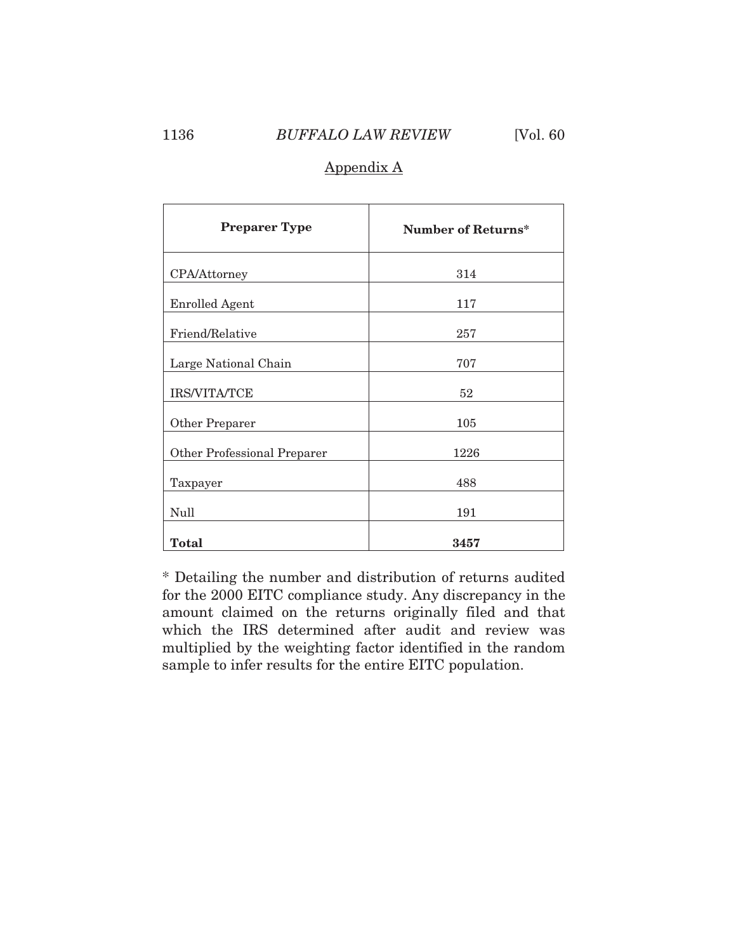## 1136 *BUFFALO LAW REVIEW* [Vol. 60

## Appendix A

| <b>Preparer Type</b>        | <b>Number of Returns*</b> |
|-----------------------------|---------------------------|
| CPA/Attorney                | 314                       |
| <b>Enrolled Agent</b>       | 117                       |
| Friend/Relative             | 257                       |
| Large National Chain        | 707                       |
| IRS/VITA/TCE                | 52                        |
| Other Preparer              | 105                       |
| Other Professional Preparer | 1226                      |
| Taxpayer                    | 488                       |
| Null                        | 191                       |
| <b>Total</b>                | 3457                      |

 \* Detailing the number and distribution of returns audited for the 2000 EITC compliance study. Any discrepancy in the amount claimed on the returns originally filed and that which the IRS determined after audit and review was multiplied by the weighting factor identified in the random sample to infer results for the entire EITC population.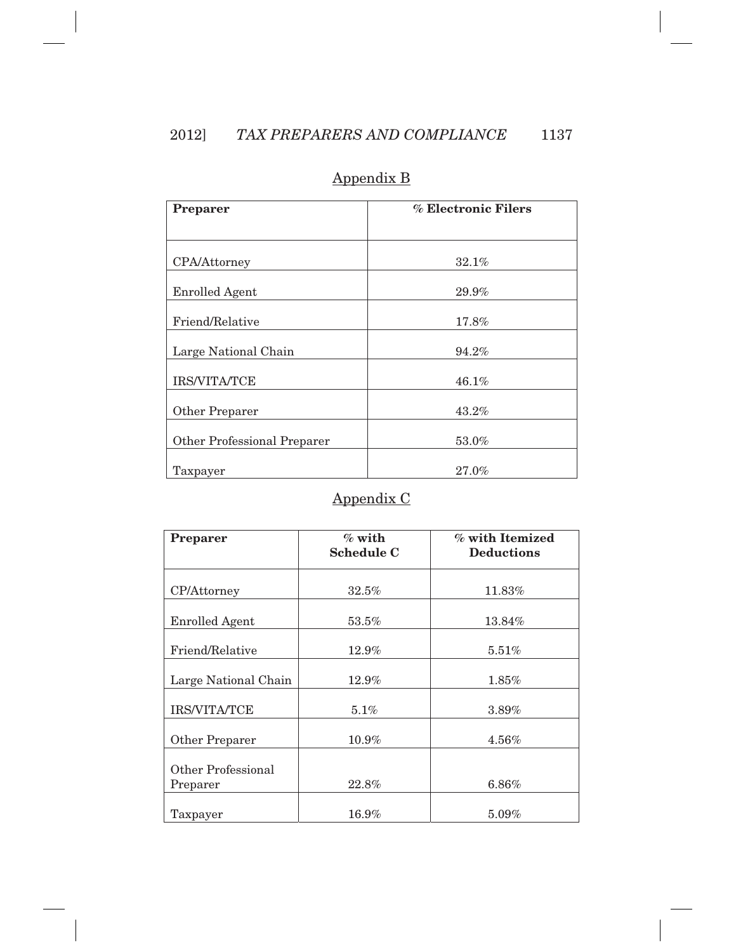| <b>Preparer</b>             | % Electronic Filers |
|-----------------------------|---------------------|
|                             |                     |
| CPA/Attorney                | 32.1%               |
| <b>Enrolled Agent</b>       | 29.9%               |
| Friend/Relative             | 17.8%               |
| Large National Chain        | 94.2%               |
| IRS/VITA/TCE                | 46.1%               |
| Other Preparer              | 43.2%               |
| Other Professional Preparer | 53.0%               |
| Taxpayer                    | 27.0%               |

## Appendix B

# Appendix C

| Preparer              | $%$ with          | % with Itemized   |
|-----------------------|-------------------|-------------------|
|                       | <b>Schedule C</b> | <b>Deductions</b> |
|                       |                   |                   |
|                       |                   |                   |
| CP/Attorney           | $32.5\%$          | 11.83%            |
|                       |                   |                   |
| <b>Enrolled Agent</b> | $53.5\%$          | 13.84%            |
|                       |                   |                   |
| Friend/Relative       | 12.9%             | $5.51\%$          |
|                       |                   |                   |
| Large National Chain  | $12.9\%$          | $1.85\%$          |
|                       |                   |                   |
| <b>IRS/VITA/TCE</b>   | 5.1%              | 3.89%             |
|                       |                   |                   |
| Other Preparer        | 10.9%             | 4.56%             |
|                       |                   |                   |
| Other Professional    |                   |                   |
| Preparer              | $22.8\%$          | 6.86%             |
|                       |                   |                   |
| Taxpayer              | 16.9%             | 5.09%             |